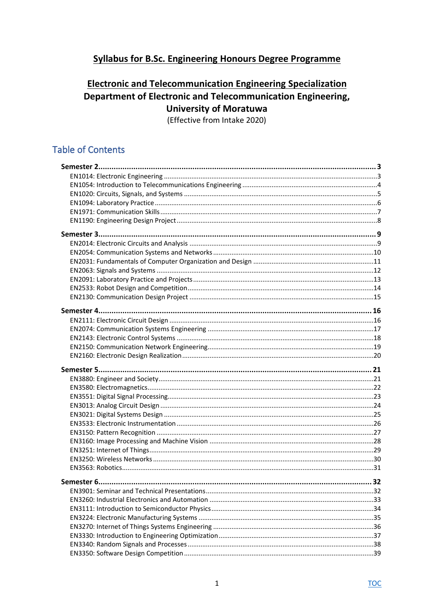# <span id="page-0-0"></span>**Syllabus for B.Sc. Engineering Honours Degree Programme**

# **Electronic and Telecommunication Engineering Specialization** Department of Electronic and Telecommunication Engineering, **University of Moratuwa**

(Effective from Intake 2020)

# **Table of Contents**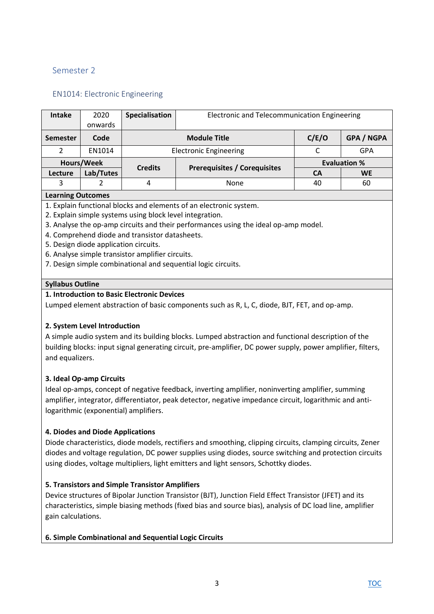# <span id="page-2-0"></span>Semester 2

# <span id="page-2-1"></span>EN1014: Electronic Engineering

| <b>Intake</b>   | 2020<br>onwards | Specialisation | Electronic and Telecommunication Engineering |                     |                   |
|-----------------|-----------------|----------------|----------------------------------------------|---------------------|-------------------|
| <b>Semester</b> | Code            |                | <b>Module Title</b>                          | C/E/O               | <b>GPA / NGPA</b> |
| າ               | EN1014          |                | <b>Electronic Engineering</b>                |                     | GPA               |
| Hours/Week      |                 | <b>Credits</b> |                                              | <b>Evaluation %</b> |                   |
| Lecture         | Lab/Tutes       |                | <b>Prerequisites / Corequisites</b>          | <b>CA</b>           | <b>WE</b>         |
| 3               |                 | 4              | <b>None</b>                                  | 40                  | 60                |

#### **Learning Outcomes**

- 1. Explain functional blocks and elements of an electronic system.
- 2. Explain simple systems using block level integration.
- 3. Analyse the op-amp circuits and their performances using the ideal op-amp model.
- 4. Comprehend diode and transistor datasheets.
- 5. Design diode application circuits.
- 6. Analyse simple transistor amplifier circuits.
- 7. Design simple combinational and sequential logic circuits.

### **Syllabus Outline**

### **1. Introduction to Basic Electronic Devices**

Lumped element abstraction of basic components such as R, L, C, diode, BJT, FET, and op-amp.

### **2. System Level Introduction**

A simple audio system and its building blocks. Lumped abstraction and functional description of the building blocks: input signal generating circuit, pre-amplifier, DC power supply, power amplifier, filters, and equalizers.

### **3. Ideal Op-amp Circuits**

Ideal op-amps, concept of negative feedback, inverting amplifier, noninverting amplifier, summing amplifier, integrator, differentiator, peak detector, negative impedance circuit, logarithmic and antilogarithmic (exponential) amplifiers.

### **4. Diodes and Diode Applications**

Diode characteristics, diode models, rectifiers and smoothing, clipping circuits, clamping circuits, Zener diodes and voltage regulation, DC power supplies using diodes, source switching and protection circuits using diodes, voltage multipliers, light emitters and light sensors, Schottky diodes.

### **5. Transistors and Simple Transistor Amplifiers**

Device structures of Bipolar Junction Transistor (BJT), Junction Field Effect Transistor (JFET) and its characteristics, simple biasing methods (fixed bias and source bias), analysis of DC load line, amplifier gain calculations.

**6. Simple Combinational and Sequential Logic Circuits**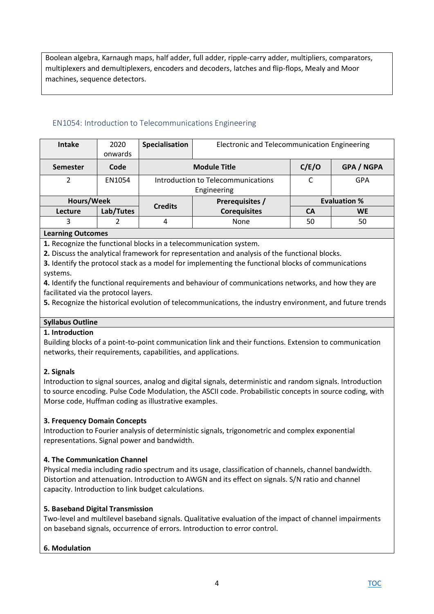Boolean algebra, Karnaugh maps, half adder, full adder, ripple-carry adder, multipliers, comparators, multiplexers and demultiplexers, encoders and decoders, latches and flip-flops, Mealy and Moor machines, sequence detectors.

# <span id="page-3-0"></span>EN1054: Introduction to Telecommunications Engineering

| <b>Intake</b>   | 2020      | Specialisation<br>Electronic and Telecommunication Engineering |                                    |                     |                   |  |
|-----------------|-----------|----------------------------------------------------------------|------------------------------------|---------------------|-------------------|--|
|                 | onwards   |                                                                |                                    |                     |                   |  |
| <b>Semester</b> | Code      |                                                                | <b>Module Title</b>                | C/E/O               | <b>GPA / NGPA</b> |  |
|                 | EN1054    |                                                                | Introduction to Telecommunications | C                   | <b>GPA</b>        |  |
|                 |           |                                                                | Engineering                        |                     |                   |  |
| Hours/Week      |           | Prerequisites /                                                |                                    | <b>Evaluation %</b> |                   |  |
| <b>Lecture</b>  | Lab/Tutes | <b>Credits</b>                                                 | <b>Corequisites</b>                | <b>CA</b>           | <b>WE</b>         |  |
| 3               |           | 4                                                              | None                               | 50                  | 50                |  |
|                 |           |                                                                |                                    |                     |                   |  |

### **Learning Outcomes**

**1.** Recognize the functional blocks in a telecommunication system.

**2.** Discuss the analytical framework for representation and analysis of the functional blocks.

**3.** Identify the protocol stack as a model for implementing the functional blocks of communications systems.

**4.** Identify the functional requirements and behaviour of communications networks, and how they are facilitated via the protocol layers.

**5.** Recognize the historical evolution of telecommunications, the industry environment, and future trends

# **Syllabus Outline**

### **1. Introduction**

Building blocks of a point-to-point communication link and their functions. Extension to communication networks, their requirements, capabilities, and applications.

### **2. Signals**

Introduction to signal sources, analog and digital signals, deterministic and random signals. Introduction to source encoding. Pulse Code Modulation, the ASCII code. Probabilistic concepts in source coding, with Morse code, Huffman coding as illustrative examples.

### **3. Frequency Domain Concepts**

Introduction to Fourier analysis of deterministic signals, trigonometric and complex exponential representations. Signal power and bandwidth.

### **4. The Communication Channel**

Physical media including radio spectrum and its usage, classification of channels, channel bandwidth. Distortion and attenuation. Introduction to AWGN and its effect on signals. S/N ratio and channel capacity. Introduction to link budget calculations.

### **5. Baseband Digital Transmission**

Two-level and multilevel baseband signals. Qualitative evaluation of the impact of channel impairments on baseband signals, occurrence of errors. Introduction to error control.

### **6. Modulation**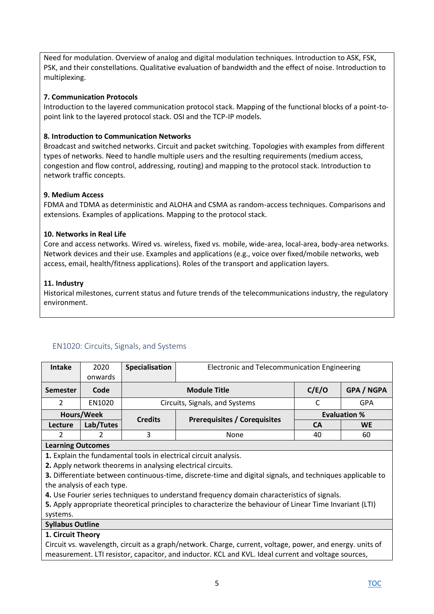Need for modulation. Overview of analog and digital modulation techniques. Introduction to ASK, FSK, PSK, and their constellations. Qualitative evaluation of bandwidth and the effect of noise. Introduction to multiplexing.

### **7. Communication Protocols**

Introduction to the layered communication protocol stack. Mapping of the functional blocks of a point-topoint link to the layered protocol stack. OSI and the TCP-IP models.

### **8. Introduction to Communication Networks**

Broadcast and switched networks. Circuit and packet switching. Topologies with examples from different types of networks. Need to handle multiple users and the resulting requirements (medium access, congestion and flow control, addressing, routing) and mapping to the protocol stack. Introduction to network traffic concepts.

#### **9. Medium Access**

FDMA and TDMA as deterministic and ALOHA and CSMA as random-access techniques. Comparisons and extensions. Examples of applications. Mapping to the protocol stack.

### **10. Networks in Real Life**

Core and access networks. Wired vs. wireless, fixed vs. mobile, wide-area, local-area, body-area networks. Network devices and their use. Examples and applications (e.g., voice over fixed/mobile networks, web access, email, health/fitness applications). Roles of the transport and application layers.

### **11. Industry**

Historical milestones, current status and future trends of the telecommunications industry, the regulatory environment.

### <span id="page-4-0"></span>EN1020: Circuits, Signals, and Systems

| <b>Intake</b>                                                                                             | 2020                       | Specialisation | Electronic and Telecommunication Engineering                                                              |           |                     |  |
|-----------------------------------------------------------------------------------------------------------|----------------------------|----------------|-----------------------------------------------------------------------------------------------------------|-----------|---------------------|--|
|                                                                                                           | onwards                    |                |                                                                                                           |           |                     |  |
| <b>Semester</b>                                                                                           | Code                       |                | <b>Module Title</b>                                                                                       | C/E/O     | <b>GPA / NGPA</b>   |  |
| $\overline{2}$                                                                                            | EN1020                     |                | Circuits, Signals, and Systems                                                                            | C         | <b>GPA</b>          |  |
|                                                                                                           | Hours/Week                 | <b>Credits</b> |                                                                                                           |           | <b>Evaluation %</b> |  |
| Lecture                                                                                                   | Lab/Tutes                  |                | <b>Prerequisites / Corequisites</b>                                                                       | <b>CA</b> | <b>WE</b>           |  |
| $\mathcal{P}$                                                                                             | $\mathcal{P}$              | 3              | None                                                                                                      | 40        | 60                  |  |
| <b>Learning Outcomes</b>                                                                                  |                            |                |                                                                                                           |           |                     |  |
|                                                                                                           |                            |                | 1. Explain the fundamental tools in electrical circuit analysis.                                          |           |                     |  |
|                                                                                                           |                            |                | 2. Apply network theorems in analysing electrical circuits.                                               |           |                     |  |
|                                                                                                           |                            |                | 3. Differentiate between continuous-time, discrete-time and digital signals, and techniques applicable to |           |                     |  |
|                                                                                                           | the analysis of each type. |                |                                                                                                           |           |                     |  |
|                                                                                                           |                            |                | 4. Use Fourier series techniques to understand frequency domain characteristics of signals.               |           |                     |  |
| 5. Apply appropriate theoretical principles to characterize the behaviour of Linear Time Invariant (LTI)  |                            |                |                                                                                                           |           |                     |  |
| systems.                                                                                                  |                            |                |                                                                                                           |           |                     |  |
| <b>Syllabus Outline</b>                                                                                   |                            |                |                                                                                                           |           |                     |  |
| 1. Circuit Theory                                                                                         |                            |                |                                                                                                           |           |                     |  |
| Obserberg manalagede staante een saaglebedenaal. Obsges singaad nalbege gemien en legen aan meer meter ef |                            |                |                                                                                                           |           |                     |  |

Circuit vs. wavelength, circuit as a graph/network. Charge, current, voltage, power, and energy. units of measurement. LTI resistor, capacitor, and inductor. KCL and KVL. Ideal current and voltage sources,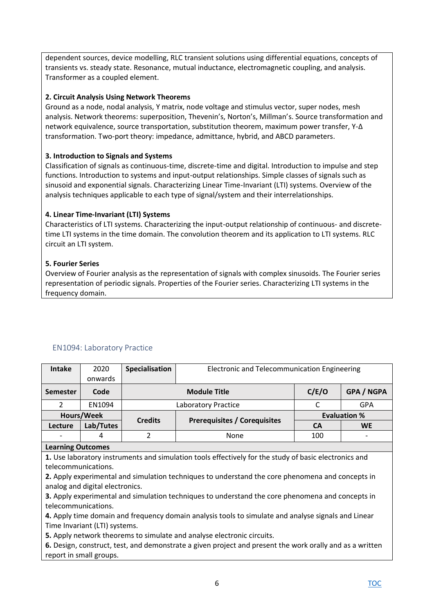dependent sources, device modelling, RLC transient solutions using differential equations, concepts of transients vs. steady state. Resonance, mutual inductance, electromagnetic coupling, and analysis. Transformer as a coupled element.

### **2. Circuit Analysis Using Network Theorems**

Ground as a node, nodal analysis, Y matrix, node voltage and stimulus vector, super nodes, mesh analysis. Network theorems: superposition, Thevenin's, Norton's, Millman's. Source transformation and network equivalence, source transportation, substitution theorem, maximum power transfer, Y-Δ transformation. Two-port theory: impedance, admittance, hybrid, and ABCD parameters.

### **3. Introduction to Signals and Systems**

Classification of signals as continuous-time, discrete-time and digital. Introduction to impulse and step functions. Introduction to systems and input-output relationships. Simple classes of signals such as sinusoid and exponential signals. Characterizing Linear Time-Invariant (LTI) systems. Overview of the analysis techniques applicable to each type of signal/system and their interrelationships.

### **4. Linear Time-Invariant (LTI) Systems**

Characteristics of LTI systems. Characterizing the input-output relationship of continuous- and discretetime LTI systems in the time domain. The convolution theorem and its application to LTI systems. RLC circuit an LTI system.

### **5. Fourier Series**

Overview of Fourier analysis as the representation of signals with complex sinusoids. The Fourier series representation of periodic signals. Properties of the Fourier series. Characterizing LTI systems in the frequency domain.

| <b>Intake</b>                                                                                                                                                                                                                                                                                                                                                                                                                                                                                         | 2020       | Specialisation | <b>Electronic and Telecommunication Engineering</b> |           |                     |  |
|-------------------------------------------------------------------------------------------------------------------------------------------------------------------------------------------------------------------------------------------------------------------------------------------------------------------------------------------------------------------------------------------------------------------------------------------------------------------------------------------------------|------------|----------------|-----------------------------------------------------|-----------|---------------------|--|
|                                                                                                                                                                                                                                                                                                                                                                                                                                                                                                       | onwards    |                |                                                     |           |                     |  |
| <b>Semester</b>                                                                                                                                                                                                                                                                                                                                                                                                                                                                                       | Code       |                | <b>Module Title</b>                                 | C/E/O     | <b>GPA / NGPA</b>   |  |
| $\mathcal{P}$                                                                                                                                                                                                                                                                                                                                                                                                                                                                                         | EN1094     |                | Laboratory Practice                                 | C         | <b>GPA</b>          |  |
|                                                                                                                                                                                                                                                                                                                                                                                                                                                                                                       | Hours/Week |                |                                                     |           | <b>Evaluation %</b> |  |
| Lecture                                                                                                                                                                                                                                                                                                                                                                                                                                                                                               | Lab/Tutes  | <b>Credits</b> | <b>Prerequisites / Corequisites</b>                 | <b>CA</b> | <b>WE</b>           |  |
|                                                                                                                                                                                                                                                                                                                                                                                                                                                                                                       | 4          | $\overline{2}$ | None                                                | 100       |                     |  |
| <b>Learning Outcomes</b>                                                                                                                                                                                                                                                                                                                                                                                                                                                                              |            |                |                                                     |           |                     |  |
| 1. Use laboratory instruments and simulation tools effectively for the study of basic electronics and<br>telecommunications.<br>2. Apply experimental and simulation techniques to understand the core phenomena and concepts in<br>analog and digital electronics.<br>3. Apply experimental and simulation techniques to understand the core phenomena and concepts in<br>telecommunications.<br>4. Apply time domain and frequency domain analysis tools to simulate and analyse signals and Linear |            |                |                                                     |           |                     |  |
| Time Invariant (LTI) systems.                                                                                                                                                                                                                                                                                                                                                                                                                                                                         |            |                |                                                     |           |                     |  |
| 5. Apply network theorems to simulate and analyse electronic circuits.                                                                                                                                                                                                                                                                                                                                                                                                                                |            |                |                                                     |           |                     |  |
| 6. Decian construct test and demonstrate a given project and present the werk erally and as a written                                                                                                                                                                                                                                                                                                                                                                                                 |            |                |                                                     |           |                     |  |

### <span id="page-5-0"></span>EN1094: Laboratory Practice

**6.** Design, construct, test, and demonstrate a given project and present the work orally and as a written report in small groups.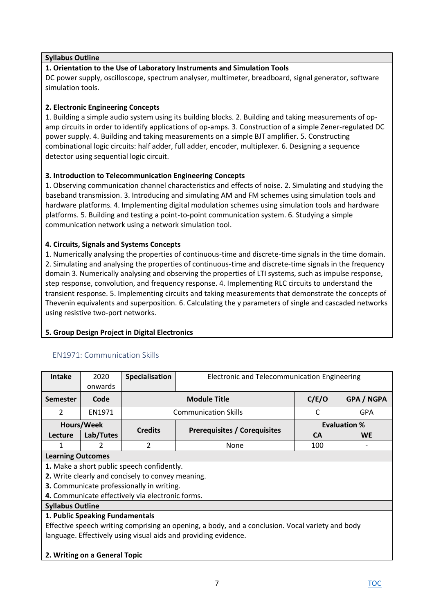### **Syllabus Outline**

# **1. Orientation to the Use of Laboratory Instruments and Simulation Tools**

DC power supply, oscilloscope, spectrum analyser, multimeter, breadboard, signal generator, software simulation tools.

### **2. Electronic Engineering Concepts**

1. Building a simple audio system using its building blocks. 2. Building and taking measurements of opamp circuits in order to identify applications of op-amps. 3. Construction of a simple Zener-regulated DC power supply. 4. Building and taking measurements on a simple BJT amplifier. 5. Constructing combinational logic circuits: half adder, full adder, encoder, multiplexer. 6. Designing a sequence detector using sequential logic circuit.

### **3. Introduction to Telecommunication Engineering Concepts**

1. Observing communication channel characteristics and effects of noise. 2. Simulating and studying the baseband transmission. 3. Introducing and simulating AM and FM schemes using simulation tools and hardware platforms. 4. Implementing digital modulation schemes using simulation tools and hardware platforms. 5. Building and testing a point-to-point communication system. 6. Studying a simple communication network using a network simulation tool.

### **4. Circuits, Signals and Systems Concepts**

1. Numerically analysing the properties of continuous-time and discrete-time signals in the time domain. 2. Simulating and analysing the properties of continuous-time and discrete-time signals in the frequency domain 3. Numerically analysing and observing the properties of LTI systems, such as impulse response, step response, convolution, and frequency response. 4. Implementing RLC circuits to understand the transient response. 5. Implementing circuits and taking measurements that demonstrate the concepts of Thevenin equivalents and superposition. 6. Calculating the y parameters of single and cascaded networks using resistive two-port networks.

### **5. Group Design Project in Digital Electronics**

### <span id="page-6-0"></span>EN1971: Communication Skills

| <b>Intake</b>                                                                                    | 2020                     | <b>Specialisation</b>                             | Electronic and Telecommunication Engineering |           |                     |  |  |
|--------------------------------------------------------------------------------------------------|--------------------------|---------------------------------------------------|----------------------------------------------|-----------|---------------------|--|--|
|                                                                                                  | onwards                  |                                                   |                                              |           |                     |  |  |
| <b>Semester</b>                                                                                  | Code                     |                                                   | <b>Module Title</b>                          | C/E/O     | <b>GPA / NGPA</b>   |  |  |
| $\mathcal{L}$                                                                                    | EN1971                   |                                                   | <b>Communication Skills</b>                  | C         | <b>GPA</b>          |  |  |
|                                                                                                  | Hours/Week               | <b>Credits</b>                                    |                                              |           | <b>Evaluation %</b> |  |  |
| Lecture                                                                                          | Lab/Tutes                |                                                   | <b>Prerequisites / Corequisites</b>          | <b>CA</b> | <b>WE</b>           |  |  |
| 1                                                                                                | $\mathcal{P}$            | 2                                                 | None                                         | 100       |                     |  |  |
|                                                                                                  | <b>Learning Outcomes</b> |                                                   |                                              |           |                     |  |  |
|                                                                                                  |                          | 1. Make a short public speech confidently.        |                                              |           |                     |  |  |
|                                                                                                  |                          | 2. Write clearly and concisely to convey meaning. |                                              |           |                     |  |  |
|                                                                                                  |                          | <b>3.</b> Communicate professionally in writing.  |                                              |           |                     |  |  |
|                                                                                                  |                          | 4. Communicate effectively via electronic forms.  |                                              |           |                     |  |  |
| <b>Syllabus Outline</b>                                                                          |                          |                                                   |                                              |           |                     |  |  |
| 1. Public Speaking Fundamentals                                                                  |                          |                                                   |                                              |           |                     |  |  |
| Effective speech writing comprising an opening, a body, and a conclusion. Vocal variety and body |                          |                                                   |                                              |           |                     |  |  |
| language. Effectively using visual aids and providing evidence.                                  |                          |                                                   |                                              |           |                     |  |  |
|                                                                                                  |                          |                                                   |                                              |           |                     |  |  |

#### **2. Writing on a General Topic**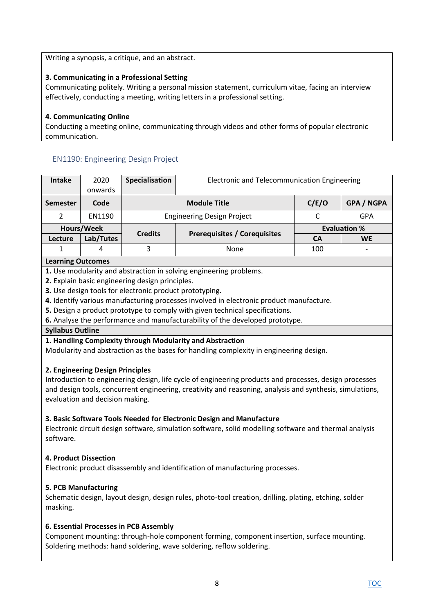Writing a synopsis, a critique, and an abstract.

# **3. Communicating in a Professional Setting**

Communicating politely. Writing a personal mission statement, curriculum vitae, facing an interview effectively, conducting a meeting, writing letters in a professional setting.

### **4. Communicating Online**

Conducting a meeting online, communicating through videos and other forms of popular electronic communication.

# <span id="page-7-0"></span>EN1190: Engineering Design Project

| 2020          | Specialisation                    | Electronic and Telecommunication Engineering |                                     |                          |
|---------------|-----------------------------------|----------------------------------------------|-------------------------------------|--------------------------|
| onwards       |                                   |                                              |                                     |                          |
| Code          | <b>Module Title</b>               |                                              | C/E/O                               | <b>GPA / NGPA</b>        |
| <b>EN1190</b> | <b>Engineering Design Project</b> |                                              |                                     | GPA                      |
| Hours/Week    |                                   |                                              | <b>Evaluation %</b>                 |                          |
| Lab/Tutes     |                                   |                                              | CА                                  | <b>WE</b>                |
| 4             | 3                                 | None                                         | 100                                 | $\overline{\phantom{0}}$ |
|               |                                   | <b>Credits</b>                               | <b>Prerequisites / Corequisites</b> |                          |

### **Learning Outcomes**

**1.** Use modularity and abstraction in solving engineering problems.

**2.** Explain basic engineering design principles.

**3.** Use design tools for electronic product prototyping.

**4.** Identify various manufacturing processes involved in electronic product manufacture.

**5.** Design a product prototype to comply with given technical specifications.

**6.** Analyse the performance and manufacturability of the developed prototype.

### **Syllabus Outline**

### **1. Handling Complexity through Modularity and Abstraction**

Modularity and abstraction as the bases for handling complexity in engineering design.

### **2. Engineering Design Principles**

Introduction to engineering design, life cycle of engineering products and processes, design processes and design tools, concurrent engineering, creativity and reasoning, analysis and synthesis, simulations, evaluation and decision making.

### **3. Basic Software Tools Needed for Electronic Design and Manufacture**

Electronic circuit design software, simulation software, solid modelling software and thermal analysis software.

### **4. Product Dissection**

Electronic product disassembly and identification of manufacturing processes.

### **5. PCB Manufacturing**

Schematic design, layout design, design rules, photo-tool creation, drilling, plating, etching, solder masking.

### **6. Essential Processes in PCB Assembly**

Component mounting: through-hole component forming, component insertion, surface mounting. Soldering methods: hand soldering, wave soldering, reflow soldering.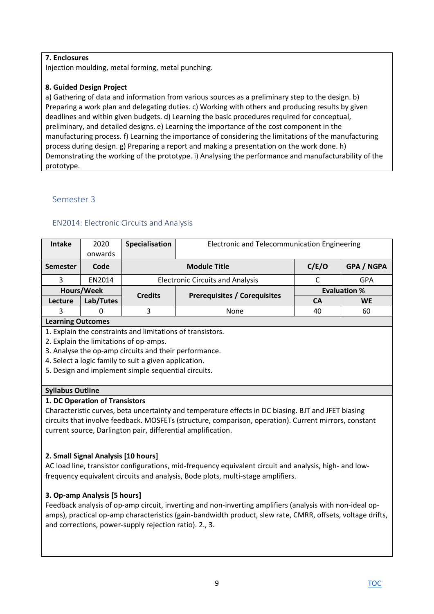### **7. Enclosures**

Injection moulding, metal forming, metal punching.

### **8. Guided Design Project**

a) Gathering of data and information from various sources as a preliminary step to the design. b) Preparing a work plan and delegating duties. c) Working with others and producing results by given deadlines and within given budgets. d) Learning the basic procedures required for conceptual, preliminary, and detailed designs. e) Learning the importance of the cost component in the manufacturing process. f) Learning the importance of considering the limitations of the manufacturing process during design. g) Preparing a report and making a presentation on the work done. h) Demonstrating the working of the prototype. i) Analysing the performance and manufacturability of the prototype.

# <span id="page-8-0"></span>Semester 3

# <span id="page-8-1"></span>EN2014: Electronic Circuits and Analysis

| Intake            | 2020      | Specialisation      | Electronic and Telecommunication Engineering |                     |                   |  |
|-------------------|-----------|---------------------|----------------------------------------------|---------------------|-------------------|--|
|                   | onwards   |                     |                                              |                     |                   |  |
| <b>Semester</b>   | Code      | <b>Module Title</b> |                                              | C/E/O               | <b>GPA / NGPA</b> |  |
|                   | EN2014    |                     | <b>Electronic Circuits and Analysis</b>      |                     | GPA               |  |
| Hours/Week        |           | <b>Credits</b>      |                                              | <b>Evaluation %</b> |                   |  |
| Lecture           | Lab/Tutes |                     | <b>Prerequisites / Corequisites</b>          | <b>CA</b>           | <b>WE</b>         |  |
| 3                 | 0         | ς                   | None                                         | 40                  | 60                |  |
| Loarning Outcomps |           |                     |                                              |                     |                   |  |

#### **Learning Outcomes**

1. Explain the constraints and limitations of transistors.

2. Explain the limitations of op-amps.

3. Analyse the op-amp circuits and their performance.

4. Select a logic family to suit a given application.

5. Design and implement simple sequential circuits.

### **Syllabus Outline**

### **1. DC Operation of Transistors**

Characteristic curves, beta uncertainty and temperature effects in DC biasing. BJT and JFET biasing circuits that involve feedback. MOSFETs (structure, comparison, operation). Current mirrors, constant current source, Darlington pair, differential amplification.

### **2. Small Signal Analysis [10 hours]**

AC load line, transistor configurations, mid-frequency equivalent circuit and analysis, high- and lowfrequency equivalent circuits and analysis, Bode plots, multi-stage amplifiers.

### **3. Op-amp Analysis [5 hours]**

Feedback analysis of op-amp circuit, inverting and non-inverting amplifiers (analysis with non-ideal opamps), practical op-amp characteristics (gain-bandwidth product, slew rate, CMRR, offsets, voltage drifts, and corrections, power-supply rejection ratio). 2., 3.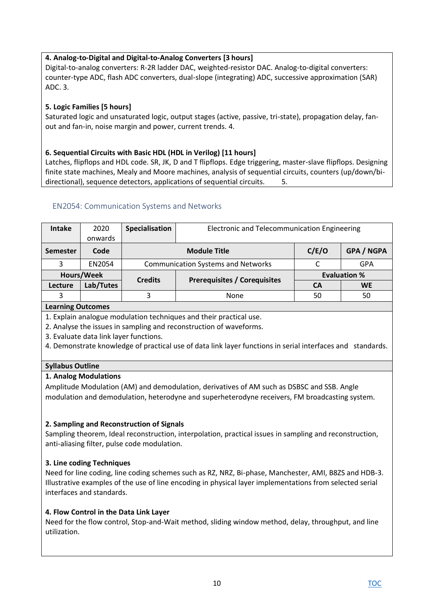# **4. Analog-to-Digital and Digital-to-Analog Converters [3 hours]**

Digital-to-analog converters: R-2R ladder DAC, weighted-resistor DAC. Analog-to-digital converters: counter-type ADC, flash ADC converters, dual-slope (integrating) ADC, successive approximation (SAR) ADC. 3.

# **5. Logic Families [5 hours]**

Saturated logic and unsaturated logic, output stages (active, passive, tri-state), propagation delay, fanout and fan-in, noise margin and power, current trends. 4.

### **6. Sequential Circuits with Basic HDL (HDL in Verilog) [11 hours]**

Latches, flipflops and HDL code. SR, JK, D and T flipflops. Edge triggering, master-slave flipflops. Designing finite state machines, Mealy and Moore machines, analysis of sequential circuits, counters (up/down/bidirectional), sequence detectors, applications of sequential circuits. 5.

### <span id="page-9-0"></span>EN2054: Communication Systems and Networks

| <b>Intake</b>   | 2020<br>onwards | Specialisation               | Electronic and Telecommunication Engineering |                     |            |
|-----------------|-----------------|------------------------------|----------------------------------------------|---------------------|------------|
| <b>Semester</b> | Code            | C/E/O<br><b>Module Title</b> |                                              |                     | GPA / NGPA |
| 3               | EN2054          |                              | <b>Communication Systems and Networks</b>    |                     | GPA        |
| Hours/Week      |                 | <b>Credits</b>               |                                              | <b>Evaluation %</b> |            |
| Lecture         | Lab/Tutes       |                              | <b>Prerequisites / Corequisites</b>          | CА                  | <b>WE</b>  |
| 3               |                 | 3                            | <b>None</b>                                  | 50                  | 50         |

#### **Learning Outcomes**

1. Explain analogue modulation techniques and their practical use.

2. Analyse the issues in sampling and reconstruction of waveforms.

3. Evaluate data link layer functions.

4. Demonstrate knowledge of practical use of data link layer functions in serial interfaces and standards.

### **Syllabus Outline**

### **1. Analog Modulations**

Amplitude Modulation (AM) and demodulation, derivatives of AM such as DSBSC and SSB. Angle modulation and demodulation, heterodyne and superheterodyne receivers, FM broadcasting system.

### **2. Sampling and Reconstruction of Signals**

Sampling theorem, Ideal reconstruction, interpolation, practical issues in sampling and reconstruction, anti-aliasing filter, pulse code modulation.

### **3. Line coding Techniques**

Need for line coding, line coding schemes such as RZ, NRZ, Bi-phase, Manchester, AMI, B8ZS and HDB-3. Illustrative examples of the use of line encoding in physical layer implementations from selected serial interfaces and standards.

### **4. Flow Control in the Data Link Layer**

Need for the flow control, Stop-and-Wait method, sliding window method, delay, throughput, and line utilization.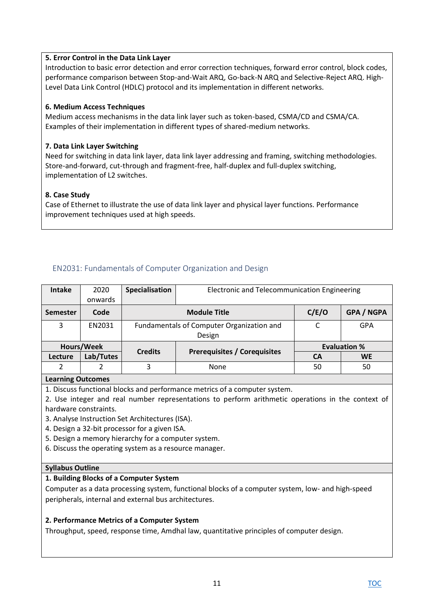### **5. Error Control in the Data Link Layer**

Introduction to basic error detection and error correction techniques, forward error control, block codes, performance comparison between Stop-and-Wait ARQ, Go-back-N ARQ and Selective-Reject ARQ. High-Level Data Link Control (HDLC) protocol and its implementation in different networks.

### **6. Medium Access Techniques**

Medium access mechanisms in the data link layer such as token-based, CSMA/CD and CSMA/CA. Examples of their implementation in different types of shared-medium networks.

### **7. Data Link Layer Switching**

Need for switching in data link layer, data link layer addressing and framing, switching methodologies. Store-and-forward, cut-through and fragment-free, half-duplex and full-duplex switching, implementation of L2 switches.

### **8. Case Study**

Case of Ethernet to illustrate the use of data link layer and physical layer functions. Performance improvement techniques used at high speeds.

# <span id="page-10-0"></span>EN2031: Fundamentals of Computer Organization and Design

| <b>Intake</b>     | 2020      | Specialisation | Electronic and Telecommunication Engineering |                     |                   |  |
|-------------------|-----------|----------------|----------------------------------------------|---------------------|-------------------|--|
|                   | onwards   |                |                                              |                     |                   |  |
| <b>Semester</b>   | Code      |                | <b>Module Title</b>                          | C/E/O               | <b>GPA / NGPA</b> |  |
| 3                 | EN2031    |                | Fundamentals of Computer Organization and    | $\sqrt{ }$          | GPA               |  |
|                   |           |                | Design                                       |                     |                   |  |
| Hours/Week        |           | <b>Credits</b> |                                              | <b>Evaluation %</b> |                   |  |
| Lecture           | Lab/Tutes |                | <b>Prerequisites / Corequisites</b>          | CА                  | <b>WE</b>         |  |
| 2                 | 2         | 3              | None                                         | 50                  | 50                |  |
| Aproving Outcomps |           |                |                                              |                     |                   |  |

**Learning Outcomes** 

1. Discuss functional blocks and performance metrics of a computer system.

2. Use integer and real number representations to perform arithmetic operations in the context of hardware constraints.

- 3. Analyse Instruction Set Architectures (ISA).
- 4. Design a 32-bit processor for a given ISA.
- 5. Design a memory hierarchy for a computer system.
- 6. Discuss the operating system as a resource manager.

#### **Syllabus Outline**

#### **1. Building Blocks of a Computer System**

Computer as a data processing system, functional blocks of a computer system, low- and high-speed peripherals, internal and external bus architectures.

### **2. Performance Metrics of a Computer System**

Throughput, speed, response time, Amdhal law, quantitative principles of computer design.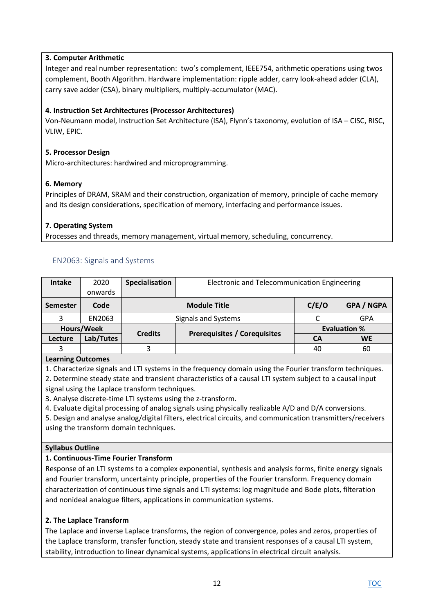# **3. Computer Arithmetic**

Integer and real number representation: two's complement, IEEE754, arithmetic operations using twos complement, Booth Algorithm. Hardware implementation: ripple adder, carry look-ahead adder (CLA), carry save adder (CSA), binary multipliers, multiply-accumulator (MAC).

# **4. Instruction Set Architectures (Processor Architectures)**

Von-Neumann model, Instruction Set Architecture (ISA), Flynn's taxonomy, evolution of ISA – CISC, RISC, VLIW, EPIC.

### **5. Processor Design**

Micro-architectures: hardwired and microprogramming.

### **6. Memory**

Principles of DRAM, SRAM and their construction, organization of memory, principle of cache memory and its design considerations, specification of memory, interfacing and performance issues.

### **7. Operating System**

Processes and threads, memory management, virtual memory, scheduling, concurrency.

# <span id="page-11-0"></span>EN2063: Signals and Systems

| <b>Intake</b>     | 2020      | Specialisation      | Electronic and Telecommunication Engineering |                     |                   |  |
|-------------------|-----------|---------------------|----------------------------------------------|---------------------|-------------------|--|
|                   | onwards   |                     |                                              |                     |                   |  |
| <b>Semester</b>   | Code      | <b>Module Title</b> |                                              | C/E/O               | <b>GPA / NGPA</b> |  |
| 3                 | EN2063    | Signals and Systems |                                              |                     | <b>GPA</b>        |  |
| Hours/Week        |           | <b>Credits</b>      | <b>Prerequisites / Corequisites</b>          | <b>Evaluation %</b> |                   |  |
| Lecture           | Lab/Tutes |                     |                                              | CА                  | <b>WE</b>         |  |
| 3                 |           | 3                   |                                              | 40                  | 60                |  |
| Loarning Outcompe |           |                     |                                              |                     |                   |  |

### **Learning Outcomes**

1. Characterize signals and LTI systems in the frequency domain using the Fourier transform techniques.

2. Determine steady state and transient characteristics of a causal LTI system subject to a causal input signal using the Laplace transform techniques.

3. Analyse discrete-time LTI systems using the z-transform.

4. Evaluate digital processing of analog signals using physically realizable A/D and D/A conversions.

5. Design and analyse analog/digital filters, electrical circuits, and communication transmitters/receivers using the transform domain techniques.

### **Syllabus Outline**

### **1. Continuous-Time Fourier Transform**

Response of an LTI systems to a complex exponential, synthesis and analysis forms, finite energy signals and Fourier transform, uncertainty principle, properties of the Fourier transform. Frequency domain characterization of continuous time signals and LTI systems: log magnitude and Bode plots, filteration and nonideal analogue filters, applications in communication systems.

### **2. The Laplace Transform**

The Laplace and inverse Laplace transforms, the region of convergence, poles and zeros, properties of the Laplace transform, transfer function, steady state and transient responses of a causal LTI system, stability, introduction to linear dynamical systems, applications in electrical circuit analysis.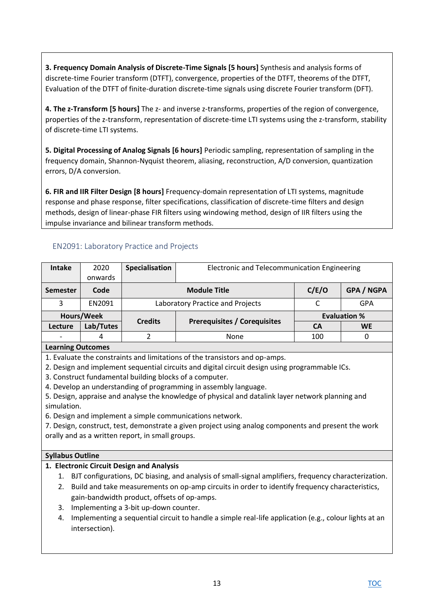**3. Frequency Domain Analysis of Discrete-Time Signals [5 hours]** Synthesis and analysis forms of discrete-time Fourier transform (DTFT), convergence, properties of the DTFT, theorems of the DTFT, Evaluation of the DTFT of finite-duration discrete-time signals using discrete Fourier transform (DFT).

**4. The z-Transform [5 hours]** The z- and inverse z-transforms, properties of the region of convergence, properties of the z-transform, representation of discrete-time LTI systems using the z-transform, stability of discrete-time LTI systems.

**5. Digital Processing of Analog Signals [6 hours]** Periodic sampling, representation of sampling in the frequency domain, Shannon-Nyquist theorem, aliasing, reconstruction, A/D conversion, quantization errors, D/A conversion.

**6. FIR and IIR Filter Design [8 hours]** Frequency-domain representation of LTI systems, magnitude response and phase response, filter specifications, classification of discrete-time filters and design methods, design of linear-phase FIR filters using windowing method, design of IIR filters using the impulse invariance and bilinear transform methods.

# <span id="page-12-0"></span>EN2091: Laboratory Practice and Projects

| <b>Intake</b> | 2020          | Specialisation | Electronic and Telecommunication Engineering |       |                     |
|---------------|---------------|----------------|----------------------------------------------|-------|---------------------|
|               | onwards       |                |                                              |       |                     |
| Semester      | Code          |                | <b>Module Title</b>                          | C/E/O | <b>GPA / NGPA</b>   |
| 3             | <b>EN2091</b> |                | Laboratory Practice and Projects             |       | GPA                 |
|               | Hours/Week    |                |                                              |       | <b>Evaluation %</b> |
| Lecture       | Lab/Tutes     | <b>Credits</b> | <b>Prerequisites / Corequisites</b>          | CА    | <b>WE</b>           |
|               | 4             |                | None                                         |       |                     |
|               |               |                |                                              |       |                     |

### **Learning Outcomes**

1. Evaluate the constraints and limitations of the transistors and op-amps.

- 2. Design and implement sequential circuits and digital circuit design using programmable ICs.
- 3. Construct fundamental building blocks of a computer.
- 4. Develop an understanding of programming in assembly language.
- 5. Design, appraise and analyse the knowledge of physical and datalink layer network planning and simulation.
- 6. Design and implement a simple communications network.

7. Design, construct, test, demonstrate a given project using analog components and present the work orally and as a written report, in small groups.

#### **Syllabus Outline**

### **1. Electronic Circuit Design and Analysis**

- 1. BJT configurations, DC biasing, and analysis of small-signal amplifiers, frequency characterization.
- 2. Build and take measurements on op-amp circuits in order to identify frequency characteristics, gain-bandwidth product, offsets of op-amps.
- 3. Implementing a 3-bit up-down counter.
- 4. Implementing a sequential circuit to handle a simple real-life application (e.g., colour lights at an intersection).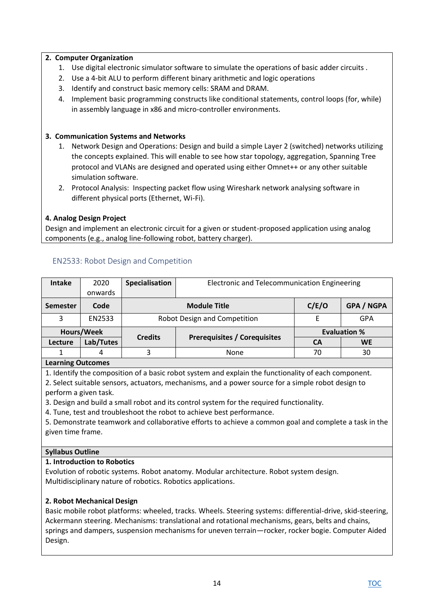### **2. Computer Organization**

- 1. Use digital electronic simulator software to simulate the operations of basic adder circuits .
- 2. Use a 4-bit ALU to perform different binary arithmetic and logic operations
- 3. Identify and construct basic memory cells: SRAM and DRAM.
- 4. Implement basic programming constructs like conditional statements, control loops (for, while) in assembly language in x86 and micro-controller environments.

### **3. Communication Systems and Networks**

- 1. Network Design and Operations: Design and build a simple Layer 2 (switched) networks utilizing the concepts explained. This will enable to see how star topology, aggregation, Spanning Tree protocol and VLANs are designed and operated using either Omnet++ or any other suitable simulation software.
- 2. Protocol Analysis: Inspecting packet flow using Wireshark network analysing software in different physical ports (Ethernet, Wi-Fi).

### **4. Analog Design Project**

Design and implement an electronic circuit for a given or student-proposed application using analog components (e.g., analog line-following robot, battery charger).

| <b>Intake</b>   | 2020                     | Specialisation | <b>Electronic and Telecommunication Engineering</b> |                     |                   |  |  |  |
|-----------------|--------------------------|----------------|-----------------------------------------------------|---------------------|-------------------|--|--|--|
|                 | onwards                  |                |                                                     |                     |                   |  |  |  |
| <b>Semester</b> | Code                     |                | <b>Module Title</b>                                 |                     | <b>GPA / NGPA</b> |  |  |  |
| 3               | EN2533                   |                | Robot Design and Competition                        |                     | GPA               |  |  |  |
|                 | Hours/Week               | <b>Credits</b> | <b>Prerequisites / Corequisites</b>                 | <b>Evaluation %</b> |                   |  |  |  |
| Lecture         | Lab/Tutes                |                |                                                     | <b>CA</b>           | <b>WE</b>         |  |  |  |
|                 | 4                        | 3<br>None      |                                                     | 70                  | 30                |  |  |  |
|                 | <b>Learning Outcomes</b> |                |                                                     |                     |                   |  |  |  |

### <span id="page-13-0"></span>EN2533: Robot Design and Competition

1. Identify the composition of a basic robot system and explain the functionality of each component. 2. Select suitable sensors, actuators, mechanisms, and a power source for a simple robot design to

perform a given task.

3. Design and build a small robot and its control system for the required functionality.

4. Tune, test and troubleshoot the robot to achieve best performance.

5. Demonstrate teamwork and collaborative efforts to achieve a common goal and complete a task in the given time frame.

#### **Syllabus Outline**

#### **1. Introduction to Robotics**

Evolution of robotic systems. Robot anatomy. Modular architecture. Robot system design. Multidisciplinary nature of robotics. Robotics applications.

#### **2. Robot Mechanical Design**

Basic mobile robot platforms: wheeled, tracks. Wheels. Steering systems: differential-drive, skid-steering, Ackermann steering. Mechanisms: translational and rotational mechanisms, gears, belts and chains, springs and dampers, suspension mechanisms for uneven terrain—rocker, rocker bogie. Computer Aided Design.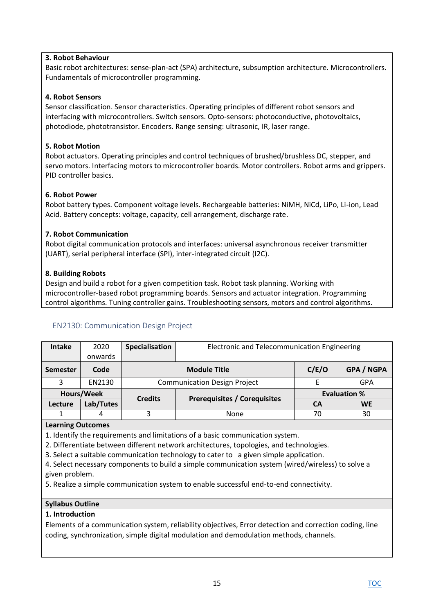### **3. Robot Behaviour**

Basic robot architectures: sense-plan-act (SPA) architecture, subsumption architecture. Microcontrollers. Fundamentals of microcontroller programming.

# **4. Robot Sensors**

Sensor classification. Sensor characteristics. Operating principles of different robot sensors and interfacing with microcontrollers. Switch sensors. Opto-sensors: photoconductive, photovoltaics, photodiode, phototransistor. Encoders. Range sensing: ultrasonic, IR, laser range.

### **5. Robot Motion**

Robot actuators. Operating principles and control techniques of brushed/brushless DC, stepper, and servo motors. Interfacing motors to microcontroller boards. Motor controllers. Robot arms and grippers. PID controller basics.

# **6. Robot Power**

Robot battery types. Component voltage levels. Rechargeable batteries: NiMH, NiCd, LiPo, Li-ion, Lead Acid. Battery concepts: voltage, capacity, cell arrangement, discharge rate.

# **7. Robot Communication**

Robot digital communication protocols and interfaces: universal asynchronous receiver transmitter (UART), serial peripheral interface (SPI), inter-integrated circuit (I2C).

# **8. Building Robots**

Design and build a robot for a given competition task. Robot task planning. Working with microcontroller-based robot programming boards. Sensors and actuator integration. Programming control algorithms. Tuning controller gains. Troubleshooting sensors, motors and control algorithms.

# <span id="page-14-0"></span>EN2130: Communication Design Project

| <b>Intake</b>   | 2020       | Specialisation | Electronic and Telecommunication Engineering      |                     |            |  |
|-----------------|------------|----------------|---------------------------------------------------|---------------------|------------|--|
|                 | onwards    |                |                                                   |                     |            |  |
| <b>Semester</b> | Code       |                | C/E/O<br><b>GPA / NGPA</b><br><b>Module Title</b> |                     |            |  |
| 3               | EN2130     |                | <b>Communication Design Project</b>               |                     | <b>GPA</b> |  |
|                 | Hours/Week | <b>Credits</b> |                                                   | <b>Evaluation %</b> |            |  |
| Lecture         | Lab/Tutes  |                | <b>Prerequisites / Corequisites</b>               | CА                  | <b>WE</b>  |  |
|                 | 4          | 3              | 70<br>30<br><b>None</b>                           |                     |            |  |
|                 |            |                |                                                   |                     |            |  |

### **Learning Outcomes**

1. Identify the requirements and limitations of a basic communication system.

2. Differentiate between different network architectures, topologies, and technologies.

3. Select a suitable communication technology to cater to a given simple application.

4. Select necessary components to build a simple communication system (wired/wireless) to solve a given problem.

5. Realize a simple communication system to enable successful end-to-end connectivity.

### **Syllabus Outline**

### **1. Introduction**

Elements of a communication system, reliability objectives, Error detection and correction coding, line coding, synchronization, simple digital modulation and demodulation methods, channels.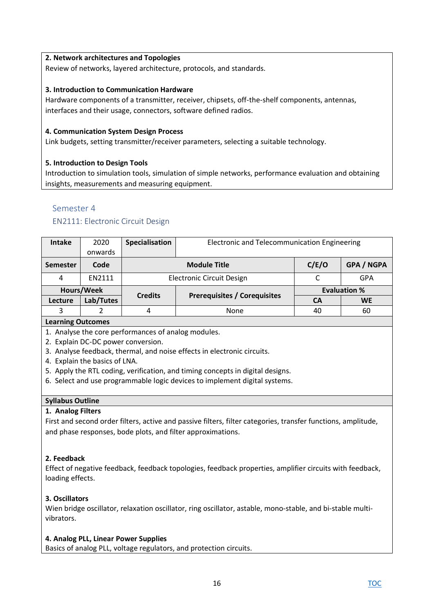### **2. Network architectures and Topologies**

Review of networks, layered architecture, protocols, and standards.

### **3. Introduction to Communication Hardware**

Hardware components of a transmitter, receiver, chipsets, off-the-shelf components, antennas, interfaces and their usage, connectors, software defined radios.

### **4. Communication System Design Process**

Link budgets, setting transmitter/receiver parameters, selecting a suitable technology.

### **5. Introduction to Design Tools**

Introduction to simulation tools, simulation of simple networks, performance evaluation and obtaining insights, measurements and measuring equipment.

### <span id="page-15-0"></span>Semester 4

### <span id="page-15-1"></span>EN2111: Electronic Circuit Design

| <b>Intake</b> | 2020       | Specialisation | Electronic and Telecommunication Engineering      |                     |           |
|---------------|------------|----------------|---------------------------------------------------|---------------------|-----------|
|               | onwards    |                |                                                   |                     |           |
| Semester      | Code       |                | C/E/O<br><b>GPA / NGPA</b><br><b>Module Title</b> |                     |           |
| 4             | EN2111     |                | <b>Electronic Circuit Design</b>                  |                     | GPA       |
|               | Hours/Week | <b>Credits</b> |                                                   | <b>Evaluation %</b> |           |
| Lecture       | Lab/Tutes  |                | <b>Prerequisites / Corequisites</b>               | CА                  | <b>WE</b> |
| 3             |            | 4              | None                                              | 40                  | 60        |

#### **Learning Outcomes**

- 1. Analyse the core performances of analog modules.
- 2. Explain DC-DC power conversion.
- 3. Analyse feedback, thermal, and noise effects in electronic circuits.
- 4. Explain the basics of LNA.
- 5. Apply the RTL coding, verification, and timing concepts in digital designs.
- 6. Select and use programmable logic devices to implement digital systems.

#### **Syllabus Outline**

#### **1. Analog Filters**

First and second order filters, active and passive filters, filter categories, transfer functions, amplitude, and phase responses, bode plots, and filter approximations.

### **2. Feedback**

Effect of negative feedback, feedback topologies, feedback properties, amplifier circuits with feedback, loading effects.

### **3. Oscillators**

Wien bridge oscillator, relaxation oscillator, ring oscillator, astable, mono-stable, and bi-stable multivibrators.

#### **4. Analog PLL, Linear Power Supplies**

Basics of analog PLL, voltage regulators, and protection circuits.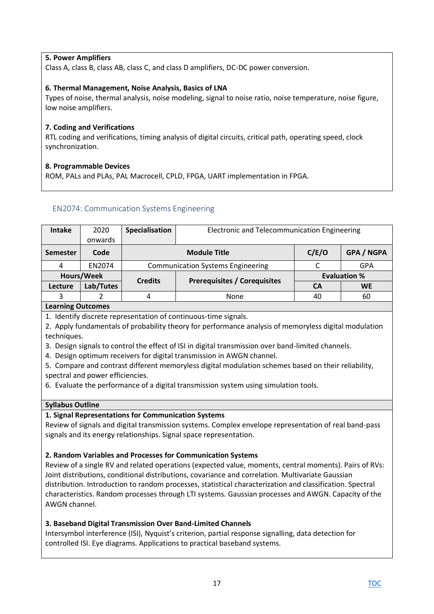# **5. Power Amplifiers**

Class A, class B, class AB, class C, and class D amplifiers, DC-DC power conversion.

### **6. Thermal Management, Noise Analysis, Basics of LNA**

Types of noise, thermal analysis, noise modeling, signal to noise ratio, noise temperature, noise figure, low noise amplifiers.

### **7. Coding and Verifications**

RTL coding and verifications, timing analysis of digital circuits, critical path, operating speed, clock synchronization.

### **8. Programmable Devices**

ROM, PALs and PLAs, PAL Macrocell, CPLD, FPGA, UART implementation in FPGA.

### <span id="page-16-0"></span>EN2074: Communication Systems Engineering

| Intake                   | 2020       | Specialisation | Electronic and Telecommunication Engineering |                     |                   |  |
|--------------------------|------------|----------------|----------------------------------------------|---------------------|-------------------|--|
|                          | onwards    |                |                                              |                     |                   |  |
| <b>Semester</b>          | Code       |                | <b>Module Title</b>                          | C/E/O               | <b>GPA / NGPA</b> |  |
| 4                        | EN2074     |                | <b>Communication Systems Engineering</b>     |                     | GPA               |  |
|                          | Hours/Week | <b>Credits</b> | <b>Prerequisites / Corequisites</b>          | <b>Evaluation %</b> |                   |  |
| Lecture                  | Lab/Tutes  |                |                                              | CА                  | <b>WE</b>         |  |
| 3                        |            | 4              | <b>None</b>                                  | 40                  | 60                |  |
| <b>Learning Outcomes</b> |            |                |                                              |                     |                   |  |

1. Identify discrete representation of continuous-time signals.

2. Apply fundamentals of probability theory for performance analysis of memoryless digital modulation

techniques.

3. Design signals to control the effect of ISI in digital transmission over band-limited channels.

4. Design optimum receivers for digital transmission in AWGN channel.

5. Compare and contrast different memoryless digital modulation schemes based on their reliability, spectral and power efficiencies.

6. Evaluate the performance of a digital transmission system using simulation tools.

#### **Syllabus Outline**

#### **1. Signal Representations for Communication Systems**

Review of signals and digital transmission systems. Complex envelope representation of real band-pass signals and its energy relationships. Signal space representation.

#### **2. Random Variables and Processes for Communication Systems**

Review of a single RV and related operations (expected value, moments, central moments). Pairs of RVs: Joint distributions, conditional distributions, covariance and correlation. Multivariate Gaussian distribution. Introduction to random processes, statistical characterization and classification. Spectral characteristics. Random processes through LTI systems. Gaussian processes and AWGN. Capacity of the AWGN channel.

### **3. Baseband Digital Transmission Over Band-Limited Channels**

Intersymbol interference (ISI), Nyquist's criterion, partial response signalling, data detection for controlled ISI. Eye diagrams. Applications to practical baseband systems.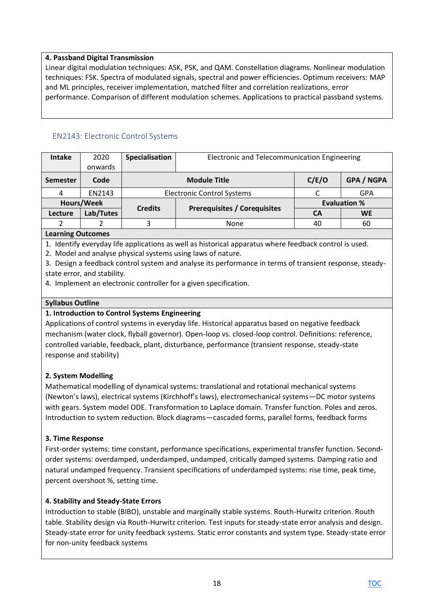### **4. Passband Digital Transmission**

Linear digital modulation techniques: ASK, PSK, and QAM. Constellation diagrams. Nonlinear modulation techniques: FSK. Spectra of modulated signals, spectral and power efficiencies. Optimum receivers: MAP and ML principles, receiver implementation, matched filter and correlation realizations, error performance. Comparison of different modulation schemes. Applications to practical passband systems.

# <span id="page-17-0"></span>EN2143: Electronic Control Systems

| <b>Intake</b>            | 2020       | Specialisation | Electronic and Telecommunication Engineering      |                     |            |  |  |
|--------------------------|------------|----------------|---------------------------------------------------|---------------------|------------|--|--|
|                          | onwards    |                |                                                   |                     |            |  |  |
| <b>Semester</b>          | Code       |                | C/E/O<br><b>GPA / NGPA</b><br><b>Module Title</b> |                     |            |  |  |
|                          | EN2143     |                | <b>Electronic Control Systems</b>                 |                     | <b>GPA</b> |  |  |
|                          | Hours/Week | <b>Credits</b> |                                                   | <b>Evaluation %</b> |            |  |  |
| Lecture                  | Lab/Tutes  |                | <b>Prerequisites / Corequisites</b>               | CА                  | <b>WE</b>  |  |  |
|                          |            |                | <b>None</b>                                       | 40                  | 60         |  |  |
| <b>Learning Outcomes</b> |            |                |                                                   |                     |            |  |  |

1. Identify everyday life applications as well as historical apparatus where feedback control is used.

2. Model and analyse physical systems using laws of nature.

3. Design a feedback control system and analyse its performance in terms of transient response, steadystate error, and stability.

4. Implement an electronic controller for a given specification.

### **Syllabus Outline**

### **1. Introduction to Control Systems Engineering**

Applications of control systems in everyday life. Historical apparatus based on negative feedback mechanism (water clock, flyball governor). Open-loop vs. closed-loop control. Definitions: reference, controlled variable, feedback, plant, disturbance, performance (transient response, steady-state response and stability)

# **2. System Modelling**

Mathematical modelling of dynamical systems: translational and rotational mechanical systems (Newton's laws), electrical systems (Kirchhoff's laws), electromechanical systems—DC motor systems with gears. System model ODE. Transformation to Laplace domain. Transfer function. Poles and zeros. Introduction to system reduction. Block diagrams—cascaded forms, parallel forms, feedback forms

### **3. Time Response**

First-order systems: time constant, performance specifications, experimental transfer function. Secondorder systems: overdamped, underdamped, undamped, critically damped systems. Damping ratio and natural undamped frequency. Transient specifications of underdamped systems: rise time, peak time, percent overshoot %, setting time.

### **4. Stability and Steady-State Errors**

Introduction to stable (BIBO), unstable and marginally stable systems. Routh-Hurwitz criterion. Routh table. Stability design via Routh-Hurwitz criterion. Test inputs for steady-state error analysis and design. Steady-state error for unity feedback systems. Static error constants and system type. Steady-state error for non-unity feedback systems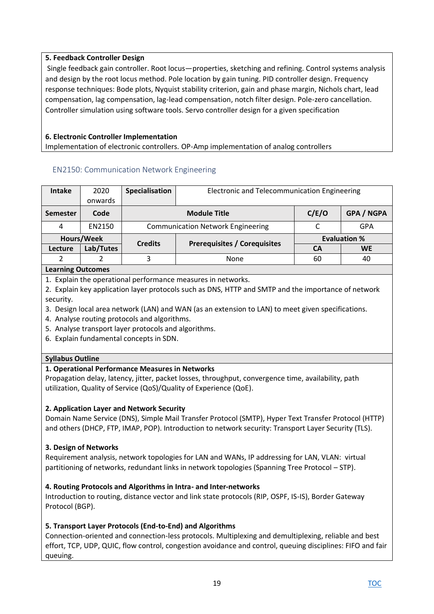# **5. Feedback Controller Design**

Single feedback gain controller. Root locus—properties, sketching and refining. Control systems analysis and design by the root locus method. Pole location by gain tuning. PID controller design. Frequency response techniques: Bode plots, Nyquist stability criterion, gain and phase margin, Nichols chart, lead compensation, lag compensation, lag-lead compensation, notch filter design. Pole-zero cancellation. Controller simulation using software tools. Servo controller design for a given specification

# **6. Electronic Controller Implementation**

Implementation of electronic controllers. OP-Amp implementation of analog controllers

# <span id="page-18-0"></span>EN2150: Communication Network Engineering

| <b>Intake</b> | 2020      | Specialisation | Electronic and Telecommunication Engineering      |    |                     |  |
|---------------|-----------|----------------|---------------------------------------------------|----|---------------------|--|
|               | onwards   |                |                                                   |    |                     |  |
| Semester      | Code      |                | C/E/O<br><b>GPA / NGPA</b><br><b>Module Title</b> |    |                     |  |
| 4             | EN2150    |                | <b>Communication Network Engineering</b>          |    | GPA                 |  |
| Hours/Week    |           | <b>Credits</b> |                                                   |    | <b>Evaluation %</b> |  |
| Lecture       | Lab/Tutes |                | <b>Prerequisites / Corequisites</b>               | CА | <b>WE</b>           |  |
|               |           | 3              | 60<br>None<br>40                                  |    |                     |  |
|               |           |                |                                                   |    |                     |  |

### **Learning Outcomes**

- 1. Explain the operational performance measures in networks.
- 2. Explain key application layer protocols such as DNS, HTTP and SMTP and the importance of network security.
- 3. Design local area network (LAN) and WAN (as an extension to LAN) to meet given specifications.
- 4. Analyse routing protocols and algorithms.
- 5. Analyse transport layer protocols and algorithms.
- 6. Explain fundamental concepts in SDN.

# **Syllabus Outline**

# **1. Operational Performance Measures in Networks**

Propagation delay, latency, jitter, packet losses, throughput, convergence time, availability, path utilization, Quality of Service (QoS)/Quality of Experience (QoE).

### **2. Application Layer and Network Security**

Domain Name Service (DNS), Simple Mail Transfer Protocol (SMTP), Hyper Text Transfer Protocol (HTTP) and others (DHCP, FTP, IMAP, POP). Introduction to network security: Transport Layer Security (TLS).

### **3. Design of Networks**

Requirement analysis, network topologies for LAN and WANs, IP addressing for LAN, VLAN: virtual partitioning of networks, redundant links in network topologies (Spanning Tree Protocol – STP).

### **4. Routing Protocols and Algorithms in Intra- and Inter-networks**

Introduction to routing, distance vector and link state protocols (RIP, OSPF, IS-IS), Border Gateway Protocol (BGP).

### **5. Transport Layer Protocols (End-to-End) and Algorithms**

Connection-oriented and connection-less protocols. Multiplexing and demultiplexing, reliable and best effort, TCP, UDP, QUIC, flow control, congestion avoidance and control, queuing disciplines: FIFO and fair queuing.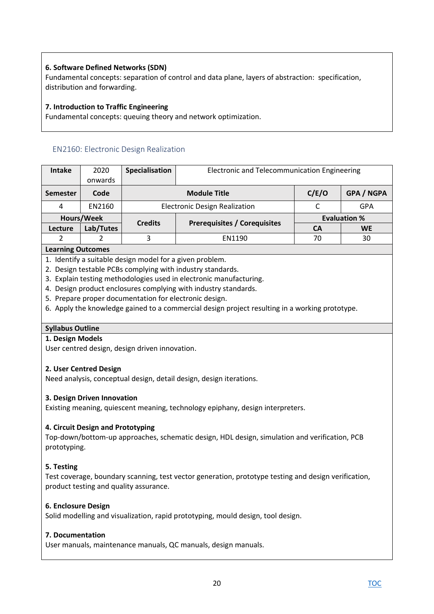# **6. Software Defined Networks (SDN)**

Fundamental concepts: separation of control and data plane, layers of abstraction: specification, distribution and forwarding.

### **7. Introduction to Traffic Engineering**

Fundamental concepts: queuing theory and network optimization.

# <span id="page-19-0"></span>EN2160: Electronic Design Realization

| 2020       | Specialisation | Electronic and Telecommunication Engineering |                                                                             |                   |  |
|------------|----------------|----------------------------------------------|-----------------------------------------------------------------------------|-------------------|--|
| onwards    |                |                                              |                                                                             |                   |  |
| Code       |                | <b>Module Title</b>                          | C/E/O                                                                       | <b>GPA / NGPA</b> |  |
| EN2160     |                |                                              |                                                                             | GPA               |  |
| Hours/Week |                |                                              | <b>Evaluation %</b>                                                         |                   |  |
| Lab/Tutes  |                |                                              | CА                                                                          | <b>WE</b>         |  |
|            | 3              | 70<br>30<br>EN1190                           |                                                                             |                   |  |
|            |                | <b>Credits</b>                               | <b>Electronic Design Realization</b><br><b>Prerequisites / Corequisites</b> |                   |  |

#### **Learning Outcomes**

- 1. Identify a suitable design model for a given problem.
- 2. Design testable PCBs complying with industry standards.
- 3. Explain testing methodologies used in electronic manufacturing.
- 4. Design product enclosures complying with industry standards.
- 5. Prepare proper documentation for electronic design.
- 6. Apply the knowledge gained to a commercial design project resulting in a working prototype.

#### **Syllabus Outline**

#### **1. Design Models**

User centred design, design driven innovation.

#### **2. User Centred Design**

Need analysis, conceptual design, detail design, design iterations.

#### **3. Design Driven Innovation**

Existing meaning, quiescent meaning, technology epiphany, design interpreters.

#### **4. Circuit Design and Prototyping**

Top-down/bottom-up approaches, schematic design, HDL design, simulation and verification, PCB prototyping.

### **5. Testing**

Test coverage, boundary scanning, test vector generation, prototype testing and design verification, product testing and quality assurance.

#### **6. Enclosure Design**

Solid modelling and visualization, rapid prototyping, mould design, tool design.

#### **7. Documentation**

User manuals, maintenance manuals, QC manuals, design manuals.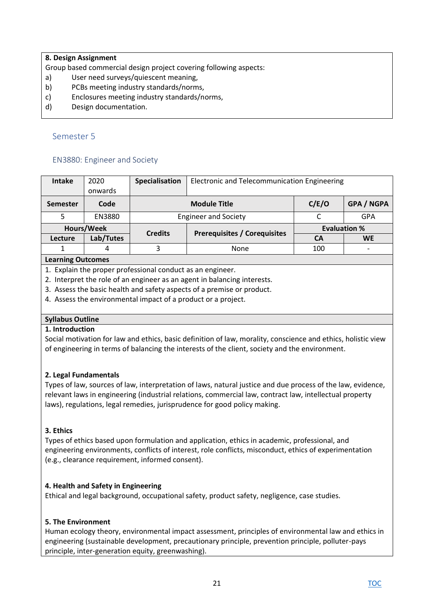### **8. Design Assignment**

Group based commercial design project covering following aspects:

- a) User need surveys/quiescent meaning,
- b) PCBs meeting industry standards/norms,
- c) Enclosures meeting industry standards/norms,
- d) Design documentation.

### <span id="page-20-0"></span>Semester 5

### <span id="page-20-1"></span>EN3880: Engineer and Society

| <b>Intake</b>   | 2020              | Specialisation | Electronic and Telecommunication Engineering |                     |                          |  |  |  |
|-----------------|-------------------|----------------|----------------------------------------------|---------------------|--------------------------|--|--|--|
|                 | onwards           |                |                                              |                     |                          |  |  |  |
| <b>Semester</b> | Code              |                | <b>Module Title</b>                          | C/E/O               | <b>GPA / NGPA</b>        |  |  |  |
| 5               | EN3880            |                | <b>Engineer and Society</b>                  |                     | <b>GPA</b>               |  |  |  |
|                 | Hours/Week        |                |                                              | <b>Evaluation %</b> |                          |  |  |  |
| Lecture         | Lab/Tutes         | <b>Credits</b> | <b>Prerequisites / Corequisites</b>          | <b>CA</b>           | <b>WE</b>                |  |  |  |
|                 | 4                 | 3              | None                                         | 100                 | $\overline{\phantom{0}}$ |  |  |  |
|                 | Loarning Outcompe |                |                                              |                     |                          |  |  |  |

#### **Learning Outcomes**

1. Explain the proper professional conduct as an engineer.

- 2. Interpret the role of an engineer as an agent in balancing interests.
- 3. Assess the basic health and safety aspects of a premise or product.
- 4. Assess the environmental impact of a product or a project.

### **Syllabus Outline**

#### **1. Introduction**

Social motivation for law and ethics, basic definition of law, morality, conscience and ethics, holistic view of engineering in terms of balancing the interests of the client, society and the environment.

### **2. Legal Fundamentals**

Types of law, sources of law, interpretation of laws, natural justice and due process of the law, evidence, relevant laws in engineering (industrial relations, commercial law, contract law, intellectual property laws), regulations, legal remedies, jurisprudence for good policy making.

# **3. Ethics**

Types of ethics based upon formulation and application, ethics in academic, professional, and engineering environments, conflicts of interest, role conflicts, misconduct, ethics of experimentation (e.g., clearance requirement, informed consent).

### **4. Health and Safety in Engineering**

Ethical and legal background, occupational safety, product safety, negligence, case studies.

### **5. The Environment**

Human ecology theory, environmental impact assessment, principles of environmental law and ethics in engineering (sustainable development, precautionary principle, prevention principle, polluter-pays principle, inter-generation equity, greenwashing).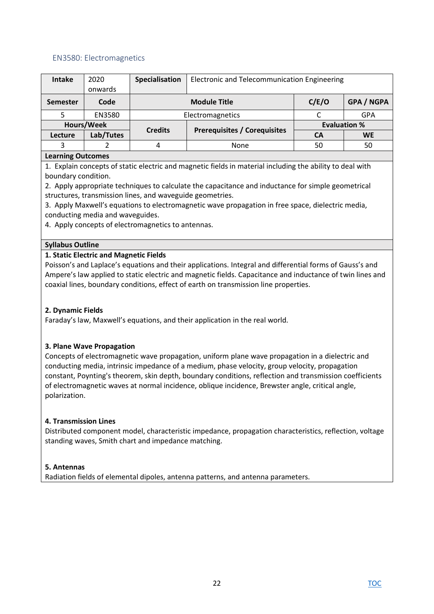### <span id="page-21-0"></span>EN3580: Electromagnetics

| Intake            | 2020       | Specialisation | Electronic and Telecommunication Engineering |                     |                   |  |
|-------------------|------------|----------------|----------------------------------------------|---------------------|-------------------|--|
|                   | onwards    |                |                                              |                     |                   |  |
| <b>Semester</b>   | Code       |                | <b>Module Title</b>                          | C/E/O               | <b>GPA / NGPA</b> |  |
|                   | EN3580     |                | Electromagnetics                             |                     | <b>GPA</b>        |  |
|                   | Hours/Week | <b>Credits</b> |                                              | <b>Evaluation %</b> |                   |  |
| Lecture           | Lab/Tutes  |                | <b>Prerequisites / Corequisites</b>          | <b>CA</b>           | <b>WE</b>         |  |
| 3                 |            | 4              | None                                         | 50                  | 50                |  |
| Logueing Outcomes |            |                |                                              |                     |                   |  |

#### **Learning Outcomes**

1. Explain concepts of static electric and magnetic fields in material including the ability to deal with boundary condition.

2. Apply appropriate techniques to calculate the capacitance and inductance for simple geometrical structures, transmission lines, and waveguide geometries.

3. Apply Maxwell's equations to electromagnetic wave propagation in free space, dielectric media, conducting media and waveguides.

4. Apply concepts of electromagnetics to antennas.

#### **Syllabus Outline**

#### **1. Static Electric and Magnetic Fields**

Poisson's and Laplace's equations and their applications. Integral and differential forms of Gauss's and Ampere's law applied to static electric and magnetic fields. Capacitance and inductance of twin lines and coaxial lines, boundary conditions, effect of earth on transmission line properties.

#### **2. Dynamic Fields**

Faraday's law, Maxwell's equations, and their application in the real world.

#### **3. Plane Wave Propagation**

Concepts of electromagnetic wave propagation, uniform plane wave propagation in a dielectric and conducting media, intrinsic impedance of a medium, phase velocity, group velocity, propagation constant, Poynting's theorem, skin depth, boundary conditions, reflection and transmission coefficients of electromagnetic waves at normal incidence, oblique incidence, Brewster angle, critical angle, polarization.

#### **4. Transmission Lines**

Distributed component model, characteristic impedance, propagation characteristics, reflection, voltage standing waves, Smith chart and impedance matching.

#### **5. Antennas**

Radiation fields of elemental dipoles, antenna patterns, and antenna parameters.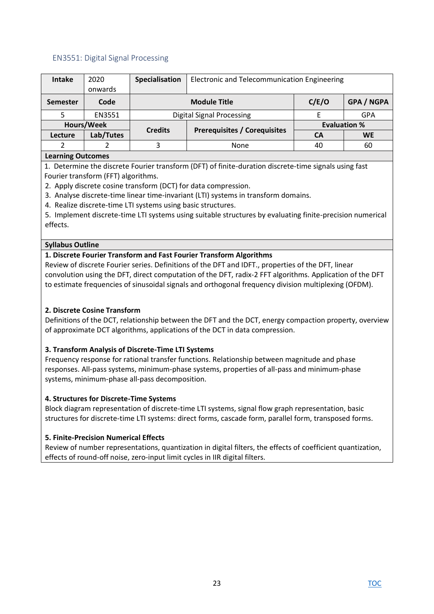### <span id="page-22-0"></span>EN3551: Digital Signal Processing

| Intake            | 2020       | Specialisation               | Electronic and Telecommunication Engineering |                     |                   |  |  |
|-------------------|------------|------------------------------|----------------------------------------------|---------------------|-------------------|--|--|
|                   | onwards    |                              |                                              |                     |                   |  |  |
| <b>Semester</b>   | Code       | C/E/O<br><b>Module Title</b> |                                              |                     | <b>GPA / NGPA</b> |  |  |
|                   | EN3551     |                              | <b>Digital Signal Processing</b>             |                     | GPA               |  |  |
|                   | Hours/Week | <b>Credits</b>               |                                              | <b>Evaluation %</b> |                   |  |  |
| Lecture           | Lab/Tutes  |                              | <b>Prerequisites / Corequisites</b>          | CA                  | <b>WE</b>         |  |  |
| 2                 |            | 3                            | None                                         | 40                  | 60                |  |  |
| Learning Outcomes |            |                              |                                              |                     |                   |  |  |

### **Learning Outcomes**

1. Determine the discrete Fourier transform (DFT) of finite-duration discrete-time signals using fast Fourier transform (FFT) algorithms.

2. Apply discrete cosine transform (DCT) for data compression.

- 3. Analyse discrete-time linear time-invariant (LTI) systems in transform domains.
- 4. Realize discrete-time LTI systems using basic structures.

5. Implement discrete-time LTI systems using suitable structures by evaluating finite-precision numerical effects.

### **Syllabus Outline**

### **1. Discrete Fourier Transform and Fast Fourier Transform Algorithms**

Review of discrete Fourier series. Definitions of the DFT and IDFT., properties of the DFT, linear convolution using the DFT, direct computation of the DFT, radix-2 FFT algorithms. Application of the DFT to estimate frequencies of sinusoidal signals and orthogonal frequency division multiplexing (OFDM).

### **2. Discrete Cosine Transform**

Definitions of the DCT, relationship between the DFT and the DCT, energy compaction property, overview of approximate DCT algorithms, applications of the DCT in data compression.

### **3. Transform Analysis of Discrete-Time LTI Systems**

Frequency response for rational transfer functions. Relationship between magnitude and phase responses. All-pass systems, minimum-phase systems, properties of all-pass and minimum-phase systems, minimum-phase all-pass decomposition.

#### **4. Structures for Discrete-Time Systems**

Block diagram representation of discrete-time LTI systems, signal flow graph representation, basic structures for discrete-time LTI systems: direct forms, cascade form, parallel form, transposed forms.

### **5. Finite-Precision Numerical Effects**

Review of number representations, quantization in digital filters, the effects of coefficient quantization, effects of round-off noise, zero-input limit cycles in IIR digital filters.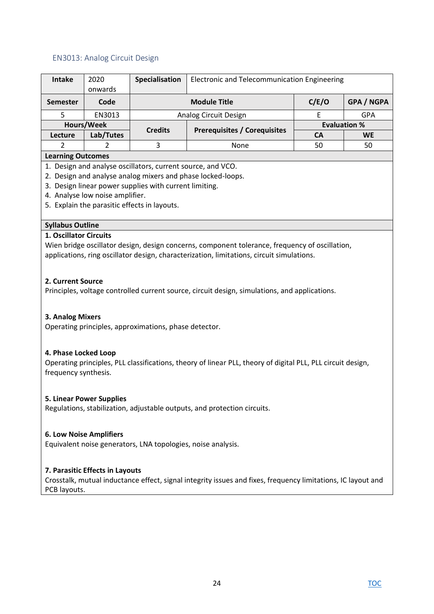### <span id="page-23-0"></span>EN3013: Analog Circuit Design

| Intake                   | 2020       | Specialisation               | Electronic and Telecommunication Engineering |    |                     |  |  |
|--------------------------|------------|------------------------------|----------------------------------------------|----|---------------------|--|--|
|                          | onwards    |                              |                                              |    |                     |  |  |
| <b>Semester</b>          | Code       | C/E/O<br><b>Module Title</b> |                                              |    | <b>GPA / NGPA</b>   |  |  |
|                          | EN3013     |                              | Analog Circuit Design                        |    | <b>GPA</b>          |  |  |
|                          | Hours/Week | <b>Credits</b>               |                                              |    | <b>Evaluation %</b> |  |  |
| Lecture                  | Lab/Tutes  |                              | <b>Prerequisites / Corequisites</b>          | CА | <b>WE</b>           |  |  |
|                          |            | 3                            | 50                                           | 50 |                     |  |  |
| <b>Learning Outcomes</b> |            |                              |                                              |    |                     |  |  |

#### **Learning Outcomes**

- 1. Design and analyse oscillators, current source, and VCO.
- 2. Design and analyse analog mixers and phase locked-loops.
- 3. Design linear power supplies with current limiting.
- 4. Analyse low noise amplifier.
- 5. Explain the parasitic effects in layouts.

### **Syllabus Outline**

#### **1. Oscillator Circuits**

Wien bridge oscillator design, design concerns, component tolerance, frequency of oscillation, applications, ring oscillator design, characterization, limitations, circuit simulations.

### **2. Current Source**

Principles, voltage controlled current source, circuit design, simulations, and applications.

### **3. Analog Mixers**

Operating principles, approximations, phase detector.

#### **4. Phase Locked Loop**

Operating principles, PLL classifications, theory of linear PLL, theory of digital PLL, PLL circuit design, frequency synthesis.

#### **5. Linear Power Supplies**

Regulations, stabilization, adjustable outputs, and protection circuits.

#### **6. Low Noise Amplifiers**

Equivalent noise generators, LNA topologies, noise analysis.

### **7. Parasitic Effects in Layouts**

Crosstalk, mutual inductance effect, signal integrity issues and fixes, frequency limitations, IC layout and PCB layouts.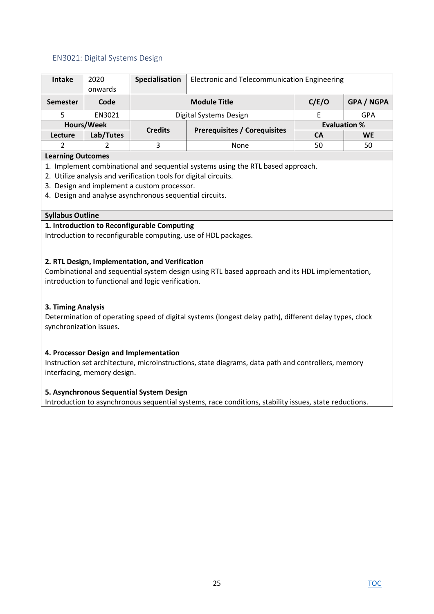### <span id="page-24-0"></span>EN3021: Digital Systems Design

| Intake                            | 2020      | Specialisation | Electronic and Telecommunication Engineering |       |                   |  |  |
|-----------------------------------|-----------|----------------|----------------------------------------------|-------|-------------------|--|--|
|                                   | onwards   |                |                                              |       |                   |  |  |
| <b>Semester</b>                   | Code      |                | <b>Module Title</b>                          | C/E/O | <b>GPA / NGPA</b> |  |  |
|                                   | EN3021    |                | Digital Systems Design                       |       | <b>GPA</b>        |  |  |
| Hours/Week<br><b>Evaluation %</b> |           |                |                                              |       |                   |  |  |
| Lecture                           | Lab/Tutes | <b>Credits</b> | <b>Prerequisites / Corequisites</b>          | CА    | <b>WE</b>         |  |  |
|                                   |           | 3              | None                                         | 50    | 50                |  |  |
| Learning Outcomes                 |           |                |                                              |       |                   |  |  |

#### **Learning Outcomes**

1. Implement combinational and sequential systems using the RTL based approach.

- 2. Utilize analysis and verification tools for digital circuits.
- 3. Design and implement a custom processor.
- 4. Design and analyse asynchronous sequential circuits.

### **Syllabus Outline**

### **1. Introduction to Reconfigurable Computing**

Introduction to reconfigurable computing, use of HDL packages.

### **2. RTL Design, Implementation, and Verification**

Combinational and sequential system design using RTL based approach and its HDL implementation, introduction to functional and logic verification.

### **3. Timing Analysis**

Determination of operating speed of digital systems (longest delay path), different delay types, clock synchronization issues.

#### **4. Processor Design and Implementation**

Instruction set architecture, microinstructions, state diagrams, data path and controllers, memory interfacing, memory design.

#### **5. Asynchronous Sequential System Design**

Introduction to asynchronous sequential systems, race conditions, stability issues, state reductions.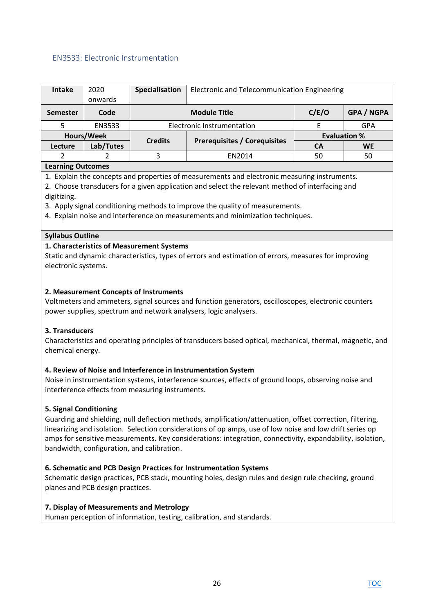### <span id="page-25-0"></span>EN3533: Electronic Instrumentation

| onwards<br>C/E/O<br><b>Module Title</b><br>Code<br><b>Semester</b><br><b>Electronic Instrumentation</b><br>EN3533<br><b>GPA</b><br>Hours/Week<br><b>Evaluation %</b><br><b>Prerequisites / Corequisites</b><br><b>Credits</b> | <b>Intake</b> | 2020      | Specialisation | Electronic and Telecommunication Engineering |           |                   |
|-------------------------------------------------------------------------------------------------------------------------------------------------------------------------------------------------------------------------------|---------------|-----------|----------------|----------------------------------------------|-----------|-------------------|
|                                                                                                                                                                                                                               |               |           |                |                                              |           |                   |
|                                                                                                                                                                                                                               |               |           |                |                                              |           | <b>GPA / NGPA</b> |
|                                                                                                                                                                                                                               |               |           |                |                                              |           |                   |
|                                                                                                                                                                                                                               |               |           |                |                                              |           |                   |
|                                                                                                                                                                                                                               | Lecture       | Lab/Tutes |                |                                              | <b>CA</b> | <b>WE</b>         |
| 50<br>EN2014<br>50                                                                                                                                                                                                            |               |           |                |                                              |           |                   |

### **Learning Outcomes**

1. Explain the concepts and properties of measurements and electronic measuring instruments.

2. Choose transducers for a given application and select the relevant method of interfacing and digitizing.

3. Apply signal conditioning methods to improve the quality of measurements.

4. Explain noise and interference on measurements and minimization techniques.

### **Syllabus Outline**

### **1. Characteristics of Measurement Systems**

Static and dynamic characteristics, types of errors and estimation of errors, measures for improving electronic systems.

### **2. Measurement Concepts of Instruments**

Voltmeters and ammeters, signal sources and function generators, oscilloscopes, electronic counters power supplies, spectrum and network analysers, logic analysers.

### **3. Transducers**

Characteristics and operating principles of transducers based optical, mechanical, thermal, magnetic, and chemical energy.

### **4. Review of Noise and Interference in Instrumentation System**

Noise in instrumentation systems, interference sources, effects of ground loops, observing noise and interference effects from measuring instruments.

### **5. Signal Conditioning**

Guarding and shielding, null deflection methods, amplification/attenuation, offset correction, filtering, linearizing and isolation. Selection considerations of op amps, use of low noise and low drift series op amps for sensitive measurements. Key considerations: integration, connectivity, expandability, isolation, bandwidth, configuration, and calibration.

### **6. Schematic and PCB Design Practices for Instrumentation Systems**

Schematic design practices, PCB stack, mounting holes, design rules and design rule checking, ground planes and PCB design practices.

### **7. Display of Measurements and Metrology**

Human perception of information, testing, calibration, and standards.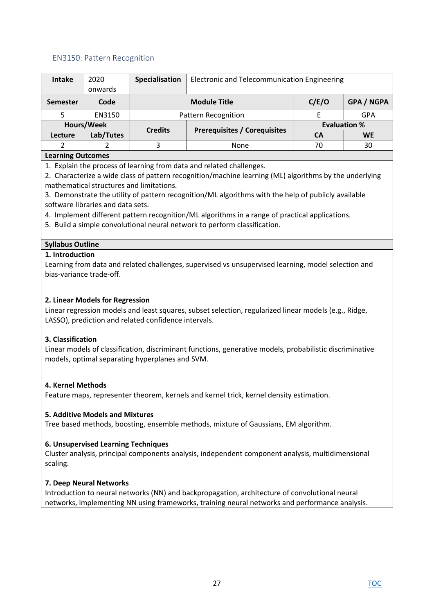### <span id="page-26-0"></span>EN3150: Pattern Recognition

| <b>Intake</b>   | 2020             | Specialisation | Electronic and Telecommunication Engineering |                     |                   |  |  |  |
|-----------------|------------------|----------------|----------------------------------------------|---------------------|-------------------|--|--|--|
|                 | onwards          |                |                                              |                     |                   |  |  |  |
| <b>Semester</b> | Code             |                | <b>Module Title</b>                          | C/E/O               | <b>GPA / NGPA</b> |  |  |  |
|                 | EN3150           |                | <b>Pattern Recognition</b>                   |                     | <b>GPA</b>        |  |  |  |
|                 | Hours/Week       | <b>Credits</b> |                                              | <b>Evaluation %</b> |                   |  |  |  |
| Lecture         | Lab/Tutes        |                | <b>Prerequisites / Corequisites</b>          | CА                  | <b>WE</b>         |  |  |  |
|                 |                  |                | None                                         | 70                  | 30                |  |  |  |
|                 | aarning Outcomes |                |                                              |                     |                   |  |  |  |

#### **Learning Outcomes**

1. Explain the process of learning from data and related challenges.

2. Characterize a wide class of pattern recognition/machine learning (ML) algorithms by the underlying mathematical structures and limitations.

3. Demonstrate the utility of pattern recognition/ML algorithms with the help of publicly available software libraries and data sets.

- 4. Implement different pattern recognition/ML algorithms in a range of practical applications.
- 5. Build a simple convolutional neural network to perform classification.

### **Syllabus Outline**

#### **1. Introduction**

Learning from data and related challenges, supervised vs unsupervised learning, model selection and bias-variance trade-off.

#### **2. Linear Models for Regression**

Linear regression models and least squares, subset selection, regularized linear models (e.g., Ridge, LASSO), prediction and related confidence intervals.

#### **3. Classification**

Linear models of classification, discriminant functions, generative models, probabilistic discriminative models, optimal separating hyperplanes and SVM.

#### **4. Kernel Methods**

Feature maps, representer theorem, kernels and kernel trick, kernel density estimation.

#### **5. Additive Models and Mixtures**

Tree based methods, boosting, ensemble methods, mixture of Gaussians, EM algorithm.

#### **6. Unsupervised Learning Techniques**

Cluster analysis, principal components analysis, independent component analysis, multidimensional scaling.

#### **7. Deep Neural Networks**

Introduction to neural networks (NN) and backpropagation, architecture of convolutional neural networks, implementing NN using frameworks, training neural networks and performance analysis.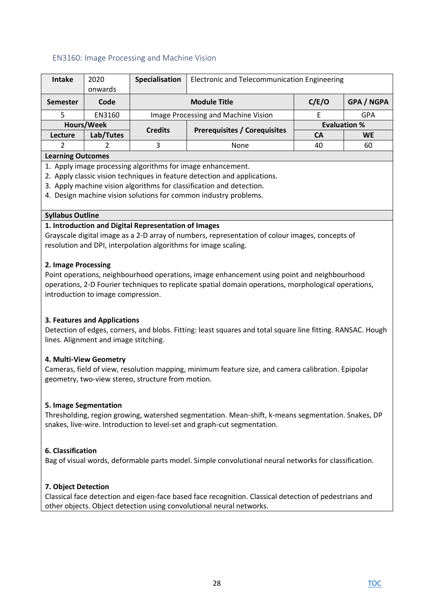### <span id="page-27-0"></span>EN3160: Image Processing and Machine Vision

| <b>Intake</b>                                       | 2020      | Specialisation                                    | Electronic and Telecommunication Engineering |           |                   |  |  |
|-----------------------------------------------------|-----------|---------------------------------------------------|----------------------------------------------|-----------|-------------------|--|--|
|                                                     | onwards   |                                                   |                                              |           |                   |  |  |
| <b>Semester</b>                                     | Code      |                                                   | <b>Module Title</b>                          | C/E/O     | <b>GPA / NGPA</b> |  |  |
|                                                     | EN3160    | Image Processing and Machine Vision<br><b>GPA</b> |                                              |           |                   |  |  |
| Hours/Week<br><b>Evaluation %</b><br><b>Credits</b> |           |                                                   |                                              |           |                   |  |  |
| Lecture                                             | Lab/Tutes |                                                   | <b>Prerequisites / Corequisites</b>          | <b>CA</b> | <b>WE</b>         |  |  |
| 2                                                   |           | 3                                                 | None                                         | 40        | 60                |  |  |
| <b>Learning Outcomes</b>                            |           |                                                   |                                              |           |                   |  |  |

1. Apply image processing algorithms for image enhancement.

- 2. Apply classic vision techniques in feature detection and applications.
- 3. Apply machine vision algorithms for classification and detection.
- 4. Design machine vision solutions for common industry problems.

#### **Syllabus Outline**

#### **1. Introduction and Digital Representation of Images**

Grayscale digital image as a 2-D array of numbers, representation of colour images, concepts of resolution and DPI, interpolation algorithms for image scaling.

#### **2. Image Processing**

Point operations, neighbourhood operations, image enhancement using point and neighbourhood operations, 2-D Fourier techniques to replicate spatial domain operations, morphological operations, introduction to image compression.

#### **3. Features and Applications**

Detection of edges, corners, and blobs. Fitting: least squares and total square line fitting. RANSAC. Hough lines. Alignment and image stitching.

#### **4. Multi-View Geometry**

Cameras, field of view, resolution mapping, minimum feature size, and camera calibration. Epipolar geometry, two-view stereo, structure from motion.

#### **5. Image Segmentation**

Thresholding, region growing, watershed segmentation. Mean-shift, k-means segmentation. Snakes, DP snakes, live-wire. Introduction to level-set and graph-cut segmentation.

#### **6. Classification**

Bag of visual words, deformable parts model. Simple convolutional neural networks for classification.

#### **7. Object Detection**

Classical face detection and eigen-face based face recognition. Classical detection of pedestrians and other objects. Object detection using convolutional neural networks.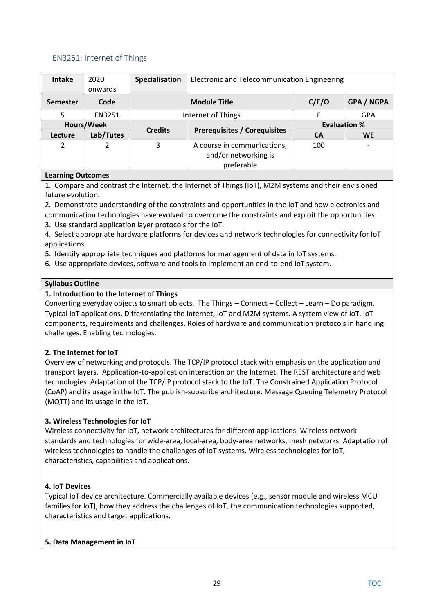### <span id="page-28-0"></span>EN3251: Internet of Things

| <b>Intake</b>   | 2020<br>onwards | Specialisation                                    | Electronic and Telecommunication Engineering |                     |            |  |
|-----------------|-----------------|---------------------------------------------------|----------------------------------------------|---------------------|------------|--|
|                 |                 |                                                   |                                              |                     |            |  |
| <b>Semester</b> | Code            | C/E/O<br><b>GPA / NGPA</b><br><b>Module Title</b> |                                              |                     |            |  |
| 5               | EN3251          | Internet of Things                                |                                              |                     | <b>GPA</b> |  |
| Hours/Week      |                 | <b>Credits</b>                                    |                                              | <b>Evaluation %</b> |            |  |
| Lecture         | Lab/Tutes       |                                                   | <b>Prerequisites / Corequisites</b>          | <b>CA</b>           | <b>WE</b>  |  |
| 2               |                 | 3                                                 | A course in communications,                  | 100                 |            |  |
|                 |                 |                                                   | and/or networking is                         |                     |            |  |
|                 |                 |                                                   | preferable                                   |                     |            |  |

### **Learning Outcomes**

1. Compare and contrast the Internet, the Internet of Things (IoT), M2M systems and their envisioned future evolution.

2. Demonstrate understanding of the constraints and opportunities in the IoT and how electronics and

communication technologies have evolved to overcome the constraints and exploit the opportunities.

3. Use standard application layer protocols for the IoT.

4. Select appropriate hardware platforms for devices and network technologies for connectivity for IoT applications.

5. Identify appropriate techniques and platforms for management of data in IoT systems.

6. Use appropriate devices, software and tools to implement an end-to-end IoT system.

### **Syllabus Outline**

# **1. Introduction to the Internet of Things**

Converting everyday objects to smart objects. The Things – Connect – Collect – Learn – Do paradigm. Typical IoT applications. Differentiating the Internet, IoT and M2M systems. A system view of IoT. IoT components, requirements and challenges. Roles of hardware and communication protocols in handling challenges. Enabling technologies.

# **2. The Internet for IoT**

Overview of networking and protocols. The TCP/IP protocol stack with emphasis on the application and transport layers. Application-to-application interaction on the Internet. The REST architecture and web technologies. Adaptation of the TCP/IP protocol stack to the IoT. The Constrained Application Protocol (CoAP) and its usage in the IoT. The publish-subscribe architecture. Message Queuing Telemetry Protocol (MQTT) and its usage in the IoT.

# **3. Wireless Technologies for IoT**

Wireless connectivity for IoT, network architectures for different applications. Wireless network standards and technologies for wide-area, local-area, body-area networks, mesh networks. Adaptation of wireless technologies to handle the challenges of IoT systems. Wireless technologies for IoT, characteristics, capabilities and applications.

### **4. IoT Devices**

Typical IoT device architecture. Commercially available devices (e.g., sensor module and wireless MCU families for IoT), how they address the challenges of IoT, the communication technologies supported, characteristics and target applications.

### **5. Data Management in IoT**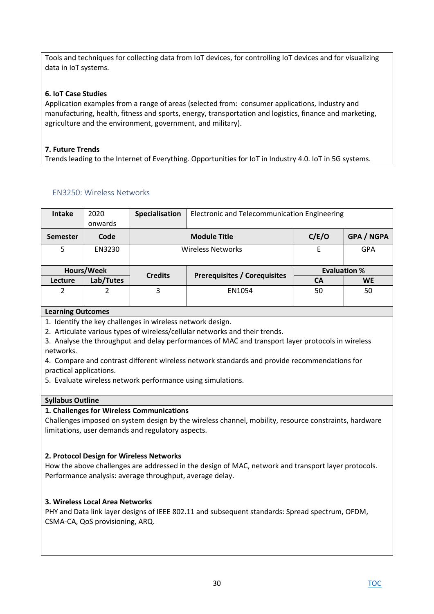Tools and techniques for collecting data from IoT devices, for controlling IoT devices and for visualizing data in IoT systems.

### **6. IoT Case Studies**

Application examples from a range of areas (selected from: consumer applications, industry and manufacturing, health, fitness and sports, energy, transportation and logistics, finance and marketing, agriculture and the environment, government, and military).

# **7. Future Trends**

Trends leading to the Internet of Everything. Opportunities for IoT in Industry 4.0. IoT in 5G systems.

# <span id="page-29-0"></span>EN3250: Wireless Networks

| <b>Intake</b> | 2020      | Specialisation                             | Electronic and Telecommunication Engineering |                     |            |  |
|---------------|-----------|--------------------------------------------|----------------------------------------------|---------------------|------------|--|
|               | onwards   |                                            |                                              |                     |            |  |
| Semester      | Code      | C/E/O<br>GPA / NGPA<br><b>Module Title</b> |                                              |                     |            |  |
| 5             | EN3230    |                                            | <b>Wireless Networks</b>                     | F                   | <b>GPA</b> |  |
|               |           |                                            |                                              |                     |            |  |
| Hours/Week    |           | <b>Credits</b>                             |                                              | <b>Evaluation %</b> |            |  |
| Lecture       | Lab/Tutes |                                            | <b>Prerequisites / Corequisites</b>          | <b>CA</b>           | <b>WE</b>  |  |
| 2             | 2         | 3                                          | EN1054                                       | 50                  | 50         |  |
|               |           |                                            |                                              |                     |            |  |

#### **Learning Outcomes**

1. Identify the key challenges in wireless network design.

2. Articulate various types of wireless/cellular networks and their trends.

3. Analyse the throughput and delay performances of MAC and transport layer protocols in wireless networks.

4. Compare and contrast different wireless network standards and provide recommendations for practical applications.

5. Evaluate wireless network performance using simulations.

### **Syllabus Outline**

### **1. Challenges for Wireless Communications**

Challenges imposed on system design by the wireless channel, mobility, resource constraints, hardware limitations, user demands and regulatory aspects.

### **2. Protocol Design for Wireless Networks**

How the above challenges are addressed in the design of MAC, network and transport layer protocols. Performance analysis: average throughput, average delay.

### **3. Wireless Local Area Networks**

PHY and Data link layer designs of IEEE 802.11 and subsequent standards: Spread spectrum, OFDM, CSMA-CA, QoS provisioning, ARQ.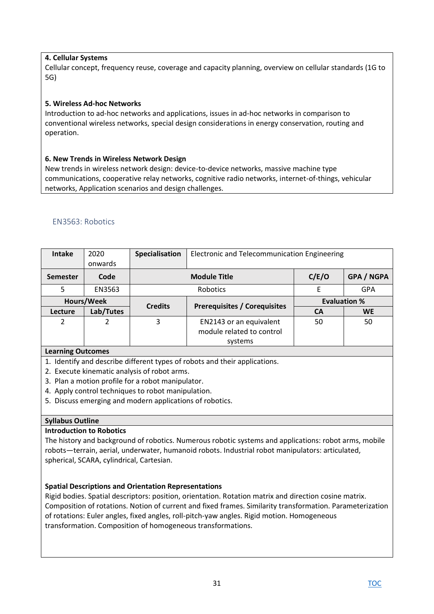### **4. Cellular Systems**

Cellular concept, frequency reuse, coverage and capacity planning, overview on cellular standards (1G to 5G)

### **5. Wireless Ad-hoc Networks**

Introduction to ad-hoc networks and applications, issues in ad-hoc networks in comparison to conventional wireless networks, special design considerations in energy conservation, routing and operation.

### **6. New Trends in Wireless Network Design**

New trends in wireless network design: device-to-device networks, massive machine type communications, cooperative relay networks, cognitive radio networks, internet-of-things, vehicular networks, Application scenarios and design challenges.

# <span id="page-30-0"></span>EN3563: Robotics

| <b>Intake</b>   | 2020<br>onwards | Specialisation | Electronic and Telecommunication Engineering                    |           |                     |
|-----------------|-----------------|----------------|-----------------------------------------------------------------|-----------|---------------------|
| <b>Semester</b> | Code            |                | <b>Module Title</b>                                             | C/E/O     | <b>GPA / NGPA</b>   |
| 5               | EN3563          |                | Robotics                                                        | F         | GPA                 |
| Hours/Week      |                 |                | <b>Credits</b><br><b>Prerequisites / Corequisites</b>           |           | <b>Evaluation %</b> |
| Lecture         | Lab/Tutes       |                |                                                                 | <b>CA</b> | <b>WE</b>           |
| $\mathfrak{p}$  |                 | 3              | EN2143 or an equivalent<br>module related to control<br>systems | 50        | 50                  |

### **Learning Outcomes**

1. Identify and describe different types of robots and their applications.

- 2. Execute kinematic analysis of robot arms.
- 3. Plan a motion profile for a robot manipulator.
- 4. Apply control techniques to robot manipulation.
- 5. Discuss emerging and modern applications of robotics.

### **Syllabus Outline**

### **Introduction to Robotics**

The history and background of robotics. Numerous robotic systems and applications: robot arms, mobile robots—terrain, aerial, underwater, humanoid robots. Industrial robot manipulators: articulated, spherical, SCARA, cylindrical, Cartesian.

### **Spatial Descriptions and Orientation Representations**

Rigid bodies. Spatial descriptors: position, orientation. Rotation matrix and direction cosine matrix. Composition of rotations. Notion of current and fixed frames. Similarity transformation. Parameterization of rotations: Euler angles, fixed angles, roll-pitch-yaw angles. Rigid motion. Homogeneous transformation. Composition of homogeneous transformations.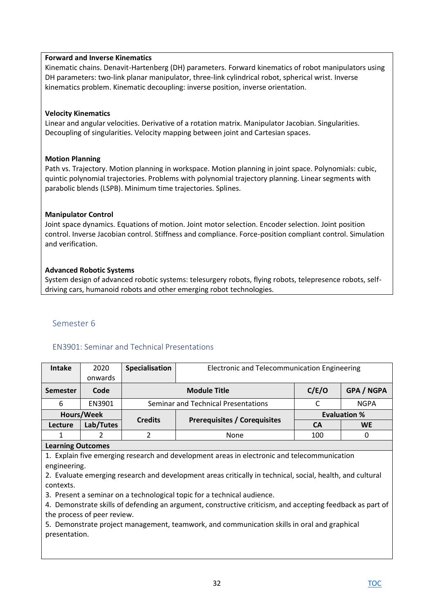### **Forward and Inverse Kinematics**

Kinematic chains. Denavit-Hartenberg (DH) parameters. Forward kinematics of robot manipulators using DH parameters: two-link planar manipulator, three-link cylindrical robot, spherical wrist. Inverse kinematics problem. Kinematic decoupling: inverse position, inverse orientation.

### **Velocity Kinematics**

Linear and angular velocities. Derivative of a rotation matrix. Manipulator Jacobian. Singularities. Decoupling of singularities. Velocity mapping between joint and Cartesian spaces.

### **Motion Planning**

Path vs. Trajectory. Motion planning in workspace. Motion planning in joint space. Polynomials: cubic, quintic polynomial trajectories. Problems with polynomial trajectory planning. Linear segments with parabolic blends (LSPB). Minimum time trajectories. Splines.

### **Manipulator Control**

Joint space dynamics. Equations of motion. Joint motor selection. Encoder selection. Joint position control. Inverse Jacobian control. Stiffness and compliance. Force-position compliant control. Simulation and verification.

### **Advanced Robotic Systems**

System design of advanced robotic systems: telesurgery robots, flying robots, telepresence robots, selfdriving cars, humanoid robots and other emerging robot technologies.

#### <span id="page-31-0"></span>Semester 6

### <span id="page-31-1"></span>EN3901: Seminar and Technical Presentations

| <b>Intake</b>                              | 2020                        | <b>Specialisation</b> | Electronic and Telecommunication Engineering                                                                                                                                                                                                                                                                                                                                                                                                                                                    |           |                     |  |  |  |
|--------------------------------------------|-----------------------------|-----------------------|-------------------------------------------------------------------------------------------------------------------------------------------------------------------------------------------------------------------------------------------------------------------------------------------------------------------------------------------------------------------------------------------------------------------------------------------------------------------------------------------------|-----------|---------------------|--|--|--|
|                                            | onwards                     |                       |                                                                                                                                                                                                                                                                                                                                                                                                                                                                                                 |           |                     |  |  |  |
| <b>Semester</b>                            | Code                        |                       | C/E/O<br>GPA / NGPA<br><b>Module Title</b>                                                                                                                                                                                                                                                                                                                                                                                                                                                      |           |                     |  |  |  |
| 6                                          | EN3901                      |                       | Seminar and Technical Presentations                                                                                                                                                                                                                                                                                                                                                                                                                                                             | C         | <b>NGPA</b>         |  |  |  |
|                                            | Hours/Week                  |                       |                                                                                                                                                                                                                                                                                                                                                                                                                                                                                                 |           | <b>Evaluation %</b> |  |  |  |
| Lecture                                    | Lab/Tutes                   | <b>Credits</b>        | <b>Prerequisites / Corequisites</b>                                                                                                                                                                                                                                                                                                                                                                                                                                                             | <b>CA</b> | <b>WE</b>           |  |  |  |
| 1                                          | $\mathfrak{p}$              | 2                     | None                                                                                                                                                                                                                                                                                                                                                                                                                                                                                            | 100       | 0                   |  |  |  |
| <b>Learning Outcomes</b>                   |                             |                       |                                                                                                                                                                                                                                                                                                                                                                                                                                                                                                 |           |                     |  |  |  |
| engineering.<br>contexts.<br>presentation. | the process of peer review. |                       | 1. Explain five emerging research and development areas in electronic and telecommunication<br>2. Evaluate emerging research and development areas critically in technical, social, health, and cultural<br>3. Present a seminar on a technological topic for a technical audience.<br>4. Demonstrate skills of defending an argument, constructive criticism, and accepting feedback as part of<br>5. Demonstrate project management, teamwork, and communication skills in oral and graphical |           |                     |  |  |  |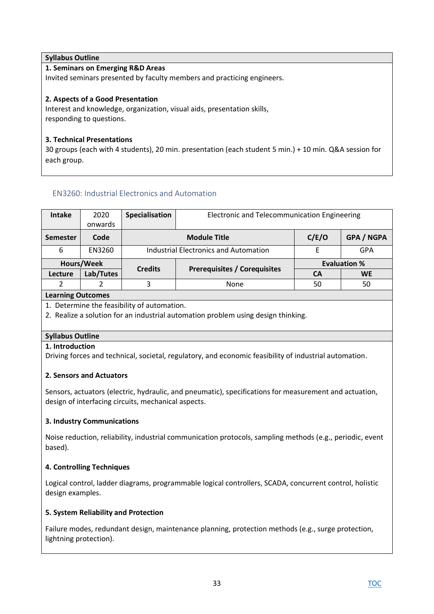# **Syllabus Outline 1. Seminars on Emerging R&D Areas** Invited seminars presented by faculty members and practicing engineers. **2. Aspects of a Good Presentation**

Interest and knowledge, organization, visual aids, presentation skills, responding to questions.

# **3. Technical Presentations**

30 groups (each with 4 students), 20 min. presentation (each student 5 min.) + 10 min. Q&A session for each group.

# <span id="page-32-0"></span>EN3260: Industrial Electronics and Automation

| <b>Intake</b> | 2020      | Specialisation | Electronic and Telecommunication Engineering      |                     |           |
|---------------|-----------|----------------|---------------------------------------------------|---------------------|-----------|
|               | onwards   |                |                                                   |                     |           |
| Semester      | Code      |                | C/E/O<br><b>GPA / NGPA</b><br><b>Module Title</b> |                     |           |
| 6             | EN3260    |                | <b>Industrial Electronics and Automation</b>      | E                   | GPA       |
| Hours/Week    |           |                |                                                   | <b>Evaluation %</b> |           |
| Lecture       | Lab/Tutes | <b>Credits</b> | <b>Prerequisites / Corequisites</b>               | <b>CA</b>           | <b>WE</b> |
|               |           |                | <b>None</b>                                       | 50                  | 50        |

### **Learning Outcomes**

1. Determine the feasibility of automation.

2. Realize a solution for an industrial automation problem using design thinking.

# **Syllabus Outline**

### **1. Introduction**

Driving forces and technical, societal, regulatory, and economic feasibility of industrial automation.

# **2. Sensors and Actuators**

Sensors, actuators (electric, hydraulic, and pneumatic), specifications for measurement and actuation, design of interfacing circuits, mechanical aspects.

# **3. Industry Communications**

Noise reduction, reliability, industrial communication protocols, sampling methods (e.g., periodic, event based).

# **4. Controlling Techniques**

Logical control, ladder diagrams, programmable logical controllers, SCADA, concurrent control, holistic design examples.

### **5. System Reliability and Protection**

Failure modes, redundant design, maintenance planning, protection methods (e.g., surge protection, lightning protection).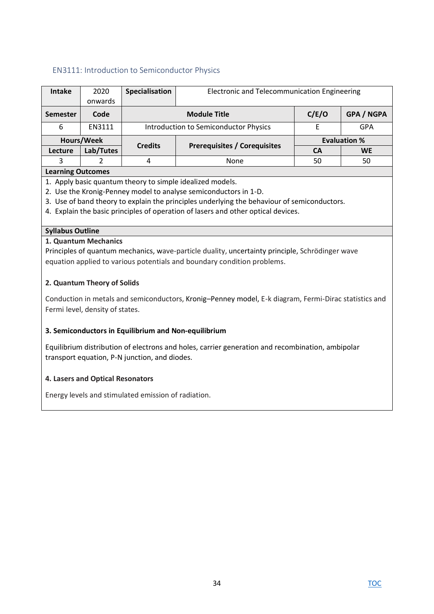# <span id="page-33-0"></span>EN3111: Introduction to Semiconductor Physics

| <b>Intake</b>   | 2020       | Specialisation | Electronic and Telecommunication Engineering |                     |                   |  |
|-----------------|------------|----------------|----------------------------------------------|---------------------|-------------------|--|
|                 |            |                |                                              |                     |                   |  |
|                 | onwards    |                |                                              |                     |                   |  |
| <b>Semester</b> | Code       |                | <b>Module Title</b>                          | C/E/O               | <b>GPA / NGPA</b> |  |
| 6               | EN3111     |                | Introduction to Semiconductor Physics        | F                   | GPA               |  |
|                 | Hours/Week | <b>Credits</b> |                                              | <b>Evaluation %</b> |                   |  |
| Lecture         | Lab/Tutes  |                | <b>Prerequisites / Corequisites</b>          | CА                  | <b>WE</b>         |  |
| 3               |            | 4              | None                                         | 50                  | 50                |  |
|                 |            |                |                                              |                     |                   |  |

#### **Learning Outcomes**

- 1. Apply basic quantum theory to simple idealized models.
- 2. Use the Kronig-Penney model to analyse semiconductors in 1-D.
- 3. Use of band theory to explain the principles underlying the behaviour of semiconductors.
- 4. Explain the basic principles of operation of lasers and other optical devices.

#### **Syllabus Outline**

#### **1. Quantum Mechanics**

Principles of quantum mechanics, wave-particle duality, uncertainty principle, Schrödinger wave equation applied to various potentials and boundary condition problems.

#### **2. Quantum Theory of Solids**

Conduction in metals and semiconductors, Kronig–Penney model, E-k diagram, Fermi-Dirac statistics and Fermi level, density of states.

#### **3. Semiconductors in Equilibrium and Non-equilibrium**

Equilibrium distribution of electrons and holes, carrier generation and recombination, ambipolar transport equation, P-N junction, and diodes.

#### **4. Lasers and Optical Resonators**

Energy levels and stimulated emission of radiation.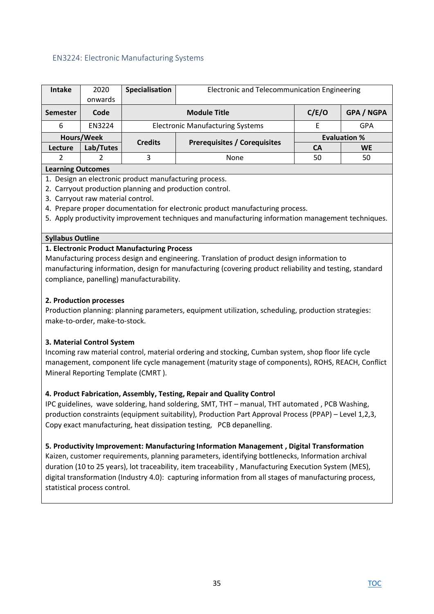### <span id="page-34-0"></span>EN3224: Electronic Manufacturing Systems

| <b>Intake</b>   | 2020      | Specialisation | Electronic and Telecommunication Engineering      |    |                     |  |
|-----------------|-----------|----------------|---------------------------------------------------|----|---------------------|--|
|                 | onwards   |                |                                                   |    |                     |  |
| <b>Semester</b> | Code      |                | C/E/O<br><b>GPA / NGPA</b><br><b>Module Title</b> |    |                     |  |
| 6               | EN3224    |                | <b>Electronic Manufacturing Systems</b>           | F  | GPA                 |  |
| Hours/Week      |           | <b>Credits</b> |                                                   |    | <b>Evaluation %</b> |  |
| Lecture         | Lab/Tutes |                | <b>Prerequisites / Corequisites</b>               | CА | <b>WE</b>           |  |
| າ               |           | 3              | None                                              | 50 | 50                  |  |

#### **Learning Outcomes**

- 1. Design an electronic product manufacturing process.
- 2. Carryout production planning and production control.
- 3. Carryout raw material control.
- 4. Prepare proper documentation for electronic product manufacturing process.
- 5. Apply productivity improvement techniques and manufacturing information management techniques.

### **Syllabus Outline**

### **1. Electronic Product Manufacturing Process**

Manufacturing process design and engineering. Translation of product design information to manufacturing information, design for manufacturing (covering product reliability and testing, standard compliance, panelling) manufacturability.

### **2. Production processes**

Production planning: planning parameters, equipment utilization, scheduling, production strategies: make-to-order, make-to-stock.

### **3. Material Control System**

Incoming raw material control, material ordering and stocking, Cumban system, shop floor life cycle management, component life cycle management (maturity stage of components), ROHS, REACH, Conflict Mineral Reporting Template (CMRT ).

### **4. Product Fabrication, Assembly, Testing, Repair and Quality Control**

IPC guidelines, wave soldering, hand soldering, SMT, THT – manual, THT automated , PCB Washing, production constraints (equipment suitability), Production Part Approval Process (PPAP) – Level 1,2,3, Copy exact manufacturing, heat dissipation testing, PCB depanelling.

#### **5. Productivity Improvement: Manufacturing Information Management , Digital Transformation**

Kaizen, customer requirements, planning parameters, identifying bottlenecks, Information archival duration (10 to 25 years), lot traceability, item traceability , Manufacturing Execution System (MES), digital transformation (Industry 4.0): capturing information from all stages of manufacturing process, statistical process control.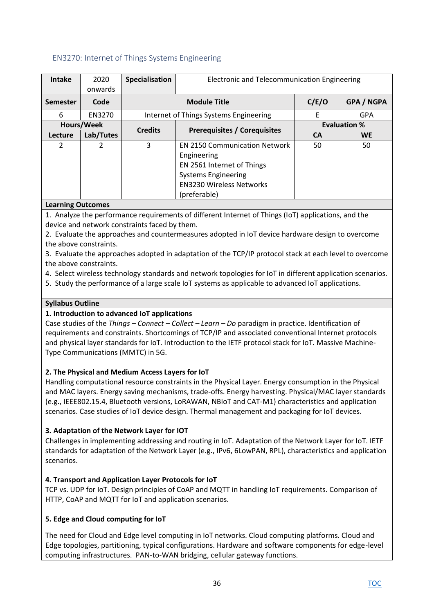# <span id="page-35-0"></span>EN3270: Internet of Things Systems Engineering

| <b>Intake</b>   | 2020          | Specialisation | <b>Electronic and Telecommunication Engineering</b> |           |                     |  |  |
|-----------------|---------------|----------------|-----------------------------------------------------|-----------|---------------------|--|--|
|                 | onwards       |                |                                                     |           |                     |  |  |
| <b>Semester</b> | Code          |                | <b>Module Title</b>                                 | C/E/O     | GPA / NGPA          |  |  |
| 6               | EN3270        |                | Internet of Things Systems Engineering              | E         | <b>GPA</b>          |  |  |
|                 | Hours/Week    |                |                                                     |           | <b>Evaluation %</b> |  |  |
| Lecture         | Lab/Tutes     | <b>Credits</b> | <b>Prerequisites / Corequisites</b>                 | <b>CA</b> | <b>WE</b>           |  |  |
| $\mathcal{P}$   | $\mathcal{P}$ | 3              | <b>EN 2150 Communication Network</b>                | 50        | 50                  |  |  |
|                 |               |                | Engineering                                         |           |                     |  |  |
|                 |               |                | EN 2561 Internet of Things                          |           |                     |  |  |
|                 |               |                | <b>Systems Engineering</b>                          |           |                     |  |  |
|                 |               |                | <b>EN3230 Wireless Networks</b>                     |           |                     |  |  |
|                 |               |                | (preferable)                                        |           |                     |  |  |

### **Learning Outcomes**

1. Analyze the performance requirements of different Internet of Things (IoT) applications, and the device and network constraints faced by them.

2. Evaluate the approaches and countermeasures adopted in IoT device hardware design to overcome the above constraints.

3. Evaluate the approaches adopted in adaptation of the TCP/IP protocol stack at each level to overcome the above constraints.

4. Select wireless technology standards and network topologies for IoT in different application scenarios.

5. Study the performance of a large scale IoT systems as applicable to advanced IoT applications.

### **Syllabus Outline**

### **1. Introduction to advanced IoT applications**

Case studies of the *Things – Connect – Collect – Learn – Do* paradigm in practice. Identification of requirements and constraints. Shortcomings of TCP/IP and associated conventional Internet protocols and physical layer standards for IoT. Introduction to the IETF protocol stack for IoT. Massive Machine-Type Communications (MMTC) in 5G.

### **2. The Physical and Medium Access Layers for IoT**

Handling computational resource constraints in the Physical Layer. Energy consumption in the Physical and MAC layers. Energy saving mechanisms, trade-offs. Energy harvesting. Physical/MAC layer standards (e.g., IEEE802.15.4, Bluetooth versions, LoRAWAN, NBIoT and CAT-M1) characteristics and application scenarios. Case studies of IoT device design. Thermal management and packaging for IoT devices.

### **3. Adaptation of the Network Layer for IOT**

Challenges in implementing addressing and routing in IoT. Adaptation of the Network Layer for IoT. IETF standards for adaptation of the Network Layer (e.g., IPv6, 6LowPAN, RPL), characteristics and application scenarios.

### **4. Transport and Application Layer Protocols for IoT**

TCP vs. UDP for IoT. Design principles of CoAP and MQTT in handling IoT requirements. Comparison of HTTP, CoAP and MQTT for IoT and application scenarios.

### **5. Edge and Cloud computing for IoT**

The need for Cloud and Edge level computing in IoT networks. Cloud computing platforms. Cloud and Edge topologies, partitioning, typical configurations. Hardware and software components for edge-level computing infrastructures. PAN-to-WAN bridging, cellular gateway functions.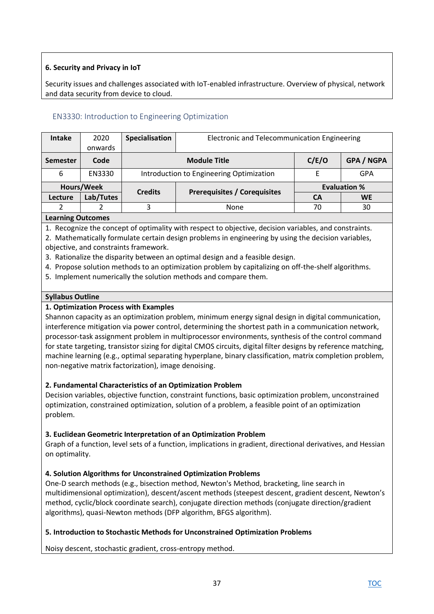# **6. Security and Privacy in IoT**

Security issues and challenges associated with IoT-enabled infrastructure. Overview of physical, network and data security from device to cloud.

# EN3330: Introduction to Engineering Optimization

| <b>Intake</b>                                                | 2020       | Specialisation | Electronic and Telecommunication Engineering |                     |                   |
|--------------------------------------------------------------|------------|----------------|----------------------------------------------|---------------------|-------------------|
|                                                              | onwards    |                |                                              |                     |                   |
| <b>Semester</b>                                              | Code       |                | <b>Module Title</b>                          | C/E/O               | <b>GPA / NGPA</b> |
| 6                                                            | EN3330     |                | Introduction to Engineering Optimization     | E                   | <b>GPA</b>        |
|                                                              | Hours/Week | <b>Credits</b> |                                              | <b>Evaluation %</b> |                   |
| Lecture                                                      | Lab/Tutes  |                | <b>Prerequisites / Corequisites</b>          | CА                  | <b>WE</b>         |
|                                                              |            | 3              | <b>None</b>                                  | 70                  | 30                |
| <b>I</b> and $\mathbf{r}$ is a subsequently and $\mathbf{r}$ |            |                |                                              |                     |                   |

## **Learning Outcomes**

1. Recognize the concept of optimality with respect to objective, decision variables, and constraints.

2. Mathematically formulate certain design problems in engineering by using the decision variables, objective, and constraints framework.

- 3. Rationalize the disparity between an optimal design and a feasible design.
- 4. Propose solution methods to an optimization problem by capitalizing on off-the-shelf algorithms.
- 5. Implement numerically the solution methods and compare them.

### **Syllabus Outline**

### **1. Optimization Process with Examples**

Shannon capacity as an optimization problem, minimum energy signal design in digital communication, interference mitigation via power control, determining the shortest path in a communication network, processor-task assignment problem in multiprocessor environments, synthesis of the control command for state targeting, transistor sizing for digital CMOS circuits, digital filter designs by reference matching, machine learning (e.g., optimal separating hyperplane, binary classification, matrix completion problem, non-negative matrix factorization), image denoising.

## **2. Fundamental Characteristics of an Optimization Problem**

Decision variables, objective function, constraint functions, basic optimization problem, unconstrained optimization, constrained optimization, solution of a problem, a feasible point of an optimization problem.

## **3. Euclidean Geometric Interpretation of an Optimization Problem**

Graph of a function, level sets of a function, implications in gradient, directional derivatives, and Hessian on optimality.

## **4. Solution Algorithms for Unconstrained Optimization Problems**

One-D search methods (e.g., bisection method, Newton's Method, bracketing, line search in multidimensional optimization), descent/ascent methods (steepest descent, gradient descent, Newton's method, cyclic/block coordinate search), conjugate direction methods (conjugate direction/gradient algorithms), quasi-Newton methods (DFP algorithm, BFGS algorithm).

## **5. Introduction to Stochastic Methods for Unconstrained Optimization Problems**

Noisy descent, stochastic gradient, cross-entropy method.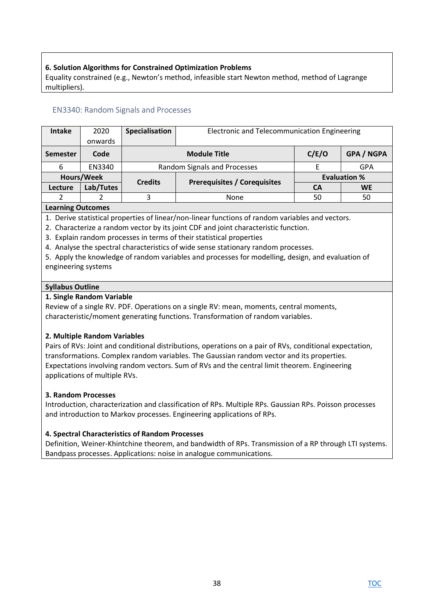## **6. Solution Algorithms for Constrained Optimization Problems**

Equality constrained (e.g., Newton's method, infeasible start Newton method, method of Lagrange multipliers).

# EN3340: Random Signals and Processes

| <b>Intake</b>     | 2020       | Specialisation | Electronic and Telecommunication Engineering |                     |                   |
|-------------------|------------|----------------|----------------------------------------------|---------------------|-------------------|
|                   | onwards    |                |                                              |                     |                   |
| <b>Semester</b>   | Code       |                | <b>Module Title</b>                          | C/E/O               | <b>GPA / NGPA</b> |
| 6                 | EN3340     |                | Random Signals and Processes                 |                     | <b>GPA</b>        |
|                   | Hours/Week | <b>Credits</b> | <b>Prerequisites / Corequisites</b>          | <b>Evaluation %</b> |                   |
| Lecture           | Lab/Tutes  |                |                                              | CА                  | <b>WE</b>         |
|                   |            | 3              | <b>None</b>                                  | 50                  | 50                |
| Loarning Outcomps |            |                |                                              |                     |                   |

#### **Learning Outcomes**

1. Derive statistical properties of linear/non-linear functions of random variables and vectors.

- 2. Characterize a random vector by its joint CDF and joint characteristic function.
- 3. Explain random processes in terms of their statistical properties
- 4. Analyse the spectral characteristics of wide sense stationary random processes.

5. Apply the knowledge of random variables and processes for modelling, design, and evaluation of engineering systems

#### **Syllabus Outline**

### **1. Single Random Variable**

Review of a single RV. PDF. Operations on a single RV: mean, moments, central moments, characteristic/moment generating functions. Transformation of random variables.

## **2. Multiple Random Variables**

Pairs of RVs: Joint and conditional distributions, operations on a pair of RVs, conditional expectation, transformations. Complex random variables. The Gaussian random vector and its properties. Expectations involving random vectors. Sum of RVs and the central limit theorem. Engineering applications of multiple RVs.

## **3. Random Processes**

Introduction, characterization and classification of RPs. Multiple RPs. Gaussian RPs. Poisson processes and introduction to Markov processes. Engineering applications of RPs.

## **4. Spectral Characteristics of Random Processes**

Definition, Weiner-Khintchine theorem, and bandwidth of RPs. Transmission of a RP through LTI systems. Bandpass processes. Applications: noise in analogue communications.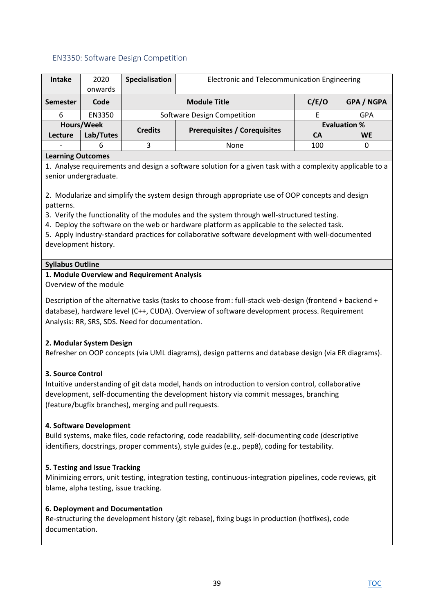## EN3350: Software Design Competition

| <b>Intake</b>    | 2020       | Specialisation | Electronic and Telecommunication Engineering |                     |                   |
|------------------|------------|----------------|----------------------------------------------|---------------------|-------------------|
|                  | onwards    |                |                                              |                     |                   |
| <b>Semester</b>  | Code       |                | <b>Module Title</b>                          | C/E/O               | <b>GPA / NGPA</b> |
| 6                | EN3350     |                | Software Design Competition                  |                     | GPA               |
|                  | Hours/Week | <b>Credits</b> |                                              | <b>Evaluation %</b> |                   |
| Lecture          | Lab/Tutes  |                | <b>Prerequisites / Corequisites</b>          | CА                  | <b>WE</b>         |
|                  | 6          | 3              | None                                         | 100                 |                   |
| corpina Outcomes |            |                |                                              |                     |                   |

### **Learning Outcomes**

1. Analyse requirements and design a software solution for a given task with a complexity applicable to a senior undergraduate.

2. Modularize and simplify the system design through appropriate use of OOP concepts and design patterns.

3. Verify the functionality of the modules and the system through well-structured testing.

4. Deploy the software on the web or hardware platform as applicable to the selected task.

5. Apply industry-standard practices for collaborative software development with well-documented development history.

### **Syllabus Outline**

### **1. Module Overview and Requirement Analysis**

Overview of the module

Description of the alternative tasks (tasks to choose from: full-stack web-design (frontend + backend + database), hardware level (C++, CUDA). Overview of software development process. Requirement Analysis: RR, SRS, SDS. Need for documentation.

## **2. Modular System Design**

Refresher on OOP concepts (via UML diagrams), design patterns and database design (via ER diagrams).

## **3. Source Control**

Intuitive understanding of git data model, hands on introduction to version control, collaborative development, self-documenting the development history via commit messages, branching (feature/bugfix branches), merging and pull requests.

#### **4. Software Development**

Build systems, make files, code refactoring, code readability, self-documenting code (descriptive identifiers, docstrings, proper comments), style guides (e.g., pep8), coding for testability.

## **5. Testing and Issue Tracking**

Minimizing errors, unit testing, integration testing, continuous-integration pipelines, code reviews, git blame, alpha testing, issue tracking.

## **6. Deployment and Documentation**

Re-structuring the development history (git rebase), fixing bugs in production (hotfixes), code documentation.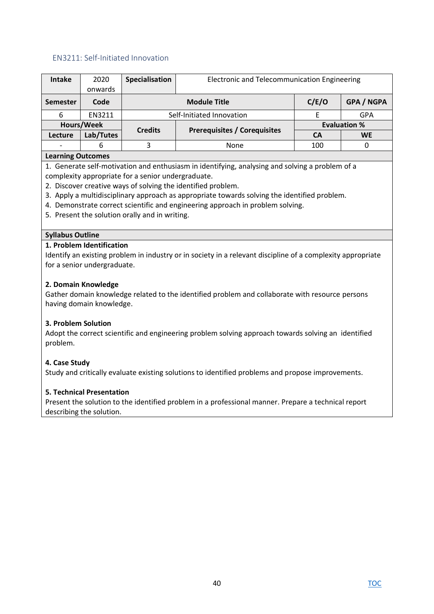## EN3211: Self-Initiated Innovation

| <b>Intake</b>                                                                                | 2020       | Specialisation                                     | Electronic and Telecommunication Engineering                                                    |           |                     |  |
|----------------------------------------------------------------------------------------------|------------|----------------------------------------------------|-------------------------------------------------------------------------------------------------|-----------|---------------------|--|
|                                                                                              | onwards    |                                                    |                                                                                                 |           |                     |  |
| <b>Semester</b>                                                                              | Code       |                                                    | <b>Module Title</b>                                                                             | C/E/O     | GPA / NGPA          |  |
| 6                                                                                            | EN3211     |                                                    | Self-Initiated Innovation                                                                       | E         | GPA                 |  |
|                                                                                              | Hours/Week |                                                    |                                                                                                 |           | <b>Evaluation %</b> |  |
| <b>Lecture</b>                                                                               | Lab/Tutes  | <b>Credits</b>                                     | <b>Prerequisites / Corequisites</b>                                                             | <b>CA</b> | <b>WE</b>           |  |
|                                                                                              | 6          | 3                                                  | None                                                                                            | 100       | 0                   |  |
| <b>Learning Outcomes</b>                                                                     |            |                                                    |                                                                                                 |           |                     |  |
|                                                                                              |            |                                                    | 1. Generate self-motivation and enthusiasm in identifying, analysing and solving a problem of a |           |                     |  |
|                                                                                              |            | complexity appropriate for a senior undergraduate. |                                                                                                 |           |                     |  |
|                                                                                              |            |                                                    | 2. Discover creative ways of solving the identified problem.                                    |           |                     |  |
| 3. Apply a multidisciplinary approach as appropriate towards solving the identified problem. |            |                                                    |                                                                                                 |           |                     |  |
| 4. Demonstrate correct scientific and engineering approach in problem solving.               |            |                                                    |                                                                                                 |           |                     |  |
|                                                                                              |            | 5. Present the solution orally and in writing.     |                                                                                                 |           |                     |  |
|                                                                                              |            |                                                    |                                                                                                 |           |                     |  |

#### **Syllabus Outline**

#### **1. Problem Identification**

Identify an existing problem in industry or in society in a relevant discipline of a complexity appropriate for a senior undergraduate.

#### **2. Domain Knowledge**

Gather domain knowledge related to the identified problem and collaborate with resource persons having domain knowledge.

#### **3. Problem Solution**

Adopt the correct scientific and engineering problem solving approach towards solving an identified problem.

#### **4. Case Study**

Study and critically evaluate existing solutions to identified problems and propose improvements.

#### **5. Technical Presentation**

Present the solution to the identified problem in a professional manner. Prepare a technical report describing the solution.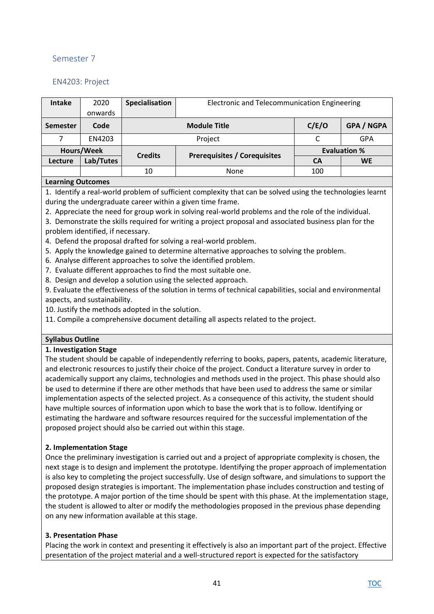# Semester 7

# EN4203: Project

| <b>Intake</b> | 2020       | Specialisation | Electronic and Telecommunication Engineering |                     |                   |
|---------------|------------|----------------|----------------------------------------------|---------------------|-------------------|
|               | onwards    |                |                                              |                     |                   |
| Semester      | Code       |                | <b>Module Title</b>                          | C/E/O               | <b>GPA / NGPA</b> |
|               | EN4203     |                | Project                                      |                     | GPA               |
|               | Hours/Week | <b>Credits</b> |                                              | <b>Evaluation %</b> |                   |
| Lecture       | Lab/Tutes  |                | <b>Prerequisites / Corequisites</b>          | <b>CA</b>           | <b>WE</b>         |
|               |            | 10             | None                                         | 100                 |                   |
|               |            |                |                                              |                     |                   |

### **Learning Outcomes**

1. Identify a real-world problem of sufficient complexity that can be solved using the technologies learnt during the undergraduate career within a given time frame.

2. Appreciate the need for group work in solving real-world problems and the role of the individual.

3. Demonstrate the skills required for writing a project proposal and associated business plan for the problem identified, if necessary.

- 4. Defend the proposal drafted for solving a real-world problem.
- 5. Apply the knowledge gained to determine alternative approaches to solving the problem.
- 6. Analyse different approaches to solve the identified problem.
- 7. Evaluate different approaches to find the most suitable one.
- 8. Design and develop a solution using the selected approach.

9. Evaluate the effectiveness of the solution in terms of technical capabilities, social and environmental aspects, and sustainability.

10. Justify the methods adopted in the solution.

11. Compile a comprehensive document detailing all aspects related to the project.

## **Syllabus Outline**

#### **1. Investigation Stage**

The student should be capable of independently referring to books, papers, patents, academic literature, and electronic resources to justify their choice of the project. Conduct a literature survey in order to academically support any claims, technologies and methods used in the project. This phase should also be used to determine if there are other methods that have been used to address the same or similar implementation aspects of the selected project. As a consequence of this activity, the student should have multiple sources of information upon which to base the work that is to follow. Identifying or estimating the hardware and software resources required for the successful implementation of the proposed project should also be carried out within this stage.

## **2. Implementation Stage**

Once the preliminary investigation is carried out and a project of appropriate complexity is chosen, the next stage is to design and implement the prototype. Identifying the proper approach of implementation is also key to completing the project successfully. Use of design software, and simulations to support the proposed design strategies is important. The implementation phase includes construction and testing of the prototype. A major portion of the time should be spent with this phase. At the implementation stage, the student is allowed to alter or modify the methodologies proposed in the previous phase depending on any new information available at this stage.

## **3. Presentation Phase**

Placing the work in context and presenting it effectively is also an important part of the project. Effective presentation of the project material and a well-structured report is expected for the satisfactory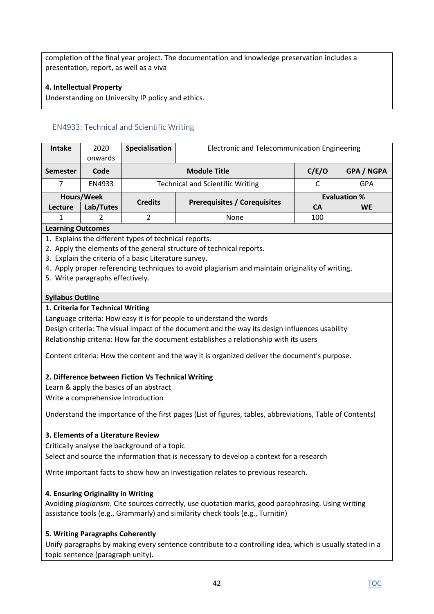completion of the final year project. The documentation and knowledge preservation includes a presentation, report, as well as a viva

## **4. Intellectual Property**

Understanding on University IP policy and ethics.

## EN4933: Technical and Scientific Writing

| <b>Intake</b>   | 2020       | Specialisation | Electronic and Telecommunication Engineering |                   |                     |
|-----------------|------------|----------------|----------------------------------------------|-------------------|---------------------|
|                 | onwards    |                |                                              |                   |                     |
| <b>Semester</b> | Code       |                | <b>Module Title</b>                          | <b>GPA / NGPA</b> |                     |
|                 | EN4933     |                | <b>Technical and Scientific Writing</b>      |                   | GPA                 |
|                 | Hours/Week |                |                                              |                   | <b>Evaluation %</b> |
| Lecture         | Lab/Tutes  | <b>Credits</b> | <b>Prerequisites / Corequisites</b>          | <b>CA</b>         | <b>WE</b>           |
|                 |            |                | <b>None</b>                                  |                   |                     |
|                 |            |                |                                              |                   |                     |

#### **Learning Outcomes**

1. Explains the different types of technical reports.

- 2. Apply the elements of the general structure of technical reports.
- 3. Explain the criteria of a basic Literature survey.
- 4. Apply proper referencing techniques to avoid plagiarism and maintain originality of writing.
- 5. Write paragraphs effectively.

#### **Syllabus Outline**

#### **1. Criteria for Technical Writing**

Language criteria: How easy it is for people to understand the words

Design criteria: The visual impact of the document and the way its design influences usability Relationship criteria: How far the document establishes a relationship with its users

Content criteria: How the content and the way it is organized deliver the document's purpose.

#### **2. Difference between Fiction Vs Technical Writing**

Learn & apply the basics of an abstract Write a comprehensive introduction

Understand the importance of the first pages (List of figures, tables, abbreviations, Table of Contents)

#### **3. Elements of a Literature Review**

Critically analyse the background of a topic Select and source the information that is necessary to develop a context for a research

Write important facts to show how an investigation relates to previous research.

#### **4. Ensuring Originality in Writing**

Avoiding *plagiarism*. Cite sources correctly, use quotation marks, good paraphrasing. Using writing assistance tools (e.g., Grammarly) and similarity check tools (e.g., Turnitin)

#### **5. Writing Paragraphs Coherently**

Unify paragraphs by making every sentence contribute to a controlling idea, which is usually stated in a topic sentence (paragraph unity).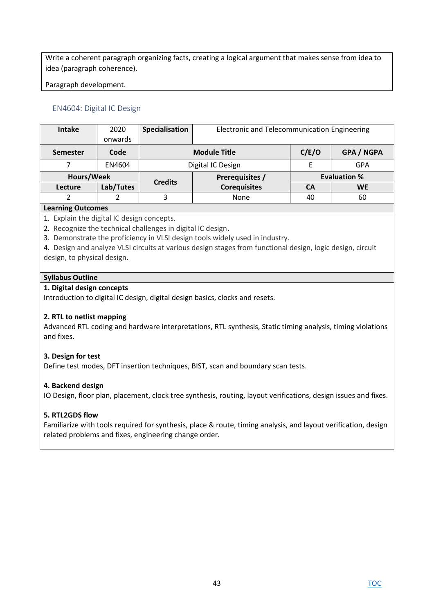Write a coherent paragraph organizing facts, creating a logical argument that makes sense from idea to idea (paragraph coherence).

Paragraph development.

# EN4604: Digital IC Design

| <b>Intake</b>         | 2020      | Specialisation | Electronic and Telecommunication Engineering |       |                     |  |  |
|-----------------------|-----------|----------------|----------------------------------------------|-------|---------------------|--|--|
|                       | onwards   |                |                                              |       |                     |  |  |
| <b>Semester</b>       | Code      |                | <b>Module Title</b>                          | C/E/O | <b>GPA / NGPA</b>   |  |  |
|                       | EN4604    |                | Digital IC Design                            |       | GPA                 |  |  |
| Hours/Week            |           |                | Prerequisites /                              |       | <b>Evaluation %</b> |  |  |
| <b>Lecture</b>        | Lab/Tutes | <b>Credits</b> | <b>Corequisites</b>                          | CА    | <b>WE</b>           |  |  |
|                       |           | 3              | None                                         | 40    | 60                  |  |  |
| $1 + 1 +  + 1 + 1 + $ |           |                |                                              |       |                     |  |  |

### **Learning Outcomes**

1. Explain the digital IC design concepts.

- 2. Recognize the technical challenges in digital IC design.
- 3. Demonstrate the proficiency in VLSI design tools widely used in industry.
- 4. Design and analyze VLSI circuits at various design stages from functional design, logic design, circuit design, to physical design.

### **Syllabus Outline**

### **1. Digital design concepts**

Introduction to digital IC design, digital design basics, clocks and resets.

## **2. RTL to netlist mapping**

Advanced RTL coding and hardware interpretations, RTL synthesis, Static timing analysis, timing violations and fixes.

#### **3. Design for test**

Define test modes, DFT insertion techniques, BIST, scan and boundary scan tests.

## **4. Backend design**

IO Design, floor plan, placement, clock tree synthesis, routing, layout verifications, design issues and fixes.

## **5. RTL2GDS flow**

Familiarize with tools required for synthesis, place & route, timing analysis, and layout verification, design related problems and fixes, engineering change order.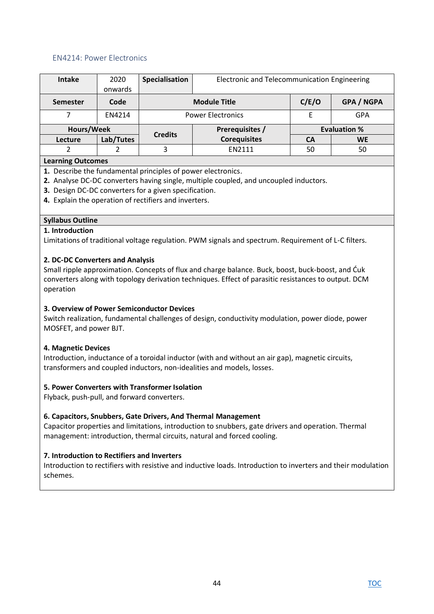### EN4214: Power Electronics

| <b>Intake</b>   | 2020      | Specialisation  | Electronic and Telecommunication Engineering |       |                     |  |
|-----------------|-----------|-----------------|----------------------------------------------|-------|---------------------|--|
|                 | onwards   |                 |                                              |       |                     |  |
| <b>Semester</b> | Code      |                 | <b>Module Title</b>                          | C/E/O | <b>GPA / NGPA</b>   |  |
|                 | EN4214    |                 | <b>Power Electronics</b>                     |       | GPA                 |  |
| Hours/Week      |           | Prerequisites / |                                              |       | <b>Evaluation %</b> |  |
| Lecture         | Lab/Tutes | <b>Credits</b>  | <b>Corequisites</b>                          | CA    | <b>WE</b>           |  |
|                 |           | 3               | <b>EN2111</b>                                | 50    | 50                  |  |
|                 |           |                 |                                              |       |                     |  |

#### **Learning Outcomes**

- **1.** Describe the fundamental principles of power electronics.
- **2.** Analyse DC-DC converters having single, multiple coupled, and uncoupled inductors.
- **3.** Design DC-DC converters for a given specification.
- **4.** Explain the operation of rectifiers and inverters.

#### **Syllabus Outline**

#### **1. Introduction**

Limitations of traditional voltage regulation. PWM signals and spectrum. Requirement of L-C filters.

#### **2. DC-DC Converters and Analysis**

Small ripple approximation. Concepts of flux and charge balance. Buck, boost, buck-boost, and Ćuk converters along with topology derivation techniques. Effect of parasitic resistances to output. DCM operation

#### **3. Overview of Power Semiconductor Devices**

Switch realization, fundamental challenges of design, conductivity modulation, power diode, power MOSFET, and power BJT.

#### **4. Magnetic Devices**

Introduction, inductance of a toroidal inductor (with and without an air gap), magnetic circuits, transformers and coupled inductors, non-idealities and models, losses.

#### **5. Power Converters with Transformer Isolation**

Flyback, push-pull, and forward converters.

#### **6. Capacitors, Snubbers, Gate Drivers, And Thermal Management**

Capacitor properties and limitations, introduction to snubbers, gate drivers and operation. Thermal management: introduction, thermal circuits, natural and forced cooling.

#### **7. Introduction to Rectifiers and Inverters**

Introduction to rectifiers with resistive and inductive loads. Introduction to inverters and their modulation schemes.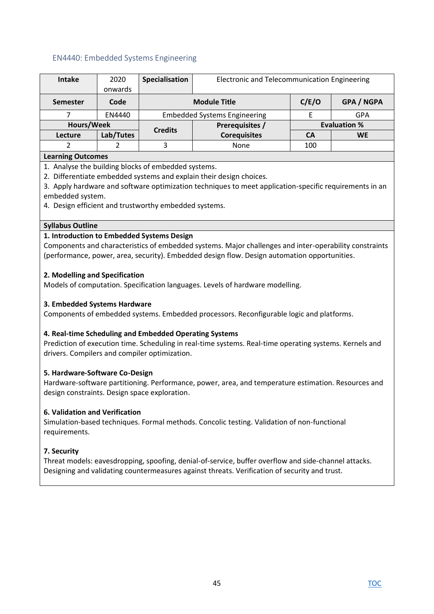## EN4440: Embedded Systems Engineering

| <b>Intake</b>     | 2020      | Specialisation  | Electronic and Telecommunication Engineering |                     |                   |  |
|-------------------|-----------|-----------------|----------------------------------------------|---------------------|-------------------|--|
|                   | onwards   |                 |                                              |                     |                   |  |
| <b>Semester</b>   | Code      |                 | <b>Module Title</b>                          | C/E/O               | <b>GPA / NGPA</b> |  |
|                   | EN4440    |                 | <b>Embedded Systems Engineering</b>          |                     | <b>GPA</b>        |  |
| Hours/Week        |           | Prerequisites / |                                              | <b>Evaluation %</b> |                   |  |
| Lecture           | Lab/Tutes | <b>Credits</b>  | <b>Corequisites</b>                          | CА                  | <b>WE</b>         |  |
|                   |           | 3               | None                                         | 100                 |                   |  |
| Loovaing Outsomes |           |                 |                                              |                     |                   |  |

#### **Learning Outcomes**

1. Analyse the building blocks of embedded systems.

2. Differentiate embedded systems and explain their design choices.

3. Apply hardware and software optimization techniques to meet application-specific requirements in an embedded system.

4. Design efficient and trustworthy embedded systems.

### **Syllabus Outline**

### **1. Introduction to Embedded Systems Design**

Components and characteristics of embedded systems. Major challenges and inter-operability constraints (performance, power, area, security). Embedded design flow. Design automation opportunities.

### **2. Modelling and Specification**

Models of computation. Specification languages. Levels of hardware modelling.

### **3. Embedded Systems Hardware**

Components of embedded systems. Embedded processors. Reconfigurable logic and platforms.

## **4. Real-time Scheduling and Embedded Operating Systems**

Prediction of execution time. Scheduling in real-time systems. Real-time operating systems. Kernels and drivers. Compilers and compiler optimization.

## **5. Hardware-Software Co-Design**

Hardware-software partitioning. Performance, power, area, and temperature estimation. Resources and design constraints. Design space exploration.

## **6. Validation and Verification**

Simulation-based techniques. Formal methods. Concolic testing. Validation of non-functional requirements.

#### **7. Security**

Threat models: eavesdropping, spoofing, denial-of-service, buffer overflow and side-channel attacks. Designing and validating countermeasures against threats. Verification of security and trust.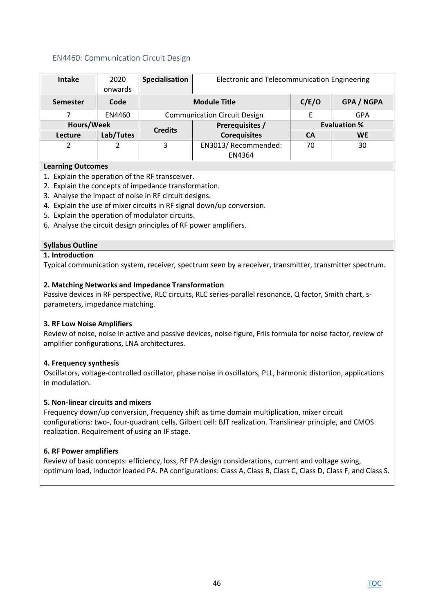### EN4460: Communication Circuit Design

| <b>Intake</b>                                       | 2020      | Specialisation | Electronic and Telecommunication Engineering |           |                     |  |
|-----------------------------------------------------|-----------|----------------|----------------------------------------------|-----------|---------------------|--|
|                                                     | onwards   |                |                                              |           |                     |  |
| <b>Semester</b>                                     | Code      |                | <b>Module Title</b>                          | C/E/O     | <b>GPA / NGPA</b>   |  |
|                                                     | EN4460    |                | <b>Communication Circuit Design</b>          |           | GPA                 |  |
| Hours/Week                                          |           | <b>Credits</b> | Prerequisites /                              |           | <b>Evaluation %</b> |  |
| Lecture                                             | Lab/Tutes |                | <b>Corequisites</b>                          | <b>CA</b> | <b>WE</b>           |  |
| 2                                                   |           | 3              | EN3013/ Recommended:                         | 70        | 30                  |  |
|                                                     |           |                | EN4364                                       |           |                     |  |
| $1 - 2$ and $2 - 2$ $2 - 2$ $3 - 2$ $4 - 2$ $5 - 2$ |           |                |                                              |           |                     |  |

### **Learning Outcomes**

- 1. Explain the operation of the RF transceiver.
- 2. Explain the concepts of impedance transformation.
- 3. Analyse the impact of noise in RF circuit designs.
- 4. Explain the use of mixer circuits in RF signal down/up conversion.
- 5. Explain the operation of modulator circuits.
- 6. Analyse the circuit design principles of RF power amplifiers.

#### **Syllabus Outline**

#### **1. Introduction**

Typical communication system, receiver, spectrum seen by a receiver, transmitter, transmitter spectrum.

#### **2. Matching Networks and Impedance Transformation**

Passive devices in RF perspective, RLC circuits, RLC series-parallel resonance, Q factor, Smith chart, sparameters, impedance matching.

#### **3. RF Low Noise Amplifiers**

Review of noise, noise in active and passive devices, noise figure, Friis formula for noise factor, review of amplifier configurations, LNA architectures.

#### **4. Frequency synthesis**

Oscillators, voltage-controlled oscillator, phase noise in oscillators, PLL, harmonic distortion, applications in modulation.

#### **5. Non-linear circuits and mixers**

Frequency down/up conversion, frequency shift as time domain multiplication, mixer circuit configurations: two-, four-quadrant cells, Gilbert cell: BJT realization. Translinear principle, and CMOS realization. Requirement of using an IF stage.

#### **6. RF Power amplifiers**

Review of basic concepts: efficiency, loss, RF PA design considerations, current and voltage swing, optimum load, inductor loaded PA. PA configurations: Class A, Class B, Class C, Class D, Class F, and Class S.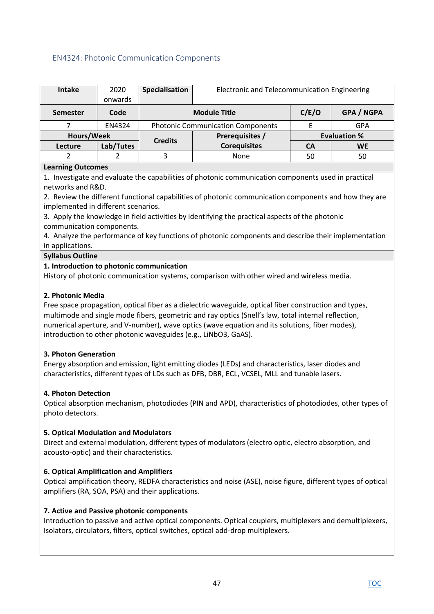# EN4324: Photonic Communication Components

| Intake          | 2020<br>onwards | Specialisation | Electronic and Telecommunication Engineering |       |                     |
|-----------------|-----------------|----------------|----------------------------------------------|-------|---------------------|
| <b>Semester</b> | Code            |                | <b>Module Title</b>                          | C/E/O | <b>GPA / NGPA</b>   |
|                 | EN4324          |                | <b>Photonic Communication Components</b>     |       | GPA                 |
| Hours/Week      |                 | <b>Credits</b> | Prerequisites /                              |       | <b>Evaluation %</b> |
| Lecture         | Lab/Tutes       |                | <b>Corequisites</b>                          | СA    | <b>WE</b>           |
|                 |                 |                | None                                         | 50    | 50                  |

### **Learning Outcomes**

1. Investigate and evaluate the capabilities of photonic communication components used in practical networks and R&D.

2. Review the different functional capabilities of photonic communication components and how they are implemented in different scenarios.

3. Apply the knowledge in field activities by identifying the practical aspects of the photonic communication components.

4. Analyze the performance of key functions of photonic components and describe their implementation in applications.

### **Syllabus Outline**

### **1. Introduction to photonic communication**

History of photonic communication systems, comparison with other wired and wireless media.

### **2. Photonic Media**

Free space propagation, optical fiber as a dielectric waveguide, optical fiber construction and types, multimode and single mode fibers, geometric and ray optics (Snell's law, total internal reflection, numerical aperture, and V-number), wave optics (wave equation and its solutions, fiber modes), introduction to other photonic waveguides (e.g., LiNbO3, GaAS).

#### **3. Photon Generation**

Energy absorption and emission, light emitting diodes (LEDs) and characteristics, laser diodes and characteristics, different types of LDs such as DFB, DBR, ECL, VCSEL, MLL and tunable lasers.

## **4. Photon Detection**

Optical absorption mechanism, photodiodes (PIN and APD), characteristics of photodiodes, other types of photo detectors.

#### **5. Optical Modulation and Modulators**

Direct and external modulation, different types of modulators (electro optic, electro absorption, and acousto-optic) and their characteristics.

## **6. Optical Amplification and Amplifiers**

Optical amplification theory, REDFA characteristics and noise (ASE), noise figure, different types of optical amplifiers (RA, SOA, PSA) and their applications.

#### **7. Active and Passive photonic components**

Introduction to passive and active optical components. Optical couplers, multiplexers and demultiplexers, Isolators, circulators, filters, optical switches, optical add-drop multiplexers.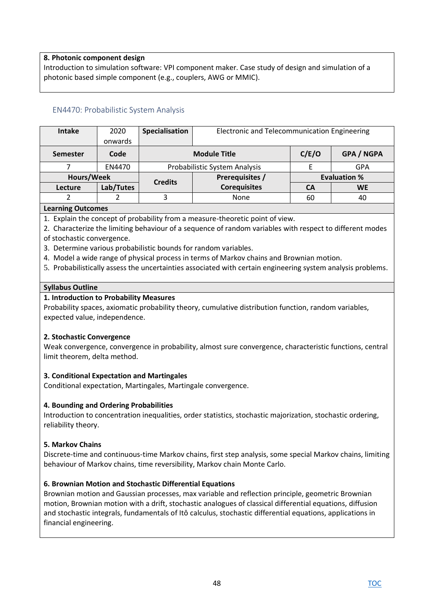## **8. Photonic component design**

Introduction to simulation software: VPI component maker. Case study of design and simulation of a photonic based simple component (e.g., couplers, AWG or MMIC).

## EN4470: Probabilistic System Analysis

| <b>Intake</b> | 2020      | Specialisation                    | Electronic and Telecommunication Engineering |       |                     |
|---------------|-----------|-----------------------------------|----------------------------------------------|-------|---------------------|
|               | onwards   |                                   |                                              |       |                     |
| Semester      | Code      |                                   | <b>Module Title</b>                          | C/E/O | <b>GPA / NGPA</b>   |
|               | EN4470    |                                   | Probabilistic System Analysis                |       | <b>GPA</b>          |
| Hours/Week    |           | Prerequisites /<br><b>Credits</b> |                                              |       | <b>Evaluation %</b> |
| Lecture       | Lab/Tutes |                                   | <b>Corequisites</b>                          | CA    | <b>WE</b>           |
|               |           | 3                                 | None                                         | 60    | 40                  |
|               |           |                                   |                                              |       |                     |

### **Learning Outcomes**

1. Explain the concept of probability from a measure-theoretic point of view.

2. Characterize the limiting behaviour of a sequence of random variables with respect to different modes of stochastic convergence.

3. Determine various probabilistic bounds for random variables.

4. Model a wide range of physical process in terms of Markov chains and Brownian motion.

5. Probabilistically assess the uncertainties associated with certain engineering system analysis problems.

#### **Syllabus Outline**

#### **1. Introduction to Probability Measures**

Probability spaces, axiomatic probability theory, cumulative distribution function, random variables, expected value, independence.

#### **2. Stochastic Convergence**

Weak convergence, convergence in probability, almost sure convergence, characteristic functions, central limit theorem, delta method.

#### **3. Conditional Expectation and Martingales**

Conditional expectation, Martingales, Martingale convergence.

#### **4. Bounding and Ordering Probabilities**

Introduction to concentration inequalities, order statistics, stochastic majorization, stochastic ordering, reliability theory.

#### **5. Markov Chains**

Discrete-time and continuous-time Markov chains, first step analysis, some special Markov chains, limiting behaviour of Markov chains, time reversibility, Markov chain Monte Carlo.

#### **6. Brownian Motion and Stochastic Differential Equations**

Brownian motion and Gaussian processes, max variable and reflection principle, geometric Brownian motion, Brownian motion with a drift, stochastic analogues of classical differential equations, diffusion and stochastic integrals, fundamentals of Itô calculus, stochastic differential equations, applications in financial engineering.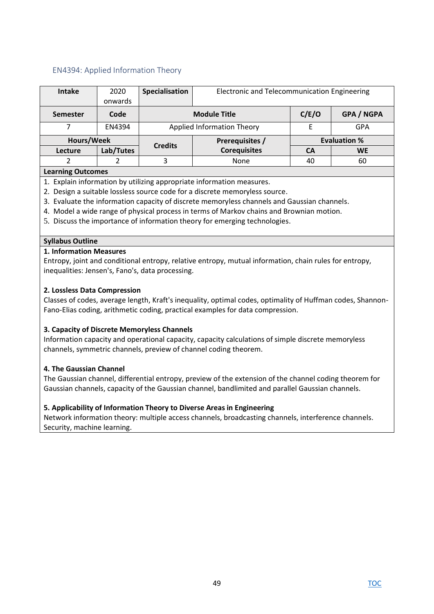# EN4394: Applied Information Theory

| <b>Intake</b>   | 2020          | Specialisation             | Electronic and Telecommunication Engineering |                     |            |
|-----------------|---------------|----------------------------|----------------------------------------------|---------------------|------------|
|                 | onwards       |                            |                                              |                     |            |
| <b>Semester</b> | Code          | <b>Module Title</b>        |                                              | C/E/O               | GPA / NGPA |
|                 | <b>EN4394</b> | Applied Information Theory |                                              |                     | GPA        |
| Hours/Week      |               | <b>Credits</b>             | Prerequisites /                              | <b>Evaluation %</b> |            |
| Lecture         | Lab/Tutes     |                            | <b>Corequisites</b>                          | CА                  | <b>WE</b>  |
|                 |               | 3                          | None                                         | 40                  | 60         |

#### **Learning Outcomes**

- 1. Explain information by utilizing appropriate information measures.
- 2. Design a suitable lossless source code for a discrete memoryless source.
- 3. Evaluate the information capacity of discrete memoryless channels and Gaussian channels.
- 4. Model a wide range of physical process in terms of Markov chains and Brownian motion.
- 5. Discuss the importance of information theory for emerging technologies.

### **Syllabus Outline**

### **1. Information Measures**

Entropy, joint and conditional entropy, relative entropy, mutual information, chain rules for entropy, inequalities: Jensen's, Fano's, data processing.

### **2. Lossless Data Compression**

Classes of codes, average length, Kraft's inequality, optimal codes, optimality of Huffman codes, Shannon-Fano-Elias coding, arithmetic coding, practical examples for data compression.

## **3. Capacity of Discrete Memoryless Channels**

Information capacity and operational capacity, capacity calculations of simple discrete memoryless channels, symmetric channels, preview of channel coding theorem.

## **4. The Gaussian Channel**

The Gaussian channel, differential entropy, preview of the extension of the channel coding theorem for Gaussian channels, capacity of the Gaussian channel, bandlimited and parallel Gaussian channels.

## **5. Applicability of Information Theory to Diverse Areas in Engineering**

Network information theory: multiple access channels, broadcasting channels, interference channels. Security, machine learning.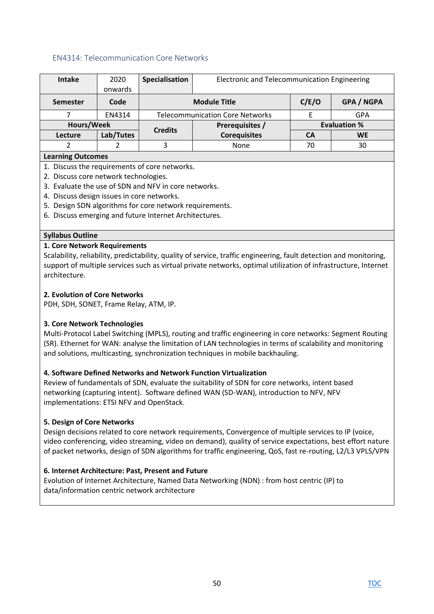## EN4314: Telecommunication Core Networks

| <b>Intake</b>             | 2020      | Specialisation                         | Electronic and Telecommunication Engineering |       |                     |  |
|---------------------------|-----------|----------------------------------------|----------------------------------------------|-------|---------------------|--|
|                           | onwards   |                                        |                                              |       |                     |  |
| <b>Semester</b>           | Code      |                                        | <b>Module Title</b>                          | C/E/O | <b>GPA / NGPA</b>   |  |
|                           | EN4314    | <b>Telecommunication Core Networks</b> |                                              |       | GPA                 |  |
| Hours/Week                |           | <b>Credits</b>                         | Prerequisites /                              |       | <b>Evaluation %</b> |  |
| Lecture                   | Lab/Tutes |                                        | <b>Corequisites</b>                          | CA    | <b>WE</b>           |  |
|                           |           | 3                                      | None                                         | 70    | 30                  |  |
| <b>A</b> earning Outcomes |           |                                        |                                              |       |                     |  |

#### **Learning Outcomes**

- 1. Discuss the requirements of core networks.
- 2. Discuss core network technologies.
- 3. Evaluate the use of SDN and NFV in core networks.
- 4. Discuss design issues in core networks.
- 5. Design SDN algorithms for core network requirements.
- 6. Discuss emerging and future Internet Architectures.

#### **Syllabus Outline**

#### **1. Core Network Requirements**

Scalability, reliability, predictability, quality of service, traffic engineering, fault detection and monitoring, support of multiple services such as virtual private networks, optimal utilization of infrastructure, Internet architecture.

#### **2. Evolution of Core Networks**

PDH, SDH, SONET, Frame Relay, ATM, IP.

#### **3. Core Network Technologies**

Multi-Protocol Label Switching (MPLS), routing and traffic engineering in core networks: Segment Routing (SR). Ethernet for WAN: analyse the limitation of LAN technologies in terms of scalability and monitoring and solutions, multicasting, synchronization techniques in mobile backhauling.

#### **4. Software Defined Networks and Network Function Virtualization**

Review of fundamentals of SDN, evaluate the suitability of SDN for core networks, intent based networking (capturing intent). Software defined WAN (SD-WAN), introduction to NFV, NFV implementations: ETSI NFV and OpenStack.

#### **5. Design of Core Networks**

Design decisions related to core network requirements, Convergence of multiple services to IP (voice, video conferencing, video streaming, video on demand), quality of service expectations, best effort nature of packet networks, design of SDN algorithms for traffic engineering, QoS, fast re-routing, L2/L3 VPLS/VPN

#### **6. Internet Architecture: Past, Present and Future**

Evolution of Internet Architecture, Named Data Networking (NDN) : from host centric (IP) to data/information centric network architecture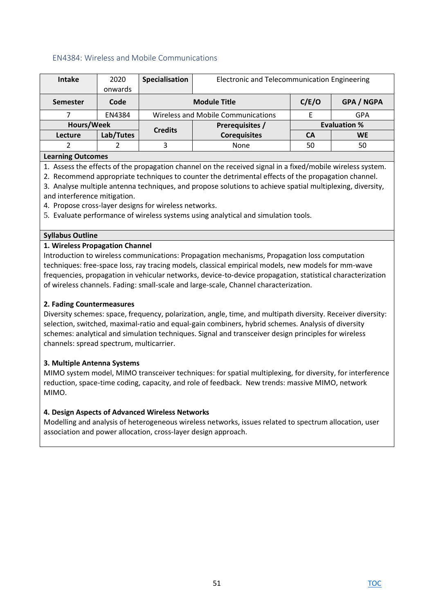### EN4384: Wireless and Mobile Communications

| <b>Intake</b>            | 2020      | Specialisation                            | Electronic and Telecommunication Engineering |           |                     |  |
|--------------------------|-----------|-------------------------------------------|----------------------------------------------|-----------|---------------------|--|
|                          | onwards   |                                           |                                              |           |                     |  |
| <b>Semester</b>          | Code      |                                           | <b>Module Title</b>                          | C/E/O     | <b>GPA / NGPA</b>   |  |
|                          | EN4384    | <b>Wireless and Mobile Communications</b> |                                              |           | <b>GPA</b>          |  |
| Hours/Week               |           | <b>Credits</b>                            | Prerequisites /                              |           | <b>Evaluation %</b> |  |
| Lecture                  | Lab/Tutes |                                           | <b>Corequisites</b>                          | <b>CA</b> | <b>WE</b>           |  |
| 2                        |           | 3                                         | None                                         |           | 50                  |  |
| <b>Learning Outcomes</b> |           |                                           |                                              |           |                     |  |

**Learning Outcomes** 

1. Assess the effects of the propagation channel on the received signal in a fixed/mobile wireless system.

2. Recommend appropriate techniques to counter the detrimental effects of the propagation channel.

3. Analyse multiple antenna techniques, and propose solutions to achieve spatial multiplexing, diversity, and interference mitigation.

4. Propose cross-layer designs for wireless networks.

5. Evaluate performance of wireless systems using analytical and simulation tools.

#### **Syllabus Outline**

#### **1. Wireless Propagation Channel**

Introduction to wireless communications: Propagation mechanisms, Propagation loss computation techniques: free-space loss, ray tracing models, classical empirical models, new models for mm-wave frequencies, propagation in vehicular networks, device-to-device propagation, statistical characterization of wireless channels. Fading: small-scale and large-scale, Channel characterization.

#### **2. Fading Countermeasures**

Diversity schemes: space, frequency, polarization, angle, time, and multipath diversity. Receiver diversity: selection, switched, maximal-ratio and equal-gain combiners, hybrid schemes. Analysis of diversity schemes: analytical and simulation techniques. Signal and transceiver design principles for wireless channels: spread spectrum, multicarrier.

#### **3. Multiple Antenna Systems**

MIMO system model, MIMO transceiver techniques: for spatial multiplexing, for diversity, for interference reduction, space-time coding, capacity, and role of feedback. New trends: massive MIMO, network MIMO.

#### **4. Design Aspects of Advanced Wireless Networks**

Modelling and analysis of heterogeneous wireless networks, issues related to spectrum allocation, user association and power allocation, cross-layer design approach.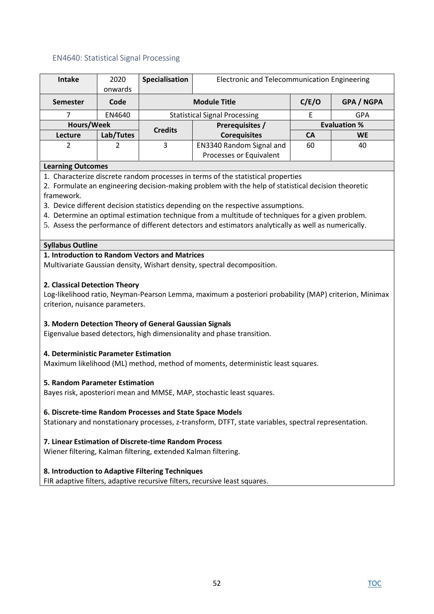## EN4640: Statistical Signal Processing

| <b>Intake</b>   | 2020      | Specialisation                       | Electronic and Telecommunication Engineering      |                     |           |
|-----------------|-----------|--------------------------------------|---------------------------------------------------|---------------------|-----------|
|                 | onwards   |                                      |                                                   |                     |           |
| <b>Semester</b> | Code      |                                      | C/E/O<br><b>GPA / NGPA</b><br><b>Module Title</b> |                     |           |
|                 | EN4640    | <b>Statistical Signal Processing</b> |                                                   |                     | GPA       |
| Hours/Week      |           | Prerequisites /<br><b>Credits</b>    |                                                   | <b>Evaluation %</b> |           |
| Lecture         | Lab/Tutes |                                      | <b>Corequisites</b>                               | CA                  | <b>WE</b> |
| 2               |           | 3                                    | EN3340 Random Signal and                          |                     | 40        |
|                 |           |                                      | Processes or Equivalent                           |                     |           |

### **Learning Outcomes**

1. Characterize discrete random processes in terms of the statistical properties

2. Formulate an engineering decision-making problem with the help of statistical decision theoretic framework.

- 3. Device different decision statistics depending on the respective assumptions.
- 4. Determine an optimal estimation technique from a multitude of techniques for a given problem.
- 5. Assess the performance of different detectors and estimators analytically as well as numerically.

### **Syllabus Outline**

### **1. Introduction to Random Vectors and Matrices**

Multivariate Gaussian density, Wishart density, spectral decomposition.

### **2. Classical Detection Theory**

Log-likelihood ratio, Neyman-Pearson Lemma, maximum a posteriori probability (MAP) criterion, Minimax criterion, nuisance parameters.

## **3. Modern Detection Theory of General Gaussian Signals**

Eigenvalue based detectors, high dimensionality and phase transition.

## **4. Deterministic Parameter Estimation**

Maximum likelihood (ML) method, method of moments, deterministic least squares.

## **5. Random Parameter Estimation**

Bayes risk, aposteriori mean and MMSE, MAP, stochastic least squares.

## **6. Discrete-time Random Processes and State Space Models**

Stationary and nonstationary processes, z-transform, DTFT, state variables, spectral representation.

## **7. Linear Estimation of Discrete-time Random Process**

Wiener filtering, Kalman filtering, extended Kalman filtering.

## **8. Introduction to Adaptive Filtering Techniques**

FIR adaptive filters, adaptive recursive filters, recursive least squares.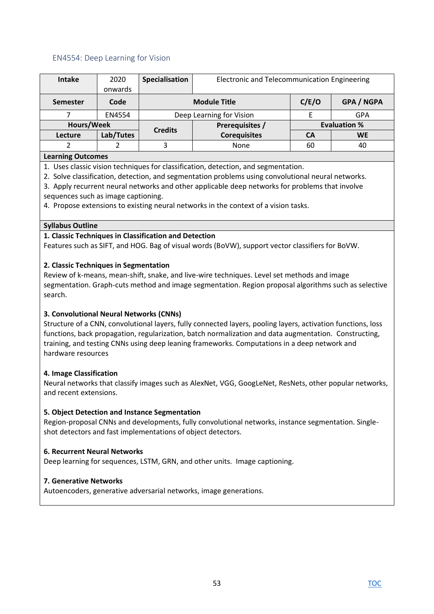## EN4554: Deep Learning for Vision

| <b>Intake</b>             | 2020      | Specialisation           | Electronic and Telecommunication Engineering |       |                     |  |
|---------------------------|-----------|--------------------------|----------------------------------------------|-------|---------------------|--|
|                           | onwards   |                          |                                              |       |                     |  |
| <b>Semester</b>           | Code      |                          | <b>Module Title</b>                          | C/E/O | <b>GPA / NGPA</b>   |  |
|                           | EN4554    | Deep Learning for Vision |                                              |       | GPA                 |  |
| Hours/Week                |           | <b>Credits</b>           | Prerequisites /                              |       | <b>Evaluation %</b> |  |
| Lecture                   | Lab/Tutes |                          | <b>Corequisites</b>                          | CA    | <b>WE</b>           |  |
|                           |           | 3                        | None                                         |       | 40                  |  |
| <b>A</b> earning Outcomes |           |                          |                                              |       |                     |  |

#### **Learning Outcomes**

1. Uses classic vision techniques for classification, detection, and segmentation.

- 2. Solve classification, detection, and segmentation problems using convolutional neural networks.
- 3. Apply recurrent neural networks and other applicable deep networks for problems that involve sequences such as image captioning.

4. Propose extensions to existing neural networks in the context of a vision tasks.

#### **Syllabus Outline**

### **1. Classic Techniques in Classification and Detection**

Features such as SIFT, and HOG. Bag of visual words (BoVW), support vector classifiers for BoVW.

### **2. Classic Techniques in Segmentation**

Review of k-means, mean-shift, snake, and live-wire techniques. Level set methods and image segmentation. Graph-cuts method and image segmentation. Region proposal algorithms such as selective search.

## **3. Convolutional Neural Networks (CNNs)**

Structure of a CNN, convolutional layers, fully connected layers, pooling layers, activation functions, loss functions, back propagation, regularization, batch normalization and data augmentation. Constructing, training, and testing CNNs using deep leaning frameworks. Computations in a deep network and hardware resources

#### **4. Image Classification**

Neural networks that classify images such as AlexNet, VGG, GoogLeNet, ResNets, other popular networks, and recent extensions.

#### **5. Object Detection and Instance Segmentation**

Region-proposal CNNs and developments, fully convolutional networks, instance segmentation. Singleshot detectors and fast implementations of object detectors.

#### **6. Recurrent Neural Networks**

Deep learning for sequences, LSTM, GRN, and other units. Image captioning.

#### **7. Generative Networks**

Autoencoders, generative adversarial networks, image generations.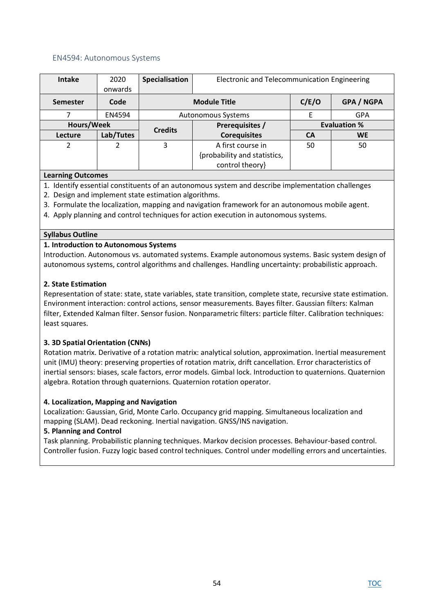### EN4594: Autonomous Systems

| <b>Intake</b>   | 2020<br>onwards | Specialisation            | Electronic and Telecommunication Engineering      |                     |            |  |
|-----------------|-----------------|---------------------------|---------------------------------------------------|---------------------|------------|--|
| <b>Semester</b> | Code            |                           | C/E/O<br><b>GPA / NGPA</b><br><b>Module Title</b> |                     |            |  |
|                 | EN4594          | <b>Autonomous Systems</b> |                                                   |                     | <b>GPA</b> |  |
| Hours/Week      |                 | <b>Credits</b>            | Prerequisites /                                   | <b>Evaluation %</b> |            |  |
| Lecture         | Lab/Tutes       |                           | <b>Corequisites</b>                               | <b>CA</b>           | <b>WE</b>  |  |
| 2               | 2               | 3                         | A first course in<br>{probability and statistics, | 50                  | 50         |  |
|                 |                 |                           | control theory}                                   |                     |            |  |

#### **Learning Outcomes**

- 1. Identify essential constituents of an autonomous system and describe implementation challenges
- 2. Design and implement state estimation algorithms.
- 3. Formulate the localization, mapping and navigation framework for an autonomous mobile agent.
- 4. Apply planning and control techniques for action execution in autonomous systems.

#### **Syllabus Outline**

#### **1. Introduction to Autonomous Systems**

Introduction. Autonomous vs. automated systems. Example autonomous systems. Basic system design of autonomous systems, control algorithms and challenges. Handling uncertainty: probabilistic approach.

#### **2. State Estimation**

Representation of state: state, state variables, state transition, complete state, recursive state estimation. Environment interaction: control actions, sensor measurements. Bayes filter. Gaussian filters: Kalman filter, Extended Kalman filter. Sensor fusion. Nonparametric filters: particle filter. Calibration techniques: least squares.

## **3. 3D Spatial Orientation (CNNs)**

Rotation matrix. Derivative of a rotation matrix: analytical solution, approximation. Inertial measurement unit (IMU) theory: preserving properties of rotation matrix, drift cancellation. Error characteristics of inertial sensors: biases, scale factors, error models. Gimbal lock. Introduction to quaternions. Quaternion algebra. Rotation through quaternions. Quaternion rotation operator.

#### **4. Localization, Mapping and Navigation**

Localization: Gaussian, Grid, Monte Carlo. Occupancy grid mapping. Simultaneous localization and mapping (SLAM). Dead reckoning. Inertial navigation. GNSS/INS navigation.

#### **5. Planning and Control**

Task planning. Probabilistic planning techniques. Markov decision processes. Behaviour-based control. Controller fusion. Fuzzy logic based control techniques. Control under modelling errors and uncertainties.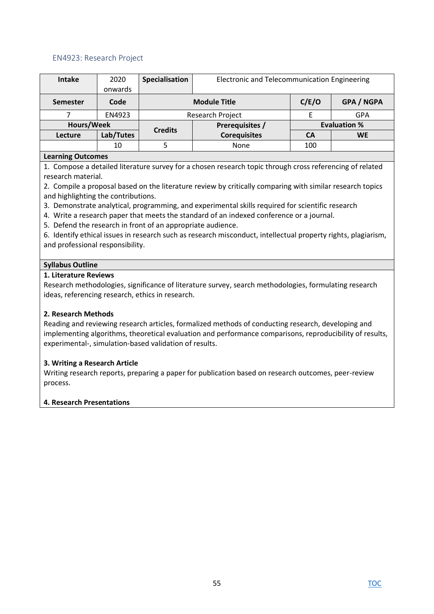## EN4923: Research Project

| <b>Intake</b>    | 2020      | Specialisation          | Electronic and Telecommunication Engineering |                     |                   |  |
|------------------|-----------|-------------------------|----------------------------------------------|---------------------|-------------------|--|
|                  | onwards   |                         |                                              |                     |                   |  |
| <b>Semester</b>  | Code      |                         | <b>Module Title</b>                          | C/E/O               | <b>GPA / NGPA</b> |  |
|                  | EN4923    | <b>Research Project</b> |                                              |                     | GPA               |  |
| Hours/Week       |           |                         | Prerequisites /                              | <b>Evaluation %</b> |                   |  |
| Lecture          | Lab/Tutes | <b>Credits</b>          | <b>Corequisites</b>                          | CA                  | <b>WE</b>         |  |
|                  | 10        |                         | None                                         | 100                 |                   |  |
| earning Outcomes |           |                         |                                              |                     |                   |  |

#### **Learning Outcomes**

1. Compose a detailed literature survey for a chosen research topic through cross referencing of related research material.

2. Compile a proposal based on the literature review by critically comparing with similar research topics and highlighting the contributions.

- 3. Demonstrate analytical, programming, and experimental skills required for scientific research
- 4. Write a research paper that meets the standard of an indexed conference or a journal.
- 5. Defend the research in front of an appropriate audience.

6. Identify ethical issues in research such as research misconduct, intellectual property rights, plagiarism, and professional responsibility.

### **Syllabus Outline**

### **1. Literature Reviews**

Research methodologies, significance of literature survey, search methodologies, formulating research ideas, referencing research, ethics in research.

## **2. Research Methods**

Reading and reviewing research articles, formalized methods of conducting research, developing and implementing algorithms, theoretical evaluation and performance comparisons, reproducibility of results, experimental-, simulation-based validation of results.

#### **3. Writing a Research Article**

Writing research reports, preparing a paper for publication based on research outcomes, peer-review process.

#### **4. Research Presentations**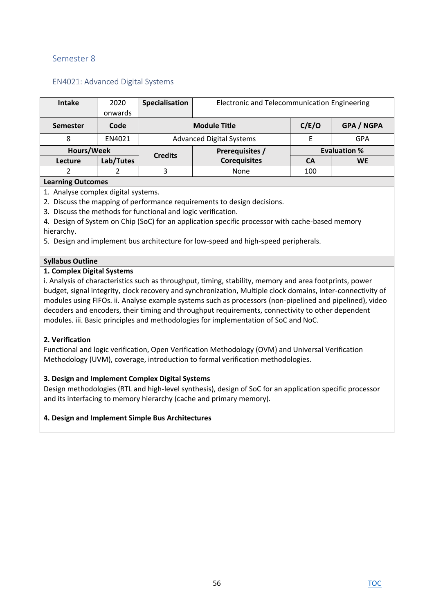# Semester 8

| <b>EN4021: Advanced Digital Systems</b> |  |
|-----------------------------------------|--|
|-----------------------------------------|--|

| <b>Intake</b>   | 2020      | Specialisation                  | Electronic and Telecommunication Engineering |       |                     |
|-----------------|-----------|---------------------------------|----------------------------------------------|-------|---------------------|
|                 | onwards   |                                 |                                              |       |                     |
| <b>Semester</b> | Code      |                                 | <b>Module Title</b>                          | C/E/O | <b>GPA / NGPA</b>   |
| 8               | EN4021    | <b>Advanced Digital Systems</b> |                                              |       | GPA                 |
| Hours/Week      |           | <b>Credits</b>                  | Prerequisites /                              |       | <b>Evaluation %</b> |
| Lecture         | Lab/Tutes |                                 | <b>Corequisites</b>                          | СA    | <b>WE</b>           |
|                 |           | 3                               | None                                         | 100   |                     |
|                 |           |                                 |                                              |       |                     |

## **Learning Outcomes**

1. Analyse complex digital systems.

2. Discuss the mapping of performance requirements to design decisions.

3. Discuss the methods for functional and logic verification.

4. Design of System on Chip (SoC) for an application specific processor with cache-based memory hierarchy.

5. Design and implement bus architecture for low-speed and high-speed peripherals.

#### **Syllabus Outline**

#### **1. Complex Digital Systems**

i. Analysis of characteristics such as throughput, timing, stability, memory and area footprints, power budget, signal integrity, clock recovery and synchronization, Multiple clock domains, inter-connectivity of modules using FIFOs. ii. Analyse example systems such as processors (non-pipelined and pipelined), video decoders and encoders, their timing and throughput requirements, connectivity to other dependent modules. iii. Basic principles and methodologies for implementation of SoC and NoC.

#### **2. Verification**

Functional and logic verification, Open Verification Methodology (OVM) and Universal Verification Methodology (UVM), coverage, introduction to formal verification methodologies.

### **3. Design and Implement Complex Digital Systems**

Design methodologies (RTL and high-level synthesis), design of SoC for an application specific processor and its interfacing to memory hierarchy (cache and primary memory).

#### **4. Design and Implement Simple Bus Architectures**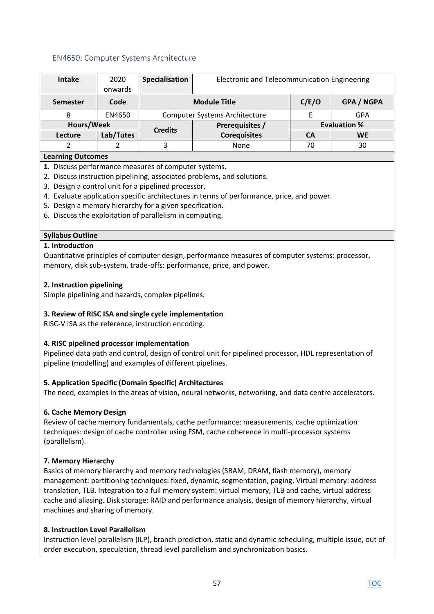## EN4650: Computer Systems Architecture

| <b>Intake</b>            | 2020      | Specialisation                       | Electronic and Telecommunication Engineering |                     |                   |  |
|--------------------------|-----------|--------------------------------------|----------------------------------------------|---------------------|-------------------|--|
|                          | onwards   |                                      |                                              |                     |                   |  |
| <b>Semester</b>          | Code      |                                      | <b>Module Title</b>                          | C/E/O               | <b>GPA / NGPA</b> |  |
| 8                        | EN4650    | <b>Computer Systems Architecture</b> |                                              |                     | <b>GPA</b>        |  |
| Hours/Week               |           | Prerequisites /<br><b>Credits</b>    |                                              | <b>Evaluation %</b> |                   |  |
| Lecture                  | Lab/Tutes |                                      | <b>Corequisites</b>                          | CA                  | <b>WE</b>         |  |
|                          |           | 3                                    | None                                         | 70                  | 30                |  |
| <b>Learning Outcomes</b> |           |                                      |                                              |                     |                   |  |

## **Learning Outcomes**

- **1**. Discuss performance measures of computer systems.
- 2. Discuss instruction pipelining, associated problems, and solutions.
- 3. Design a control unit for a pipelined processor.
- 4. Evaluate application specific architectures in terms of performance, price, and power.
- 5. Design a memory hierarchy for a given specification.
- 6. Discuss the exploitation of parallelism in computing.

### **Syllabus Outline**

### **1. Introduction**

Quantitative principles of computer design, performance measures of computer systems: processor, memory, disk sub-system, trade-offs: performance, price, and power.

### **2. Instruction pipelining**

Simple pipelining and hazards, complex pipelines.

## **3. Review of RISC ISA and single cycle implementation**

RISC-V ISA as the reference, instruction encoding.

## **4. RISC pipelined processor implementation**

Pipelined data path and control, design of control unit for pipelined processor, HDL representation of pipeline (modelling) and examples of different pipelines.

## **5. Application Specific (Domain Specific) Architectures**

The need, examples in the areas of vision, neural networks, networking, and data centre accelerators.

## **6. Cache Memory Design**

Review of cache memory fundamentals, cache performance: measurements, cache optimization techniques: design of cache controller using FSM, cache coherence in multi-processor systems (parallelism).

## **7. Memory Hierarchy**

Basics of memory hierarchy and memory technologies (SRAM, DRAM, flash memory), memory management: partitioning techniques: fixed, dynamic, segmentation, paging. Virtual memory: address translation, TLB. Integration to a full memory system: virtual memory, TLB and cache, virtual address cache and aliasing. Disk storage: RAID and performance analysis, design of memory hierarchy, virtual machines and sharing of memory.

## **8. Instruction Level Parallelism**

Instruction level parallelism (ILP), branch prediction, static and dynamic scheduling, multiple issue, out of order execution, speculation, thread level parallelism and synchronization basics.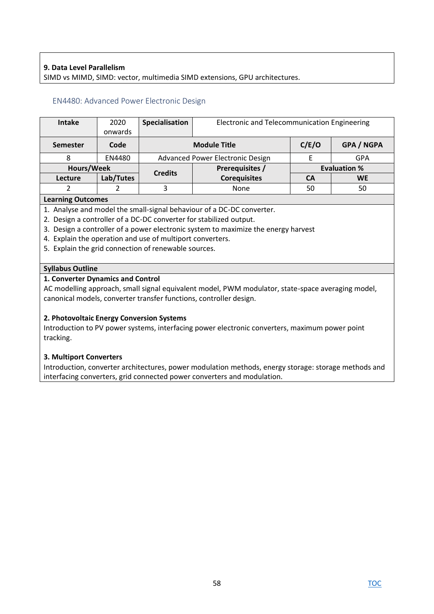## **9. Data Level Parallelism**

SIMD vs MIMD, SIMD: vector, multimedia SIMD extensions, GPU architectures.

#### EN4480: Advanced Power Electronic Design

| <b>Intake</b>   | 2020<br>onwards | Specialisation                    | Electronic and Telecommunication Engineering |                     |                   |
|-----------------|-----------------|-----------------------------------|----------------------------------------------|---------------------|-------------------|
| <b>Semester</b> | Code            | <b>Module Title</b>               |                                              | C/E/O               | <b>GPA / NGPA</b> |
|                 | EN4480          | Advanced Power Electronic Design  |                                              |                     | GPA               |
| Hours/Week      |                 | Prerequisites /<br><b>Credits</b> |                                              | <b>Evaluation %</b> |                   |
| <b>Lecture</b>  | Lab/Tutes       |                                   | <b>Corequisites</b>                          | <b>CA</b>           | <b>WE</b>         |
|                 |                 | 3                                 | None                                         | 50                  | 50                |

#### **Learning Outcomes**

1. Analyse and model the small-signal behaviour of a DC-DC converter.

- 2. Design a controller of a DC-DC converter for stabilized output.
- 3. Design a controller of a power electronic system to maximize the energy harvest
- 4. Explain the operation and use of multiport converters.
- 5. Explain the grid connection of renewable sources.

#### **Syllabus Outline**

#### **1. Converter Dynamics and Control**

AC modelling approach, small signal equivalent model, PWM modulator, state-space averaging model, canonical models, converter transfer functions, controller design.

#### **2. Photovoltaic Energy Conversion Systems**

Introduction to PV power systems, interfacing power electronic converters, maximum power point tracking.

#### **3. Multiport Converters**

Introduction, converter architectures, power modulation methods, energy storage: storage methods and interfacing converters, grid connected power converters and modulation.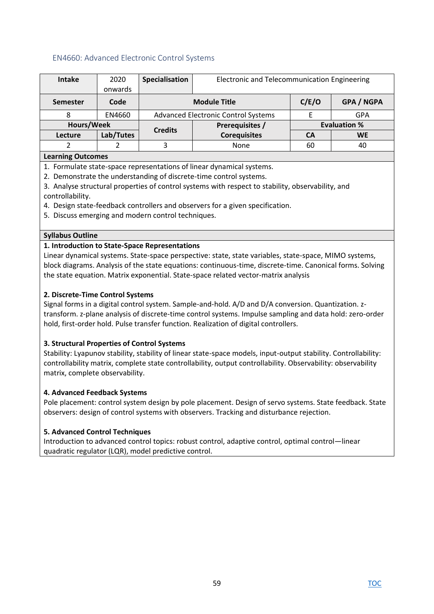## EN4660: Advanced Electronic Control Systems

| <b>Intake</b>             | 2020      | Specialisation                      | Electronic and Telecommunication Engineering |       |                     |  |
|---------------------------|-----------|-------------------------------------|----------------------------------------------|-------|---------------------|--|
|                           | onwards   |                                     |                                              |       |                     |  |
| <b>Semester</b>           | Code      |                                     | <b>Module Title</b>                          | C/E/O | <b>GPA / NGPA</b>   |  |
| 8                         | EN4660    | Advanced Electronic Control Systems |                                              |       | GPA                 |  |
| Hours/Week                |           | <b>Credits</b>                      | Prerequisites /                              |       | <b>Evaluation %</b> |  |
| Lecture                   | Lab/Tutes |                                     | <b>Corequisites</b>                          | CА    | <b>WE</b>           |  |
|                           |           | 3                                   | None                                         | 60    | 40                  |  |
| <b>A</b> earning Outcomes |           |                                     |                                              |       |                     |  |

#### **Learning Outcomes**

1. Formulate state-space representations of linear dynamical systems.

2. Demonstrate the understanding of discrete-time control systems.

3. Analyse structural properties of control systems with respect to stability, observability, and controllability.

4. Design state-feedback controllers and observers for a given specification.

5. Discuss emerging and modern control techniques.

### **Syllabus Outline**

### **1. Introduction to State-Space Representations**

Linear dynamical systems. State-space perspective: state, state variables, state-space, MIMO systems, block diagrams. Analysis of the state equations: continuous-time, discrete-time. Canonical forms. Solving the state equation. Matrix exponential. State-space related vector-matrix analysis

## **2. Discrete-Time Control Systems**

Signal forms in a digital control system. Sample-and-hold. A/D and D/A conversion. Quantization. ztransform. z-plane analysis of discrete-time control systems. Impulse sampling and data hold: zero-order hold, first-order hold. Pulse transfer function. Realization of digital controllers.

## **3. Structural Properties of Control Systems**

Stability: Lyapunov stability, stability of linear state-space models, input-output stability. Controllability: controllability matrix, complete state controllability, output controllability. Observability: observability matrix, complete observability.

## **4. Advanced Feedback Systems**

Pole placement: control system design by pole placement. Design of servo systems. State feedback. State observers: design of control systems with observers. Tracking and disturbance rejection.

## **5. Advanced Control Techniques**

Introduction to advanced control topics: robust control, adaptive control, optimal control—linear quadratic regulator (LQR), model predictive control.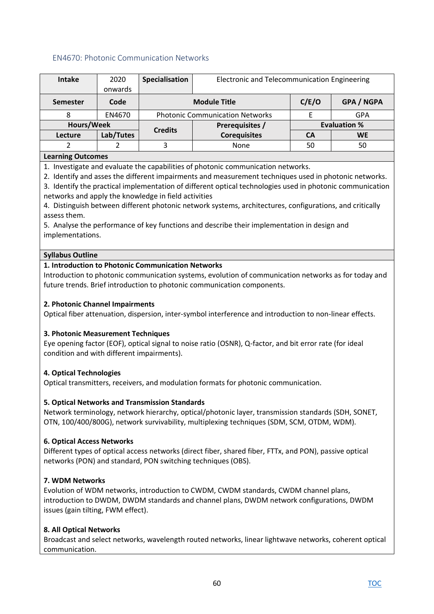## EN4670: Photonic Communication Networks

| <b>Intake</b>    | 2020      | Specialisation                    | Electronic and Telecommunication Engineering      |                     |           |
|------------------|-----------|-----------------------------------|---------------------------------------------------|---------------------|-----------|
|                  | onwards   |                                   |                                                   |                     |           |
| <b>Semester</b>  | Code      |                                   | <b>GPA / NGPA</b><br>C/E/O<br><b>Module Title</b> |                     |           |
| 8                | EN4670    |                                   | <b>Photonic Communication Networks</b>            |                     | GPA       |
| Hours/Week       |           | Prerequisites /<br><b>Credits</b> |                                                   | <b>Evaluation %</b> |           |
| Lecture          | Lab/Tutes |                                   | <b>Corequisites</b>                               | CА                  | <b>WE</b> |
|                  |           |                                   | None                                              | 50                  | 50        |
| earning Outcomes |           |                                   |                                                   |                     |           |

**Learning Outcomes** 

1. Investigate and evaluate the capabilities of photonic communication networks.

2. Identify and asses the different impairments and measurement techniques used in photonic networks.

3. Identify the practical implementation of different optical technologies used in photonic communication networks and apply the knowledge in field activities

4. Distinguish between different photonic network systems, architectures, configurations, and critically assess them.

5. Analyse the performance of key functions and describe their implementation in design and implementations.

### **Syllabus Outline**

### **1. Introduction to Photonic Communication Networks**

Introduction to photonic communication systems, evolution of communication networks as for today and future trends. Brief introduction to photonic communication components.

### **2. Photonic Channel Impairments**

Optical fiber attenuation, dispersion, inter-symbol interference and introduction to non-linear effects.

## **3. Photonic Measurement Techniques**

Eye opening factor (EOF), optical signal to noise ratio (OSNR), Q-factor, and bit error rate (for ideal condition and with different impairments).

## **4. Optical Technologies**

Optical transmitters, receivers, and modulation formats for photonic communication.

## **5. Optical Networks and Transmission Standards**

Network terminology, network hierarchy, optical/photonic layer, transmission standards (SDH, SONET, OTN, 100/400/800G), network survivability, multiplexing techniques (SDM, SCM, OTDM, WDM).

#### **6. Optical Access Networks**

Different types of optical access networks (direct fiber, shared fiber, FTTx, and PON), passive optical networks (PON) and standard, PON switching techniques (OBS).

## **7. WDM Networks**

Evolution of WDM networks, introduction to CWDM, CWDM standards, CWDM channel plans, introduction to DWDM, DWDM standards and channel plans, DWDM network configurations, DWDM issues (gain tilting, FWM effect).

## **8. All Optical Networks**

Broadcast and select networks, wavelength routed networks, linear lightwave networks, coherent optical communication.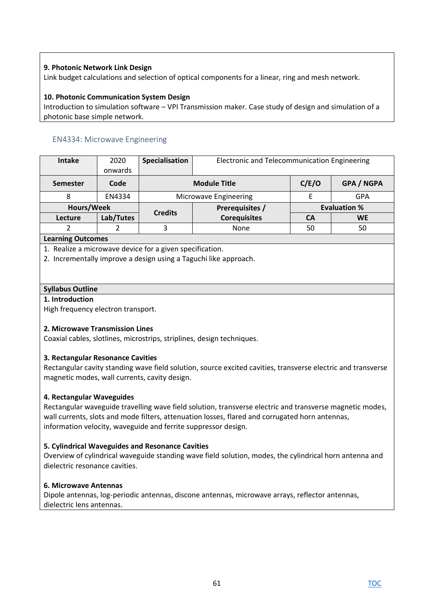## **9. Photonic Network Link Design**

Link budget calculations and selection of optical components for a linear, ring and mesh network.

### **10. Photonic Communication System Design**

Introduction to simulation software – VPI Transmission maker. Case study of design and simulation of a photonic base simple network.

## EN4334: Microwave Engineering

| <b>Intake</b>   | 2020      | Specialisation | Electronic and Telecommunication Engineering |                     |                   |
|-----------------|-----------|----------------|----------------------------------------------|---------------------|-------------------|
|                 | onwards   |                |                                              |                     |                   |
| <b>Semester</b> | Code      |                | <b>Module Title</b>                          |                     | <b>GPA / NGPA</b> |
| 8               | EN4334    |                | Microwave Engineering                        |                     | GPA               |
| Hours/Week      |           | <b>Credits</b> | Prerequisites /                              | <b>Evaluation %</b> |                   |
| Lecture         | Lab/Tutes |                | <b>Corequisites</b>                          | CА                  | <b>WE</b>         |
|                 |           | 3              | None                                         | 50                  | 50                |
|                 |           |                |                                              |                     |                   |

### **Learning Outcomes**

1. Realize a microwave device for a given specification.

2. Incrementally improve a design using a Taguchi like approach.

## **Syllabus Outline**

### **1. Introduction**

High frequency electron transport.

## **2. Microwave Transmission Lines**

Coaxial cables, slotlines, microstrips, striplines, design techniques.

## **3. Rectangular Resonance Cavities**

Rectangular cavity standing wave field solution, source excited cavities, transverse electric and transverse magnetic modes, wall currents, cavity design.

## **4. Rectangular Waveguides**

Rectangular waveguide travelling wave field solution, transverse electric and transverse magnetic modes, wall currents, slots and mode filters, attenuation losses, flared and corrugated horn antennas, information velocity, waveguide and ferrite suppressor design.

## **5. Cylindrical Waveguides and Resonance Cavities**

Overview of cylindrical waveguide standing wave field solution, modes, the cylindrical horn antenna and dielectric resonance cavities.

#### **6. Microwave Antennas**

Dipole antennas, log-periodic antennas, discone antennas, microwave arrays, reflector antennas, dielectric lens antennas.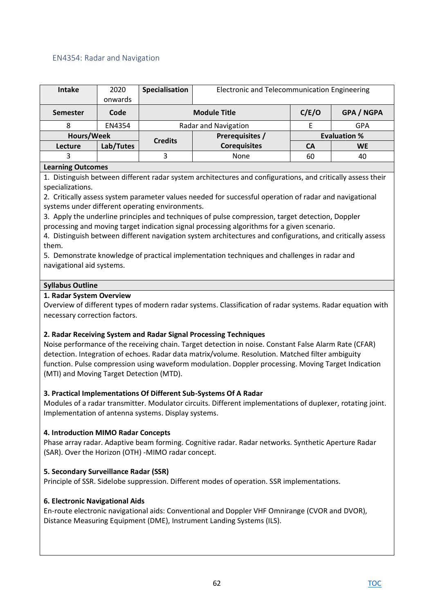## EN4354: Radar and Navigation

| <b>Intake</b> | 2020<br>onwards | Specialisation      | Electronic and Telecommunication Engineering |       |                     |
|---------------|-----------------|---------------------|----------------------------------------------|-------|---------------------|
| Semester      | Code            | <b>Module Title</b> |                                              | C/E/O | <b>GPA / NGPA</b>   |
|               | EN4354          |                     | Radar and Navigation                         |       | <b>GPA</b>          |
|               | Hours/Week      |                     | Prerequisites /                              |       | <b>Evaluation %</b> |
| Lecture       | Lab/Tutes       | <b>Credits</b>      | <b>Corequisites</b>                          | CA    | <b>WE</b>           |
|               |                 |                     | None                                         | 60    | 40                  |

### **Learning Outcomes**

1. Distinguish between different radar system architectures and configurations, and critically assess their specializations.

2. Critically assess system parameter values needed for successful operation of radar and navigational systems under different operating environments.

3. Apply the underline principles and techniques of pulse compression, target detection, Doppler processing and moving target indication signal processing algorithms for a given scenario.

4. Distinguish between different navigation system architectures and configurations, and critically assess them.

5. Demonstrate knowledge of practical implementation techniques and challenges in radar and navigational aid systems.

#### **Syllabus Outline**

### **1. Radar System Overview**

Overview of different types of modern radar systems. Classification of radar systems. Radar equation with necessary correction factors.

## **2. Radar Receiving System and Radar Signal Processing Techniques**

Noise performance of the receiving chain. Target detection in noise. Constant False Alarm Rate (CFAR) detection. Integration of echoes. Radar data matrix/volume. Resolution. Matched filter ambiguity function. Pulse compression using waveform modulation. Doppler processing. Moving Target Indication (MTI) and Moving Target Detection (MTD).

## **3. Practical Implementations Of Different Sub-Systems Of A Radar**

Modules of a radar transmitter. Modulator circuits. Different implementations of duplexer, rotating joint. Implementation of antenna systems. Display systems.

## **4. Introduction MIMO Radar Concepts**

Phase array radar. Adaptive beam forming. Cognitive radar. Radar networks. Synthetic Aperture Radar (SAR). Over the Horizon (OTH) -MIMO radar concept.

## **5. Secondary Surveillance Radar (SSR)**

Principle of SSR. Sidelobe suppression. Different modes of operation. SSR implementations.

## **6. Electronic Navigational Aids**

En-route electronic navigational aids: Conventional and Doppler VHF Omnirange (CVOR and DVOR), Distance Measuring Equipment (DME), Instrument Landing Systems (ILS).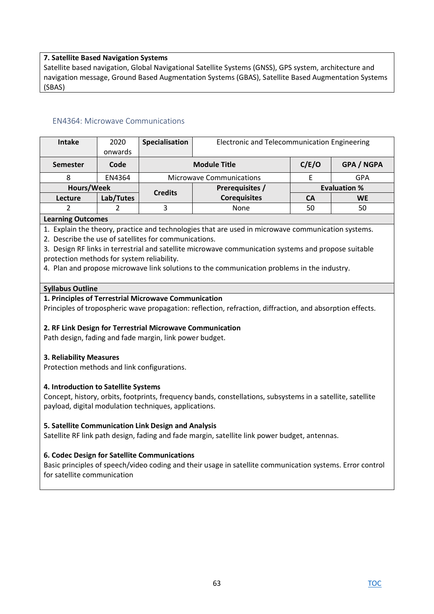### **7. Satellite Based Navigation Systems**

Satellite based navigation, Global Navigational Satellite Systems (GNSS), GPS system, architecture and navigation message, Ground Based Augmentation Systems (GBAS), Satellite Based Augmentation Systems (SBAS)

### EN4364: Microwave Communications

| <b>Intake</b> | 2020<br>onwards | Specialisation | Electronic and Telecommunication Engineering |    |                     |
|---------------|-----------------|----------------|----------------------------------------------|----|---------------------|
| Semester      | Code            |                | <b>Module Title</b>                          |    | GPA / NGPA          |
|               | EN4364          |                | <b>Microwave Communications</b>              |    | <b>GPA</b>          |
|               | Hours/Week      |                | Prerequisites /                              |    | <b>Evaluation %</b> |
| Lecture       | Lab/Tutes       | <b>Credits</b> | <b>Corequisites</b>                          | CA | <b>WE</b>           |
|               |                 |                | None                                         | 50 | 50                  |

#### **Learning Outcomes**

1. Explain the theory, practice and technologies that are used in microwave communication systems.

2. Describe the use of satellites for communications.

3. Design RF links in terrestrial and satellite microwave communication systems and propose suitable protection methods for system reliability.

4. Plan and propose microwave link solutions to the communication problems in the industry.

#### **Syllabus Outline**

### **1. Principles of Terrestrial Microwave Communication**

Principles of tropospheric wave propagation: reflection, refraction, diffraction, and absorption effects.

#### **2. RF Link Design for Terrestrial Microwave Communication**

Path design, fading and fade margin, link power budget.

#### **3. Reliability Measures**

Protection methods and link configurations.

#### **4. Introduction to Satellite Systems**

Concept, history, orbits, footprints, frequency bands, constellations, subsystems in a satellite, satellite payload, digital modulation techniques, applications.

#### **5. Satellite Communication Link Design and Analysis**

Satellite RF link path design, fading and fade margin, satellite link power budget, antennas.

## **6. Codec Design for Satellite Communications**

Basic principles of speech/video coding and their usage in satellite communication systems. Error control for satellite communication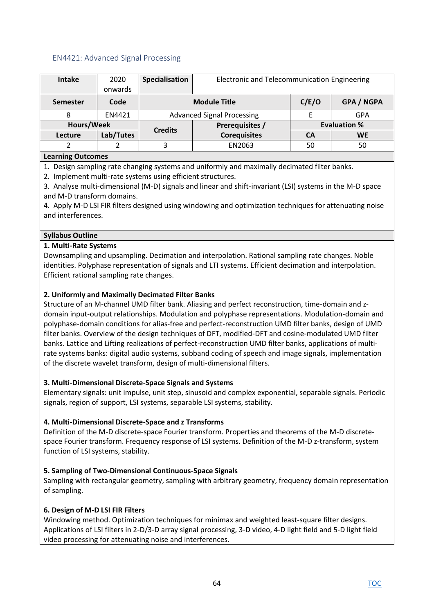## EN4421: Advanced Signal Processing

| <b>Intake</b>            | 2020      | Specialisation | Electronic and Telecommunication Engineering |                     |                   |
|--------------------------|-----------|----------------|----------------------------------------------|---------------------|-------------------|
|                          | onwards   |                |                                              |                     |                   |
| <b>Semester</b>          | Code      |                | <b>Module Title</b>                          | C/E/O               | <b>GPA / NGPA</b> |
|                          | EN4421    |                | <b>Advanced Signal Processing</b>            |                     | <b>GPA</b>        |
| Hours/Week               |           | <b>Credits</b> | Prerequisites /                              | <b>Evaluation %</b> |                   |
| Lecture                  | Lab/Tutes |                | <b>Corequisites</b>                          | CA                  | <b>WE</b>         |
|                          |           | 3              | EN2063                                       |                     | 50                |
| <b>Learning Outcomes</b> |           |                |                                              |                     |                   |

1. Design sampling rate changing systems and uniformly and maximally decimated filter banks.

2. Implement multi-rate systems using efficient structures.

3. Analyse multi-dimensional (M-D) signals and linear and shift-invariant (LSI) systems in the M-D space and M-D transform domains.

4. Apply M-D LSI FIR filters designed using windowing and optimization techniques for attenuating noise and interferences.

### **Syllabus Outline**

### **1. Multi-Rate Systems**

Downsampling and upsampling. Decimation and interpolation. Rational sampling rate changes. Noble identities. Polyphase representation of signals and LTI systems. Efficient decimation and interpolation. Efficient rational sampling rate changes.

### **2. Uniformly and Maximally Decimated Filter Banks**

Structure of an M-channel UMD filter bank. Aliasing and perfect reconstruction, time-domain and zdomain input-output relationships. Modulation and polyphase representations. Modulation-domain and polyphase-domain conditions for alias-free and perfect-reconstruction UMD filter banks, design of UMD filter banks. Overview of the design techniques of DFT, modified-DFT and cosine-modulated UMD filter banks. Lattice and Lifting realizations of perfect-reconstruction UMD filter banks, applications of multirate systems banks: digital audio systems, subband coding of speech and image signals, implementation of the discrete wavelet transform, design of multi-dimensional filters.

#### **3. Multi-Dimensional Discrete-Space Signals and Systems**

Elementary signals: unit impulse, unit step, sinusoid and complex exponential, separable signals. Periodic signals, region of support, LSI systems, separable LSI systems, stability.

## **4. Multi-Dimensional Discrete-Space and z Transforms**

Definition of the M-D discrete-space Fourier transform. Properties and theorems of the M-D discretespace Fourier transform. Frequency response of LSI systems. Definition of the M-D z-transform, system function of LSI systems, stability.

## **5. Sampling of Two-Dimensional Continuous-Space Signals**

Sampling with rectangular geometry, sampling with arbitrary geometry, frequency domain representation of sampling.

#### **6. Design of M-D LSI FIR Filters**

Windowing method. Optimization techniques for minimax and weighted least-square filter designs. Applications of LSI filters in 2-D/3-D array signal processing, 3-D video, 4-D light field and 5-D light field video processing for attenuating noise and interferences.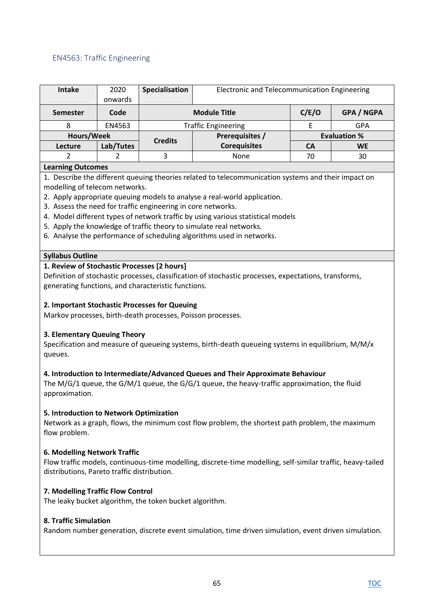# EN4563: Traffic Engineering

| <b>Intake</b> | 2020       | Specialisation      | Electronic and Telecommunication Engineering |           |                     |
|---------------|------------|---------------------|----------------------------------------------|-----------|---------------------|
|               | onwards    |                     |                                              |           |                     |
| Semester      | Code       | <b>Module Title</b> |                                              | C/E/O     | <b>GPA / NGPA</b>   |
|               | EN4563     |                     | <b>Traffic Engineering</b>                   |           | <b>GPA</b>          |
|               | Hours/Week |                     | Prerequisites /                              |           | <b>Evaluation %</b> |
| Lecture       | Lab/Tutes  | <b>Credits</b>      | <b>Corequisites</b>                          | <b>CA</b> | <b>WE</b>           |
|               |            | 3                   | None                                         | 70        | 30                  |

### **Learning Outcomes**

1. Describe the different queuing theories related to telecommunication systems and their impact on modelling of telecom networks.

- 2. Apply appropriate queuing models to analyse a real-world application.
- 3. Assess the need for traffic engineering in core networks.
- 4. Model different types of network traffic by using various statistical models
- 5. Apply the knowledge of traffic theory to simulate real networks.
- 6. Analyse the performance of scheduling algorithms used in networks.

#### **Syllabus Outline**

#### **1. Review of Stochastic Processes [2 hours]**

Definition of stochastic processes, classification of stochastic processes, expectations, transforms, generating functions, and characteristic functions.

#### **2. Important Stochastic Processes for Queuing**

Markov processes, birth-death processes, Poisson processes.

#### **3. Elementary Queuing Theory**

Specification and measure of queueing systems, birth-death queueing systems in equilibrium, M/M/x queues.

#### **4. Introduction to Intermediate/Advanced Queues and Their Approximate Behaviour**

The M/G/1 queue, the G/M/1 queue, the G/G/1 queue, the heavy-traffic approximation, the fluid approximation.

#### **5. Introduction to Network Optimization**

Network as a graph, flows, the minimum cost flow problem, the shortest path problem, the maximum flow problem.

#### **6. Modelling Network Traffic**

Flow traffic models, continuous-time modelling, discrete-time modelling, self-similar traffic, heavy-tailed distributions, Pareto traffic distribution.

#### **7. Modelling Traffic Flow Control**

The leaky bucket algorithm, the token bucket algorithm.

#### **8. Traffic Simulation**

Random number generation, discrete event simulation, time driven simulation, event driven simulation.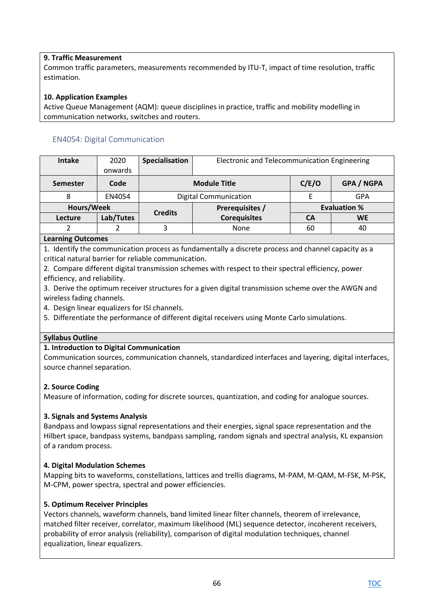## **9. Traffic Measurement**

Common traffic parameters, measurements recommended by ITU-T, impact of time resolution, traffic estimation.

## **10. Application Examples**

Active Queue Management (AQM): queue disciplines in practice, traffic and mobility modelling in communication networks, switches and routers.

# EN4054: Digital Communication

| <b>Intake</b>   | 2020      | Specialisation | Electronic and Telecommunication Engineering |                     |                   |
|-----------------|-----------|----------------|----------------------------------------------|---------------------|-------------------|
|                 | onwards   |                |                                              |                     |                   |
| <b>Semester</b> | Code      |                | <b>Module Title</b>                          |                     | <b>GPA / NGPA</b> |
|                 | EN4054    |                | <b>Digital Communication</b>                 |                     | GPA               |
| Hours/Week      |           |                | Prerequisites /                              | <b>Evaluation %</b> |                   |
| Lecture         | Lab/Tutes | <b>Credits</b> | <b>Corequisites</b>                          | CA                  | <b>WE</b>         |
|                 |           | 3              | None                                         | 60                  | 40                |
|                 |           |                |                                              |                     |                   |

### **Learning Outcomes**

1. Identify the communication process as fundamentally a discrete process and channel capacity as a critical natural barrier for reliable communication.

2. Compare different digital transmission schemes with respect to their spectral efficiency, power efficiency, and reliability.

3. Derive the optimum receiver structures for a given digital transmission scheme over the AWGN and wireless fading channels.

4. Design linear equalizers for ISI channels.

5. Differentiate the performance of different digital receivers using Monte Carlo simulations.

## **Syllabus Outline**

## **1. Introduction to Digital Communication**

Communication sources, communication channels, standardized interfaces and layering, digital interfaces, source channel separation.

#### **2. Source Coding**

Measure of information, coding for discrete sources, quantization, and coding for analogue sources.

## **3. Signals and Systems Analysis**

Bandpass and lowpass signal representations and their energies, signal space representation and the Hilbert space, bandpass systems, bandpass sampling, random signals and spectral analysis, KL expansion of a random process.

## **4. Digital Modulation Schemes**

Mapping bits to waveforms, constellations, lattices and trellis diagrams, M-PAM, M-QAM, M-FSK, M-PSK, M-CPM, power spectra, spectral and power efficiencies.

## **5. Optimum Receiver Principles**

Vectors channels, waveform channels, band limited linear filter channels, theorem of irrelevance, matched filter receiver, correlator, maximum likelihood (ML) sequence detector, incoherent receivers, probability of error analysis (reliability), comparison of digital modulation techniques, channel equalization, linear equalizers.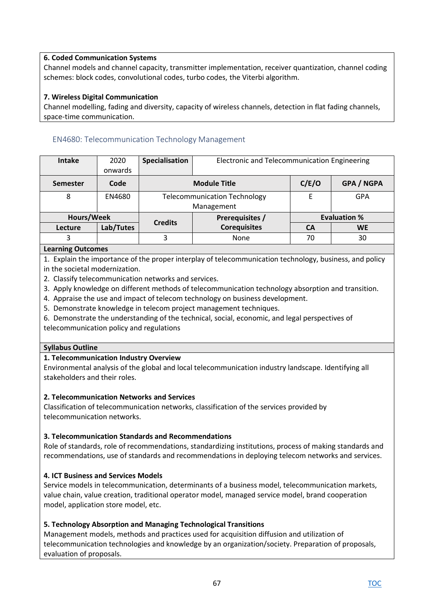## **6. Coded Communication Systems**

Channel models and channel capacity, transmitter implementation, receiver quantization, channel coding schemes: block codes, convolutional codes, turbo codes, the Viterbi algorithm.

# **7. Wireless Digital Communication**

Channel modelling, fading and diversity, capacity of wireless channels, detection in flat fading channels, space-time communication.

# EN4680: Telecommunication Technology Management

| <b>Intake</b>   | 2020      | Specialisation | Electronic and Telecommunication Engineering |                     |                   |
|-----------------|-----------|----------------|----------------------------------------------|---------------------|-------------------|
|                 | onwards   |                |                                              |                     |                   |
| <b>Semester</b> | Code      |                | <b>Module Title</b>                          | C/E/O               | <b>GPA / NGPA</b> |
| 8               | EN4680    |                | <b>Telecommunication Technology</b>          |                     | GPA               |
|                 |           |                | Management                                   |                     |                   |
| Hours/Week      |           | <b>Credits</b> | Prerequisites /                              | <b>Evaluation %</b> |                   |
| Lecture         | Lab/Tutes |                | <b>Corequisites</b>                          | <b>CA</b>           | <b>WE</b>         |
| 3               |           | 3              | None                                         | 70                  | 30                |
|                 |           |                |                                              |                     |                   |

# **Learning Outcomes**

1. Explain the importance of the proper interplay of telecommunication technology, business, and policy in the societal modernization.

- 2. Classify telecommunication networks and services.
- 3. Apply knowledge on different methods of telecommunication technology absorption and transition.
- 4. Appraise the use and impact of telecom technology on business development.
- 5. Demonstrate knowledge in telecom project management techniques.
- 6. Demonstrate the understanding of the technical, social, economic, and legal perspectives of telecommunication policy and regulations

## **Syllabus Outline**

## **1. Telecommunication Industry Overview**

Environmental analysis of the global and local telecommunication industry landscape. Identifying all stakeholders and their roles.

## **2. Telecommunication Networks and Services**

Classification of telecommunication networks, classification of the services provided by telecommunication networks.

## **3. Telecommunication Standards and Recommendations**

Role of standards, role of recommendations, standardizing institutions, process of making standards and recommendations, use of standards and recommendations in deploying telecom networks and services.

## **4. ICT Business and Services Models**

Service models in telecommunication, determinants of a business model, telecommunication markets, value chain, value creation, traditional operator model, managed service model, brand cooperation model, application store model, etc.

## **5. Technology Absorption and Managing Technological Transitions**

Management models, methods and practices used for acquisition diffusion and utilization of telecommunication technologies and knowledge by an organization/society. Preparation of proposals, evaluation of proposals.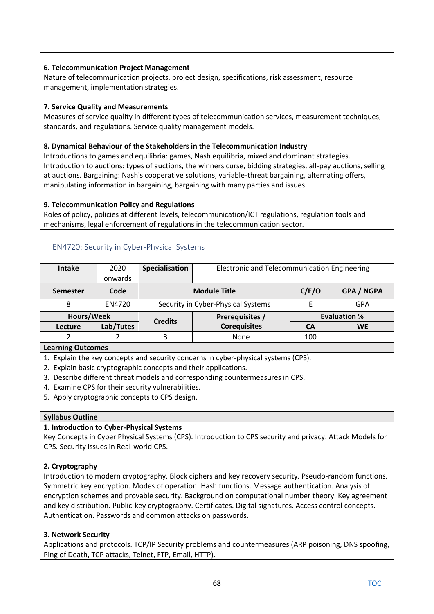# **6. Telecommunication Project Management**

Nature of telecommunication projects, project design, specifications, risk assessment, resource management, implementation strategies.

## **7. Service Quality and Measurements**

Measures of service quality in different types of telecommunication services, measurement techniques, standards, and regulations. Service quality management models.

## **8. Dynamical Behaviour of the Stakeholders in the Telecommunication Industry**

Introductions to games and equilibria: games, Nash equilibria, mixed and dominant strategies. Introduction to auctions: types of auctions, the winners curse, bidding strategies, all-pay auctions, selling at auctions. Bargaining: Nash's cooperative solutions, variable-threat bargaining, alternating offers, manipulating information in bargaining, bargaining with many parties and issues.

## **9. Telecommunication Policy and Regulations**

Roles of policy, policies at different levels, telecommunication/ICT regulations, regulation tools and mechanisms, legal enforcement of regulations in the telecommunication sector.

| <b>Intake</b> | 2020<br>onwards | Specialisation                    | Electronic and Telecommunication Engineering |     |                     |
|---------------|-----------------|-----------------------------------|----------------------------------------------|-----|---------------------|
| Semester      | Code            |                                   | <b>Module Title</b>                          |     | <b>GPA / NGPA</b>   |
| 8             | EN4720          |                                   | Security in Cyber-Physical Systems           |     | GPA                 |
| Hours/Week    |                 | Prerequisites /<br><b>Credits</b> |                                              |     | <b>Evaluation %</b> |
| Lecture       | Lab/Tutes       |                                   | <b>Corequisites</b>                          | CА  | <b>WE</b>           |
|               |                 |                                   | None                                         | 100 |                     |

## EN4720: Security in Cyber-Physical Systems

## **Learning Outcomes**

1. Explain the key concepts and security concerns in cyber-physical systems (CPS).

- 2. Explain basic cryptographic concepts and their applications.
- 3. Describe different threat models and corresponding countermeasures in CPS.
- 4. Examine CPS for their security vulnerabilities.
- 5. Apply cryptographic concepts to CPS design.

## **Syllabus Outline**

## **1. Introduction to Cyber-Physical Systems**

Key Concepts in Cyber Physical Systems (CPS). Introduction to CPS security and privacy. Attack Models for CPS. Security issues in Real-world CPS.

## **2. Cryptography**

Introduction to modern cryptography. Block ciphers and key recovery security. Pseudo-random functions. Symmetric key encryption. Modes of operation. Hash functions. Message authentication. Analysis of encryption schemes and provable security. Background on computational number theory. Key agreement and key distribution. Public-key cryptography. Certificates. Digital signatures. Access control concepts. Authentication. Passwords and common attacks on passwords.

## **3. Network Security**

Applications and protocols. TCP/IP Security problems and countermeasures (ARP poisoning, DNS spoofing, Ping of Death, TCP attacks, Telnet, FTP, Email, HTTP).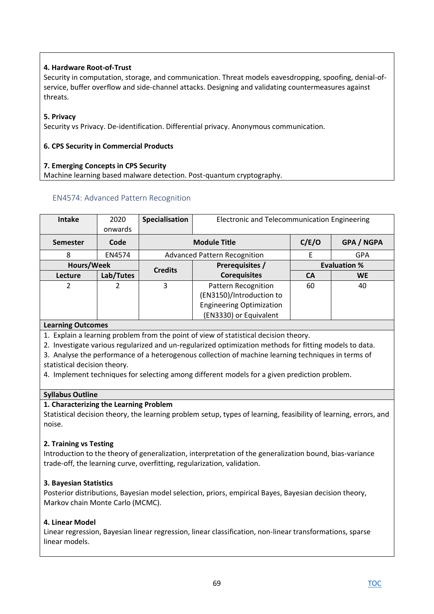# **4. Hardware Root-of-Trust**

Security in computation, storage, and communication. Threat models eavesdropping, spoofing, denial-ofservice, buffer overflow and side-channel attacks. Designing and validating countermeasures against threats.

## **5. Privacy**

Security vs Privacy. De-identification. Differential privacy. Anonymous communication.

## **6. CPS Security in Commercial Products**

## **7. Emerging Concepts in CPS Security**

Machine learning based malware detection. Post-quantum cryptography.

# EN4574: Advanced Pattern Recognition

| <b>Intake</b> | 2020<br>onwards | <b>Specialisation</b> | Electronic and Telecommunication Engineering                                                                        |           |                     |  |
|---------------|-----------------|-----------------------|---------------------------------------------------------------------------------------------------------------------|-----------|---------------------|--|
| Semester      | Code            |                       | C/E/O<br>GPA / NGPA<br><b>Module Title</b>                                                                          |           |                     |  |
| 8             | EN4574          |                       | <b>Advanced Pattern Recognition</b>                                                                                 |           | <b>GPA</b>          |  |
|               | Hours/Week      |                       | <b>Prerequisites /</b><br><b>Credits</b>                                                                            |           | <b>Evaluation %</b> |  |
| Lecture       | Lab/Tutes       |                       | <b>Corequisites</b>                                                                                                 | <b>CA</b> | <b>WE</b>           |  |
| 2             | 2               | 3                     | <b>Pattern Recognition</b><br>(EN3150)/Introduction to<br><b>Engineering Optimization</b><br>(EN3330) or Equivalent | 60        | 40                  |  |

## **Learning Outcomes**

1. Explain a learning problem from the point of view of statistical decision theory.

2. Investigate various regularized and un-regularized optimization methods for fitting models to data.

3. Analyse the performance of a heterogenous collection of machine learning techniques in terms of statistical decision theory.

4. Implement techniques for selecting among different models for a given prediction problem.

## **Syllabus Outline**

## **1. Characterizing the Learning Problem**

Statistical decision theory, the learning problem setup, types of learning, feasibility of learning, errors, and noise.

## **2. Training vs Testing**

Introduction to the theory of generalization, interpretation of the generalization bound, bias-variance trade-off, the learning curve, overfitting, regularization, validation.

## **3. Bayesian Statistics**

Posterior distributions, Bayesian model selection, priors, empirical Bayes, Bayesian decision theory, Markov chain Monte Carlo (MCMC).

## **4. Linear Model**

Linear regression, Bayesian linear regression, linear classification, non-linear transformations, sparse linear models.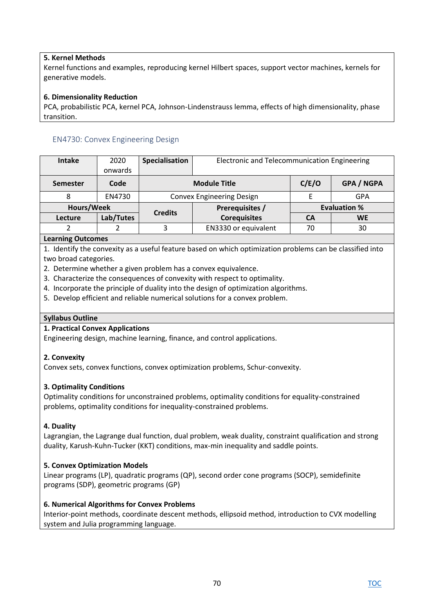# **5. Kernel Methods**

Kernel functions and examples, reproducing kernel Hilbert spaces, support vector machines, kernels for generative models.

### **6. Dimensionality Reduction**

PCA, probabilistic PCA, kernel PCA, Johnson-Lindenstrauss lemma, effects of high dimensionality, phase transition.

## EN4730: Convex Engineering Design

| <b>Intake</b> | 2020       | Specialisation      | Electronic and Telecommunication Engineering |       |                     |
|---------------|------------|---------------------|----------------------------------------------|-------|---------------------|
|               | onwards    |                     |                                              |       |                     |
| Semester      | Code       | <b>Module Title</b> |                                              | C/E/O | GPA / NGPA          |
| 8             | EN4730     |                     | <b>Convex Engineering Design</b>             |       | GPA                 |
|               | Hours/Week |                     | Prerequisites /                              |       | <b>Evaluation %</b> |
| Lecture       | Lab/Tutes  | <b>Credits</b>      | <b>Corequisites</b>                          | CА    | <b>WE</b>           |
|               |            | 3                   | EN3330 or equivalent                         | 70    | 30                  |

### **Learning Outcomes**

1. Identify the convexity as a useful feature based on which optimization problems can be classified into two broad categories.

- 2. Determine whether a given problem has a convex equivalence.
- 3. Characterize the consequences of convexity with respect to optimality.
- 4. Incorporate the principle of duality into the design of optimization algorithms.
- 5. Develop efficient and reliable numerical solutions for a convex problem.

#### **Syllabus Outline**

#### **1. Practical Convex Applications**

Engineering design, machine learning, finance, and control applications.

## **2. Convexity**

Convex sets, convex functions, convex optimization problems, Schur-convexity.

## **3. Optimality Conditions**

Optimality conditions for unconstrained problems, optimality conditions for equality-constrained problems, optimality conditions for inequality-constrained problems.

#### **4. Duality**

Lagrangian, the Lagrange dual function, dual problem, weak duality, constraint qualification and strong duality, Karush-Kuhn-Tucker (KKT) conditions, max-min inequality and saddle points.

## **5. Convex Optimization Models**

Linear programs (LP), quadratic programs (QP), second order cone programs (SOCP), semidefinite programs (SDP), geometric programs (GP)

#### **6. Numerical Algorithms for Convex Problems**

Interior-point methods, coordinate descent methods, ellipsoid method, introduction to CVX modelling system and Julia programming language.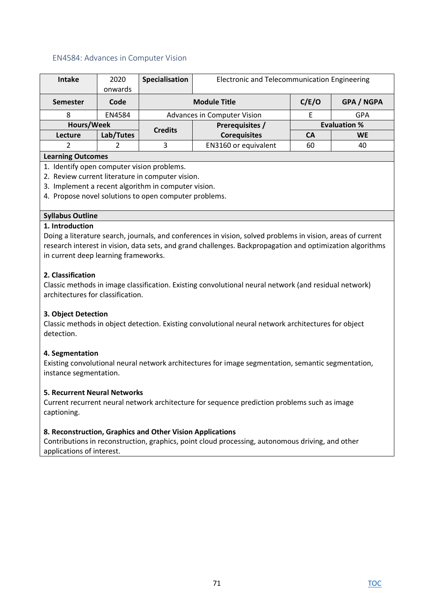### EN4584: Advances in Computer Vision

| <b>Intake</b>            | 2020       | Specialisation | Electronic and Telecommunication Engineering      |           |                     |  |
|--------------------------|------------|----------------|---------------------------------------------------|-----------|---------------------|--|
|                          | onwards    |                |                                                   |           |                     |  |
| <b>Semester</b>          | Code       |                | C/E/O<br><b>GPA / NGPA</b><br><b>Module Title</b> |           |                     |  |
| 8                        | EN4584     |                | Advances in Computer Vision                       |           | <b>GPA</b>          |  |
|                          | Hours/Week |                | Prerequisites /                                   |           | <b>Evaluation %</b> |  |
| Lecture                  | Lab/Tutes  | <b>Credits</b> | <b>Corequisites</b>                               | <b>CA</b> | <b>WE</b>           |  |
|                          |            | 3              | EN3160 or equivalent                              | 60        | 40                  |  |
| <b>Learning Outcomes</b> |            |                |                                                   |           |                     |  |

### **Learning Outcomes**

- 1. Identify open computer vision problems.
- 2. Review current literature in computer vision.
- 3. Implement a recent algorithm in computer vision.
- 4. Propose novel solutions to open computer problems.

## **Syllabus Outline**

#### **1. Introduction**

Doing a literature search, journals, and conferences in vision, solved problems in vision, areas of current research interest in vision, data sets, and grand challenges. Backpropagation and optimization algorithms in current deep learning frameworks.

### **2. Classification**

Classic methods in image classification. Existing convolutional neural network (and residual network) architectures for classification.

## **3. Object Detection**

Classic methods in object detection. Existing convolutional neural network architectures for object detection.

#### **4. Segmentation**

Existing convolutional neural network architectures for image segmentation, semantic segmentation, instance segmentation.

#### **5. Recurrent Neural Networks**

Current recurrent neural network architecture for sequence prediction problems such as image captioning.

#### **8. Reconstruction, Graphics and Other Vision Applications**

Contributions in reconstruction, graphics, point cloud processing, autonomous driving, and other applications of interest.